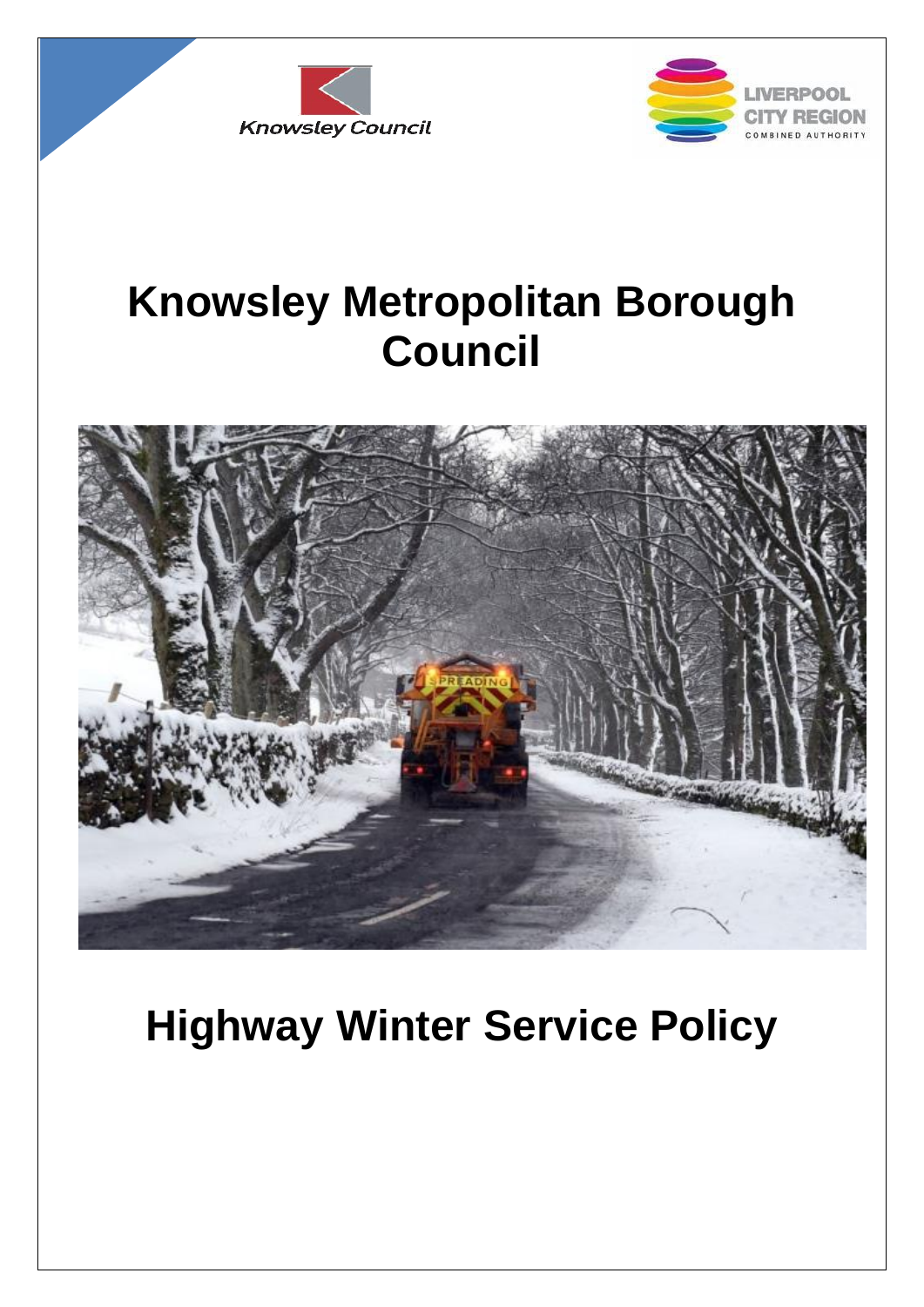



# **Knowsley Metropolitan Borough Council**



# **Highway Winter Service Policy**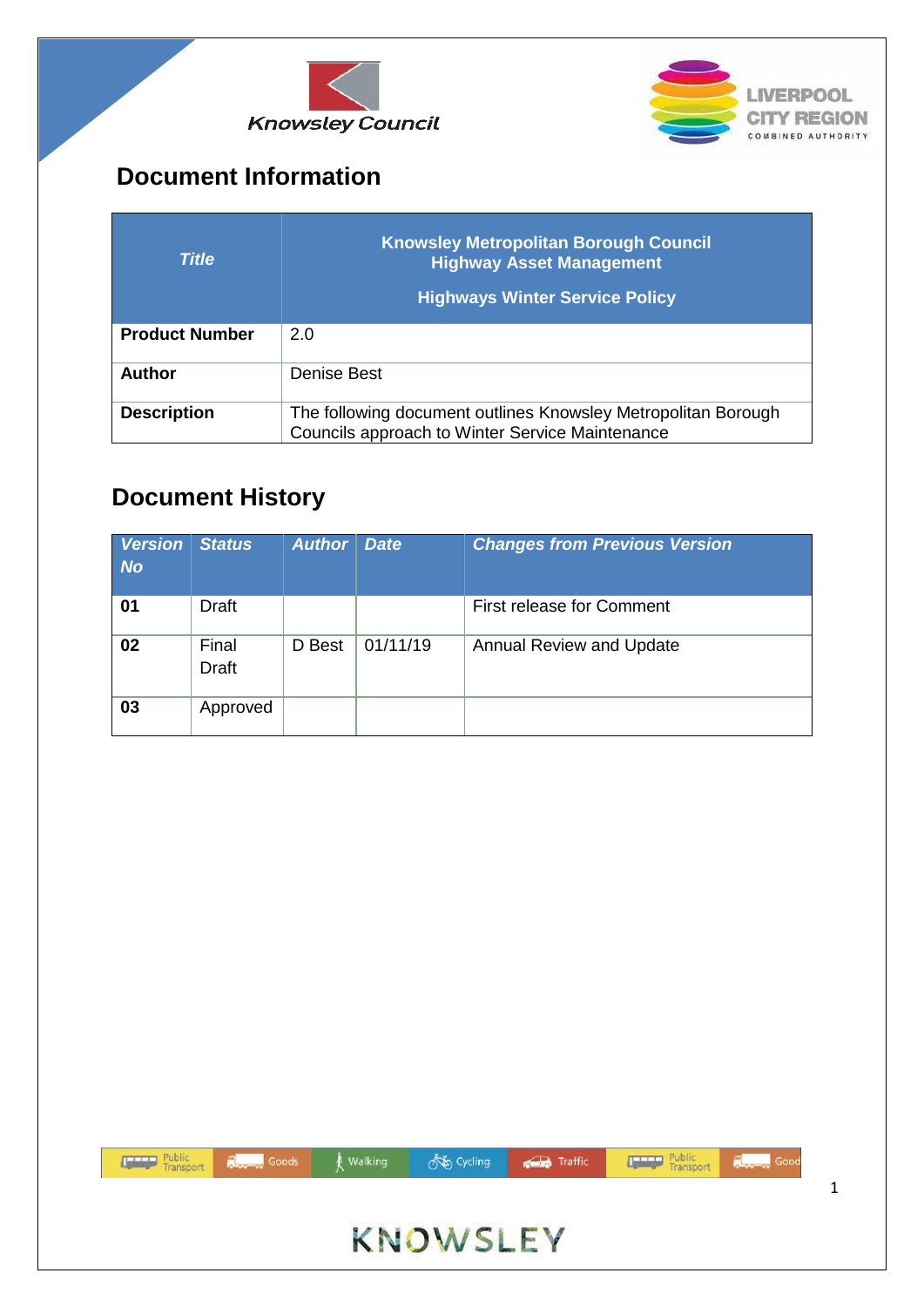



## <span id="page-1-0"></span>**Document Information**

| <b>Title</b>          | <b>Knowsley Metropolitan Borough Council</b><br><b>Highway Asset Management</b><br><b>Highways Winter Service Policy</b> |
|-----------------------|--------------------------------------------------------------------------------------------------------------------------|
| <b>Product Number</b> | 2.0                                                                                                                      |
| Author                | Denise Best                                                                                                              |
| <b>Description</b>    | The following document outlines Knowsley Metropolitan Borough<br>Councils approach to Winter Service Maintenance         |

### <span id="page-1-1"></span>**Document History**

| <b>Version</b><br><b>No</b> | <b>Status</b>         | <b>Author</b> | <b>Date</b> | <b>Changes from Previous Version</b> |
|-----------------------------|-----------------------|---------------|-------------|--------------------------------------|
| 01                          | <b>Draft</b>          |               |             | <b>First release for Comment</b>     |
| 02                          | Final<br><b>Draft</b> | D Best        | 01/11/19    | <b>Annual Review and Update</b>      |
| 03                          | Approved              |               |             |                                      |

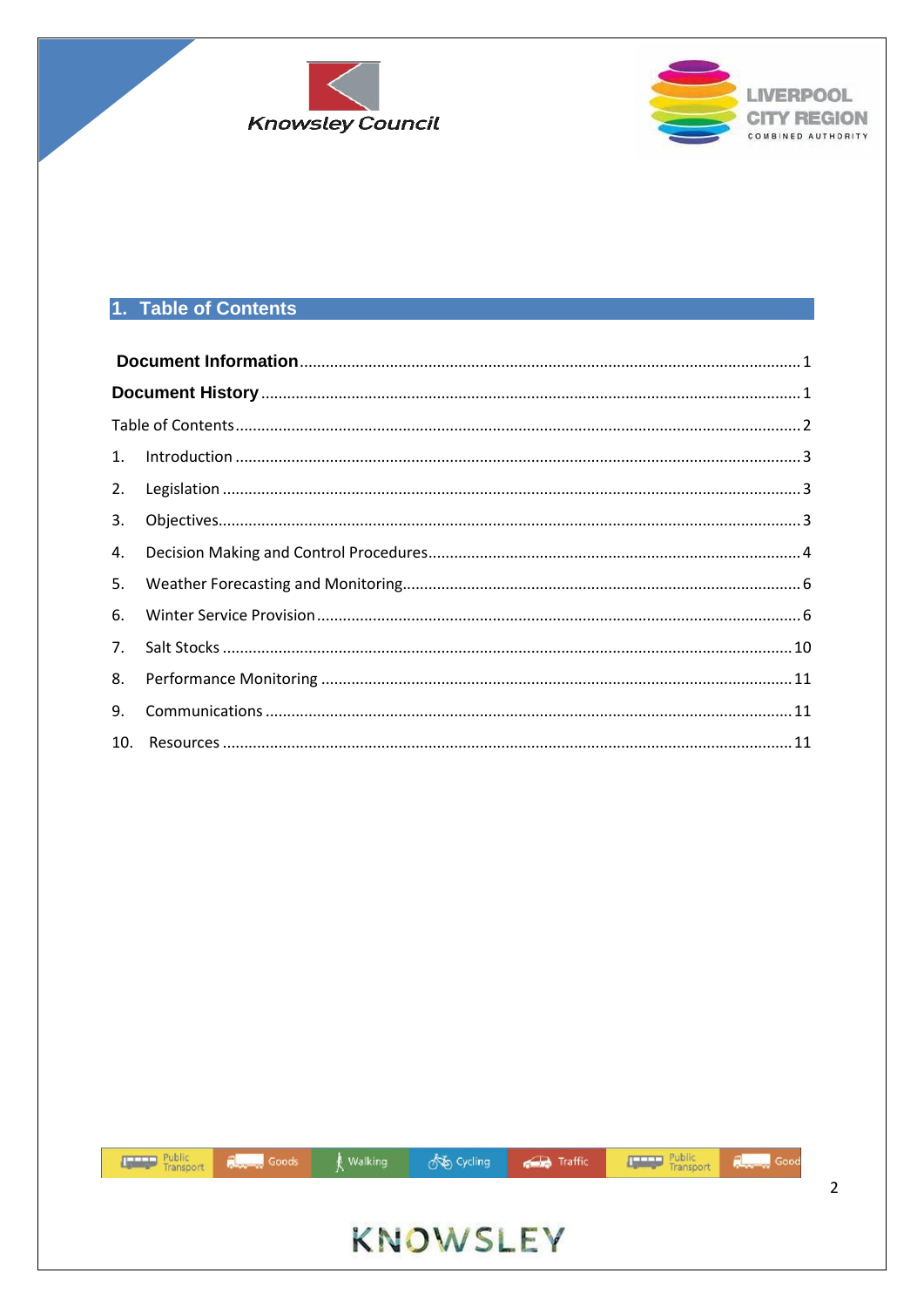



#### <span id="page-2-0"></span>1. Table of Contents

| 3. |  |  |  |  |
|----|--|--|--|--|
| 4. |  |  |  |  |
| 5. |  |  |  |  |
| 6. |  |  |  |  |
| 7. |  |  |  |  |
| 8. |  |  |  |  |
| 9. |  |  |  |  |
|    |  |  |  |  |

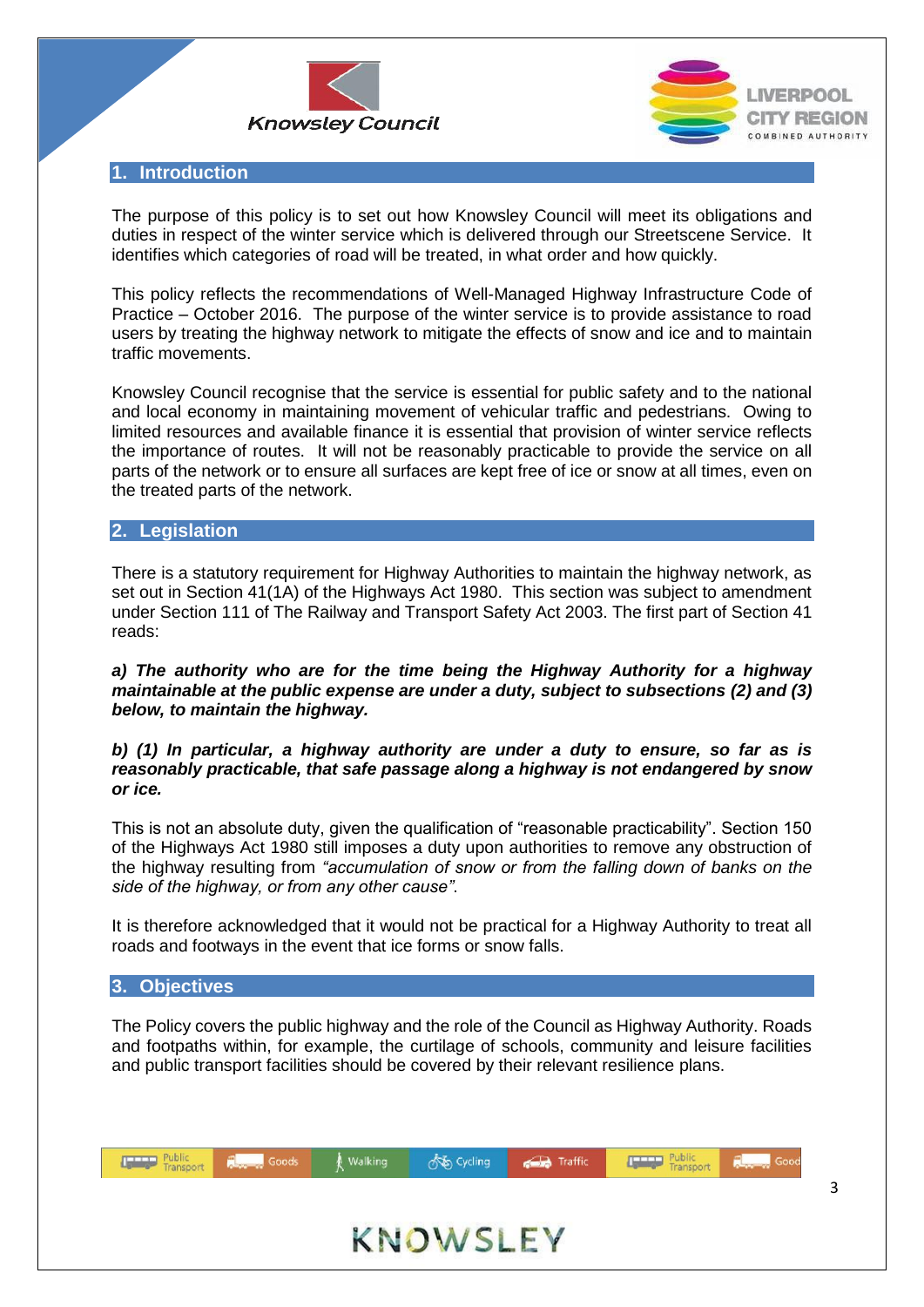



#### <span id="page-3-0"></span>**1. Introduction**

The purpose of this policy is to set out how Knowsley Council will meet its obligations and duties in respect of the winter service which is delivered through our Streetscene Service. It identifies which categories of road will be treated, in what order and how quickly.

This policy reflects the recommendations of Well-Managed Highway Infrastructure Code of Practice – October 2016. The purpose of the winter service is to provide assistance to road users by treating the highway network to mitigate the effects of snow and ice and to maintain traffic movements.

Knowsley Council recognise that the service is essential for public safety and to the national and local economy in maintaining movement of vehicular traffic and pedestrians. Owing to limited resources and available finance it is essential that provision of winter service reflects the importance of routes. It will not be reasonably practicable to provide the service on all parts of the network or to ensure all surfaces are kept free of ice or snow at all times, even on the treated parts of the network.

#### <span id="page-3-1"></span>**2. Legislation**

There is a statutory requirement for Highway Authorities to maintain the highway network, as set out in Section 41(1A) of the Highways Act 1980. This section was subject to amendment under Section 111 of The Railway and Transport Safety Act 2003. The first part of Section 41 reads:

*a) The authority who are for the time being the Highway Authority for a highway maintainable at the public expense are under a duty, subject to subsections (2) and (3) below, to maintain the highway.*

#### *b) (1) In particular, a highway authority are under a duty to ensure, so far as is reasonably practicable, that safe passage along a highway is not endangered by snow or ice.*

This is not an absolute duty, given the qualification of "reasonable practicability". Section 150 of the Highways Act 1980 still imposes a duty upon authorities to remove any obstruction of the highway resulting from *"accumulation of snow or from the falling down of banks on the side of the highway, or from any other cause"*.

It is therefore acknowledged that it would not be practical for a Highway Authority to treat all roads and footways in the event that ice forms or snow falls.

#### <span id="page-3-2"></span>**3. Objectives**

The Policy covers the public highway and the role of the Council as Highway Authority. Roads and footpaths within, for example, the curtilage of schools, community and leisure facilities and public transport facilities should be covered by their relevant resilience plans.

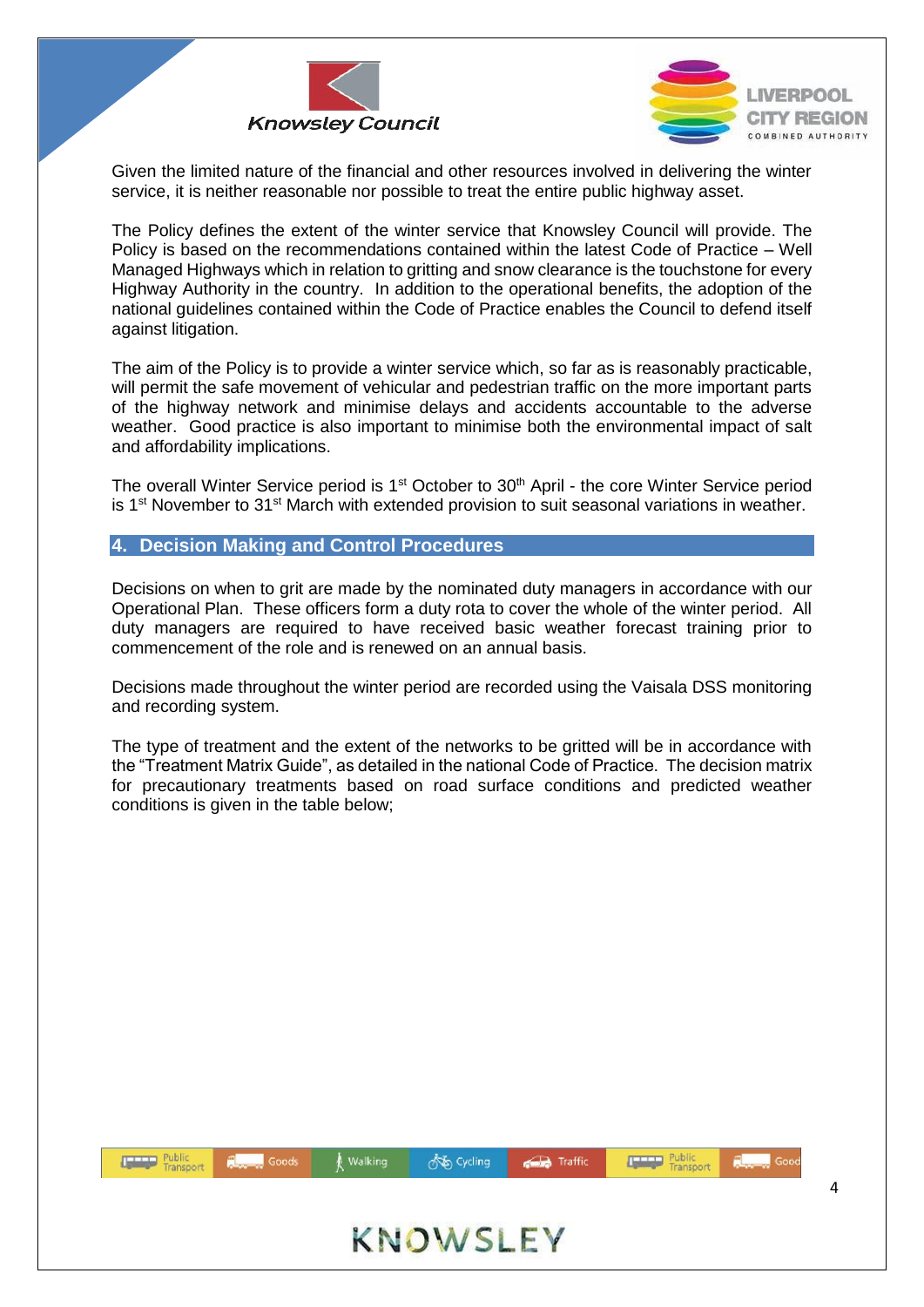



Given the limited nature of the financial and other resources involved in delivering the winter service, it is neither reasonable nor possible to treat the entire public highway asset.

The Policy defines the extent of the winter service that Knowsley Council will provide. The Policy is based on the recommendations contained within the latest Code of Practice – Well Managed Highways which in relation to gritting and snow clearance is the touchstone for every Highway Authority in the country. In addition to the operational benefits, the adoption of the national guidelines contained within the Code of Practice enables the Council to defend itself against litigation.

The aim of the Policy is to provide a winter service which, so far as is reasonably practicable, will permit the safe movement of vehicular and pedestrian traffic on the more important parts of the highway network and minimise delays and accidents accountable to the adverse weather. Good practice is also important to minimise both the environmental impact of salt and affordability implications.

The overall Winter Service period is 1<sup>st</sup> October to 30<sup>th</sup> April - the core Winter Service period is  $1<sup>st</sup>$  November to  $31<sup>st</sup>$  March with extended provision to suit seasonal variations in weather.

<span id="page-4-0"></span>**4. Decision Making and Control Procedures**

Decisions on when to grit are made by the nominated duty managers in accordance with our Operational Plan. These officers form a duty rota to cover the whole of the winter period. All duty managers are required to have received basic weather forecast training prior to commencement of the role and is renewed on an annual basis.

Decisions made throughout the winter period are recorded using the Vaisala DSS monitoring and recording system.

The type of treatment and the extent of the networks to be gritted will be in accordance with the "Treatment Matrix Guide", as detailed in the national Code of Practice. The decision matrix for precautionary treatments based on road surface conditions and predicted weather conditions is given in the table below;

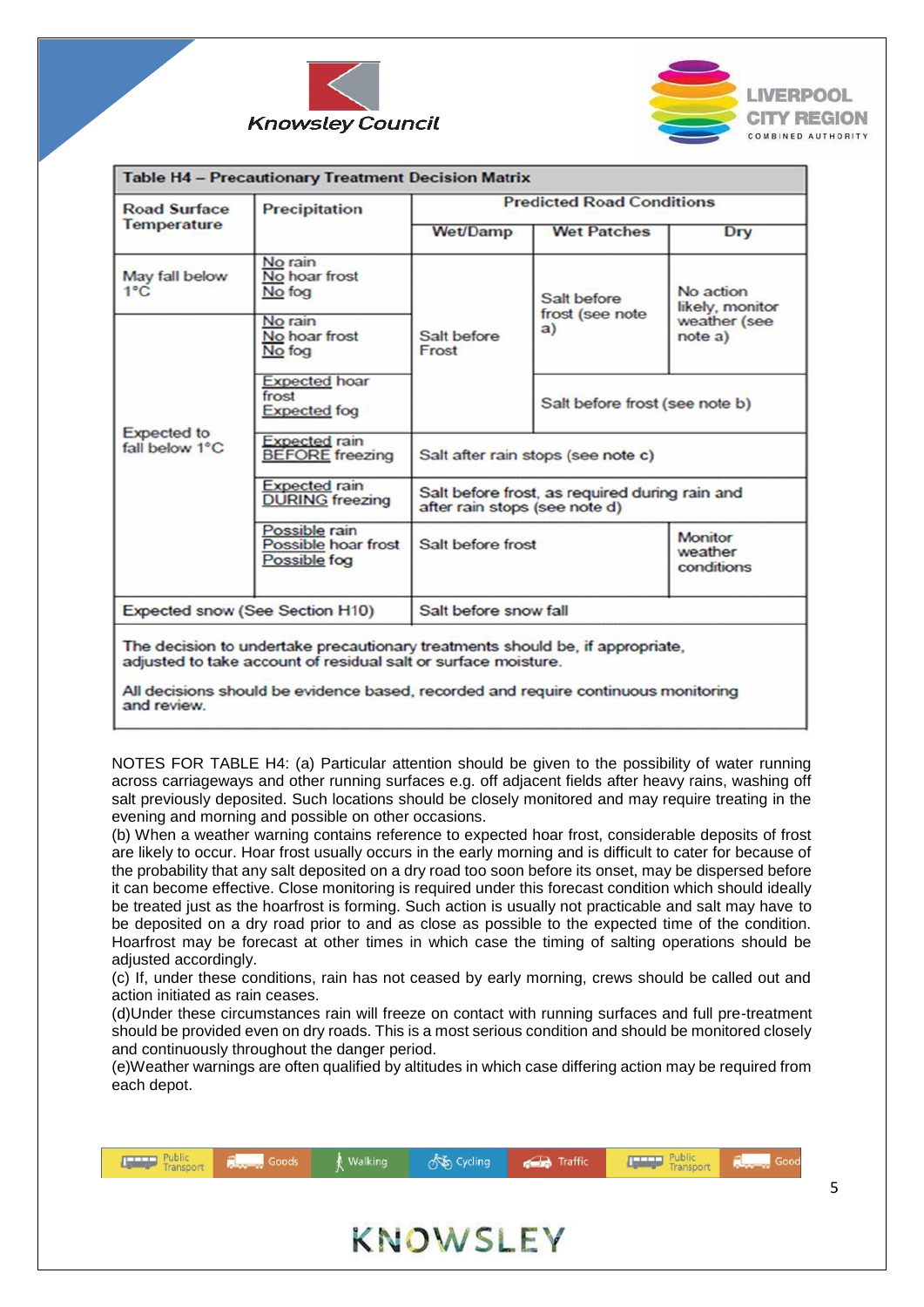



| <b>Road Surface</b>             | Precipitation                                        | <b>Predicted Road Conditions</b>                                                |                                |                                         |
|---------------------------------|------------------------------------------------------|---------------------------------------------------------------------------------|--------------------------------|-----------------------------------------|
| <b>Temperature</b>              |                                                      | <b>Wet/Damp</b>                                                                 | <b>Wet Patches</b>             | Dry                                     |
| May fall below<br>$1^{\circ}$ C | No rain<br>No hoar frost<br>No fog                   | Salt before<br>frost (see note<br>a)<br>Salt before<br>Frost                    | No action<br>likely, monitor   |                                         |
| Expected to<br>fall below 1°C   | No rain<br>No hoar frost<br>No fog                   |                                                                                 |                                | weather (see<br>note a)                 |
|                                 | <b>Expected hoar</b><br>frost<br><b>Expected</b> fog |                                                                                 | Salt before frost (see note b) |                                         |
|                                 | <b>Expected rain</b><br><b>BEFORE</b> freezing       | Salt after rain stops (see note c)                                              |                                |                                         |
|                                 | <b>Expected rain</b><br><b>DURING</b> freezing       | Salt before frost, as required during rain and<br>after rain stops (see note d) |                                |                                         |
|                                 | Possible rain<br>Possible hoar frost<br>Possible fog | Salt before frost                                                               |                                | <b>Monitor</b><br>weather<br>conditions |
|                                 | <b>Expected snow (See Section H10)</b>               | Salt before snow fall                                                           |                                |                                         |

All decisions should be evidence based, recorded and require continuous monitoring and review.

NOTES FOR TABLE H4: (a) Particular attention should be given to the possibility of water running across carriageways and other running surfaces e.g. off adjacent fields after heavy rains, washing off salt previously deposited. Such locations should be closely monitored and may require treating in the evening and morning and possible on other occasions.

(b) When a weather warning contains reference to expected hoar frost, considerable deposits of frost are likely to occur. Hoar frost usually occurs in the early morning and is difficult to cater for because of the probability that any salt deposited on a dry road too soon before its onset, may be dispersed before it can become effective. Close monitoring is required under this forecast condition which should ideally be treated just as the hoarfrost is forming. Such action is usually not practicable and salt may have to be deposited on a dry road prior to and as close as possible to the expected time of the condition. Hoarfrost may be forecast at other times in which case the timing of salting operations should be adjusted accordingly.

(c) If, under these conditions, rain has not ceased by early morning, crews should be called out and action initiated as rain ceases.

(d)Under these circumstances rain will freeze on contact with running surfaces and full pre-treatment should be provided even on dry roads. This is a most serious condition and should be monitored closely and continuously throughout the danger period.

(e)Weather warnings are often qualified by altitudes in which case differing action may be required from each depot.

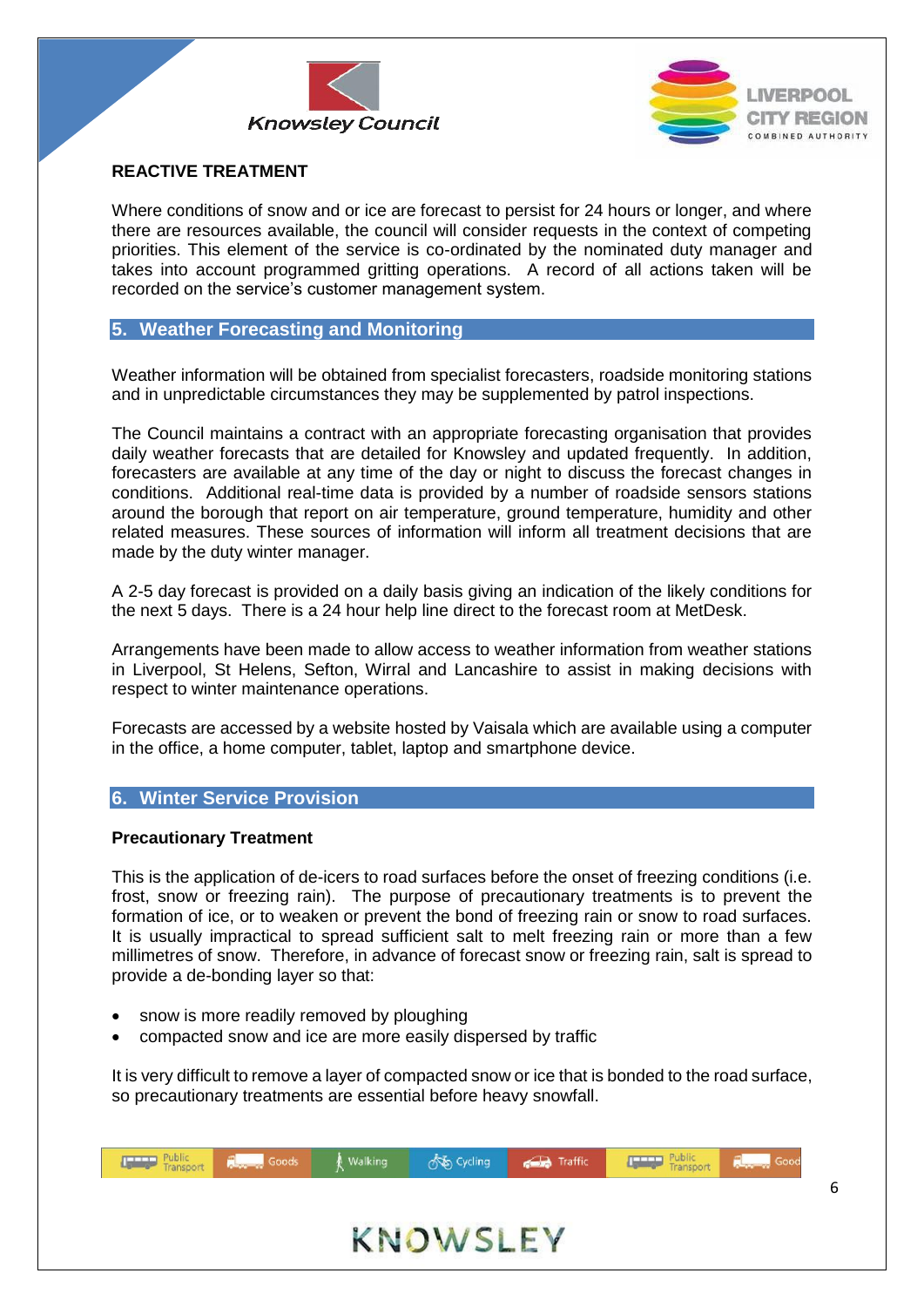



#### **REACTIVE TREATMENT**

Where conditions of snow and or ice are forecast to persist for 24 hours or longer, and where there are resources available, the council will consider requests in the context of competing priorities. This element of the service is co-ordinated by the nominated duty manager and takes into account programmed gritting operations. A record of all actions taken will be recorded on the service's customer management system.

#### <span id="page-6-0"></span>**5. Weather Forecasting and Monitoring**

Weather information will be obtained from specialist forecasters, roadside monitoring stations and in unpredictable circumstances they may be supplemented by patrol inspections.

The Council maintains a contract with an appropriate forecasting organisation that provides daily weather forecasts that are detailed for Knowsley and updated frequently. In addition, forecasters are available at any time of the day or night to discuss the forecast changes in conditions. Additional real-time data is provided by a number of roadside sensors stations around the borough that report on air temperature, ground temperature, humidity and other related measures. These sources of information will inform all treatment decisions that are made by the duty winter manager.

A 2-5 day forecast is provided on a daily basis giving an indication of the likely conditions for the next 5 days. There is a 24 hour help line direct to the forecast room at MetDesk.

Arrangements have been made to allow access to weather information from weather stations in Liverpool, St Helens, Sefton, Wirral and Lancashire to assist in making decisions with respect to winter maintenance operations.

Forecasts are accessed by a website hosted by Vaisala which are available using a computer in the office, a home computer, tablet, laptop and smartphone device.

#### <span id="page-6-1"></span>**6. Winter Service Provision**

#### **Precautionary Treatment**

This is the application of de-icers to road surfaces before the onset of freezing conditions (i.e. frost, snow or freezing rain). The purpose of precautionary treatments is to prevent the formation of ice, or to weaken or prevent the bond of freezing rain or snow to road surfaces. It is usually impractical to spread sufficient salt to melt freezing rain or more than a few millimetres of snow. Therefore, in advance of forecast snow or freezing rain, salt is spread to provide a de-bonding layer so that:

- snow is more readily removed by ploughing
- compacted snow and ice are more easily dispersed by traffic

It is very difficult to remove a layer of compacted snow or ice that is bonded to the road surface, so precautionary treatments are essential before heavy snowfall.

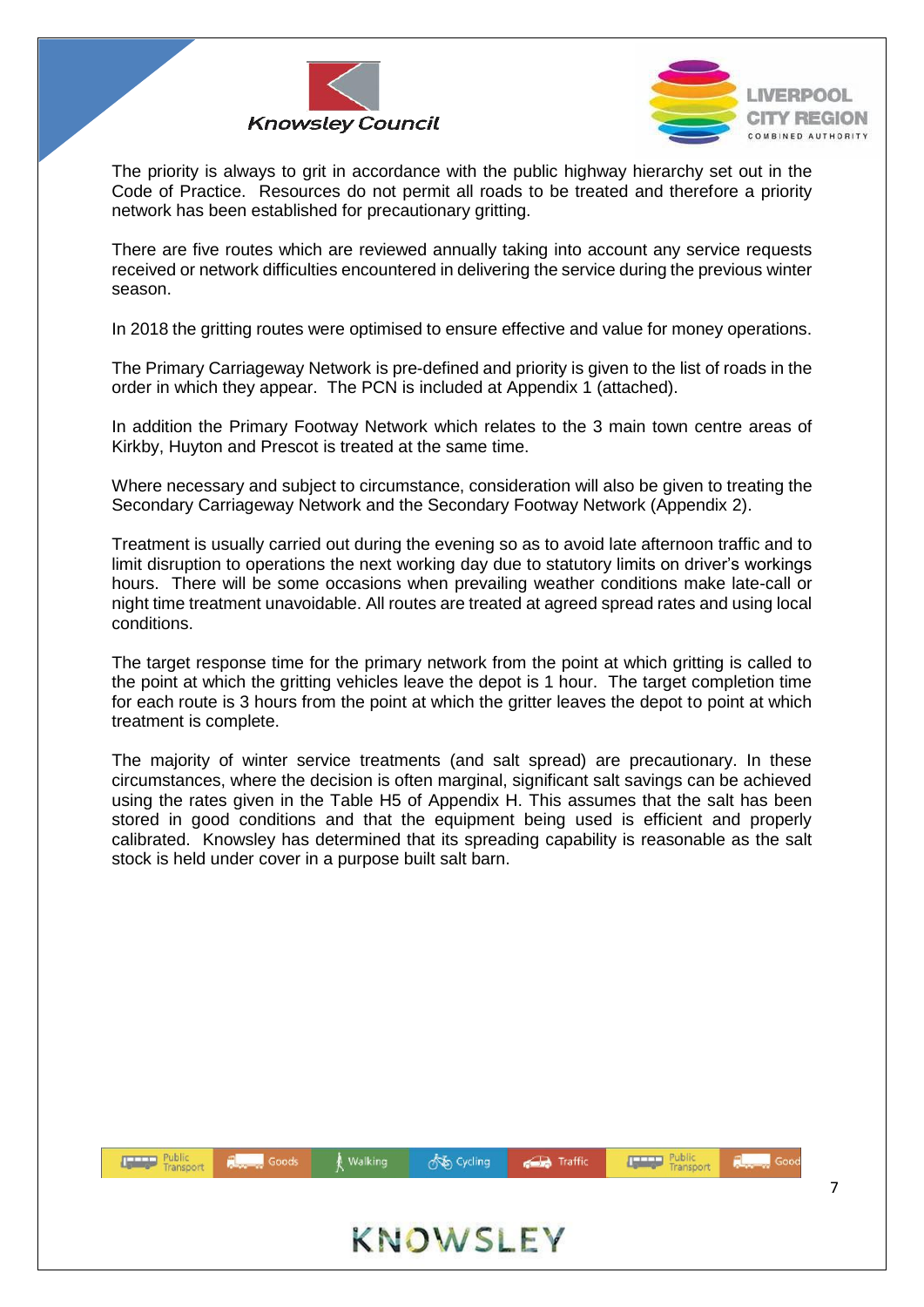



The priority is always to grit in accordance with the public highway hierarchy set out in the Code of Practice. Resources do not permit all roads to be treated and therefore a priority network has been established for precautionary gritting.

There are five routes which are reviewed annually taking into account any service requests received or network difficulties encountered in delivering the service during the previous winter season.

In 2018 the gritting routes were optimised to ensure effective and value for money operations.

The Primary Carriageway Network is pre-defined and priority is given to the list of roads in the order in which they appear. The PCN is included at Appendix 1 (attached).

In addition the Primary Footway Network which relates to the 3 main town centre areas of Kirkby, Huyton and Prescot is treated at the same time.

Where necessary and subject to circumstance, consideration will also be given to treating the Secondary Carriageway Network and the Secondary Footway Network (Appendix 2).

Treatment is usually carried out during the evening so as to avoid late afternoon traffic and to limit disruption to operations the next working day due to statutory limits on driver's workings hours. There will be some occasions when prevailing weather conditions make late-call or night time treatment unavoidable. All routes are treated at agreed spread rates and using local conditions.

The target response time for the primary network from the point at which gritting is called to the point at which the gritting vehicles leave the depot is 1 hour. The target completion time for each route is 3 hours from the point at which the gritter leaves the depot to point at which treatment is complete.

The majority of winter service treatments (and salt spread) are precautionary. In these circumstances, where the decision is often marginal, significant salt savings can be achieved using the rates given in the Table H5 of Appendix H. This assumes that the salt has been stored in good conditions and that the equipment being used is efficient and properly calibrated. Knowsley has determined that its spreading capability is reasonable as the salt stock is held under cover in a purpose built salt barn.

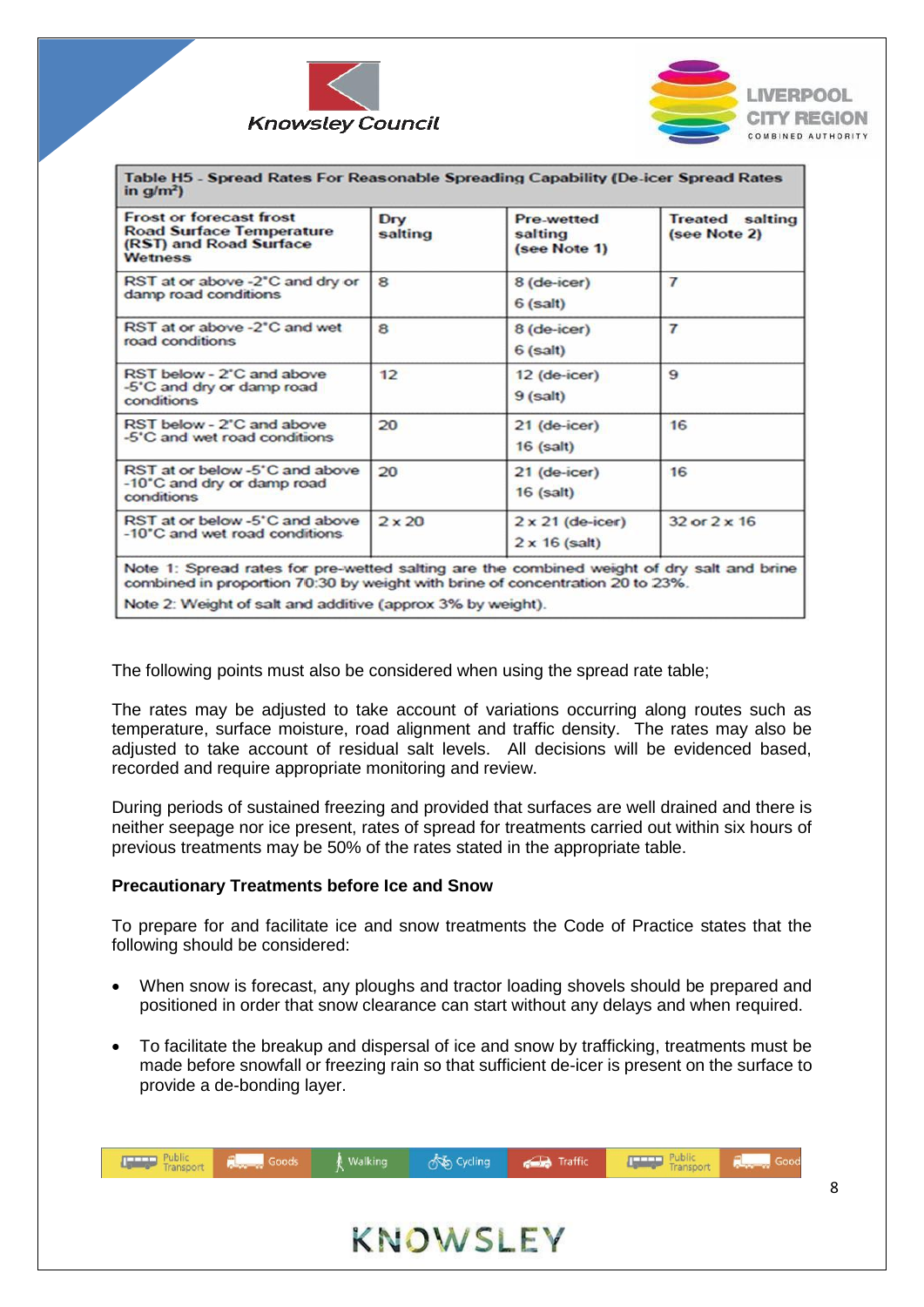



| Table H5 - Spread Rates For Reasonable Spreading Capability (De-icer Spread Rates<br>in $q/m^2$ )                                                                          |                |                                                 |                                        |
|----------------------------------------------------------------------------------------------------------------------------------------------------------------------------|----------------|-------------------------------------------------|----------------------------------------|
| <b>Frost or forecast frost</b><br><b>Road Surface Temperature</b><br>(RST) and Road Surface<br><b>Wetness</b>                                                              | Dry<br>salting | Pre-wetted<br>salting<br>(see Note 1)           | <b>Treated</b> salting<br>(see Note 2) |
| RST at or above -2°C and dry or<br>damp road conditions                                                                                                                    | 8              | 8 (de-icer)<br>$6$ (salt)                       | $\overline{7}$                         |
| RST at or above -2'C and wet<br>road conditions                                                                                                                            | 8              | 8 (de-icer)<br>$6$ (salt)                       | $\overline{7}$                         |
| RST below - 2°C and above<br>-5°C and dry or damp road<br>conditions                                                                                                       | 12             | 12 (de-icer)<br>$9$ (salt)                      | 9                                      |
| RST below - 2°C and above<br>-5°C and wet road conditions                                                                                                                  | 20             | $21$ (de-icer)<br>$16$ (salt)                   | 16                                     |
| RST at or below -5'C and above<br>-10°C and dry or damp road<br>conditions                                                                                                 | 20             | $21$ (de-icer)<br>$16$ (salt)                   | 16                                     |
| RST at or below -5'C and above<br>-10°C and wet road conditions                                                                                                            | $2 \times 20$  | $2 \times 21$ (de-icer)<br>$2 \times 16$ (salt) | $32$ or $2 \times 16$                  |
| Note 1: Spread rates for pre-wetted salting are the combined weight of dry salt and brine<br>combined in proportion 70:30 by weight with brine of concentration 20 to 23%. |                |                                                 |                                        |
| Note 2: Weight of salt and additive (approv 3% by weight)                                                                                                                  |                |                                                 |                                        |

The following points must also be considered when using the spread rate table;

The rates may be adjusted to take account of variations occurring along routes such as temperature, surface moisture, road alignment and traffic density. The rates may also be adjusted to take account of residual salt levels. All decisions will be evidenced based, recorded and require appropriate monitoring and review.

During periods of sustained freezing and provided that surfaces are well drained and there is neither seepage nor ice present, rates of spread for treatments carried out within six hours of previous treatments may be 50% of the rates stated in the appropriate table.

#### **Precautionary Treatments before Ice and Snow**

To prepare for and facilitate ice and snow treatments the Code of Practice states that the following should be considered:

- When snow is forecast, any ploughs and tractor loading shovels should be prepared and positioned in order that snow clearance can start without any delays and when required.
- To facilitate the breakup and dispersal of ice and snow by trafficking, treatments must be made before snowfall or freezing rain so that sufficient de-icer is present on the surface to provide a de-bonding layer.

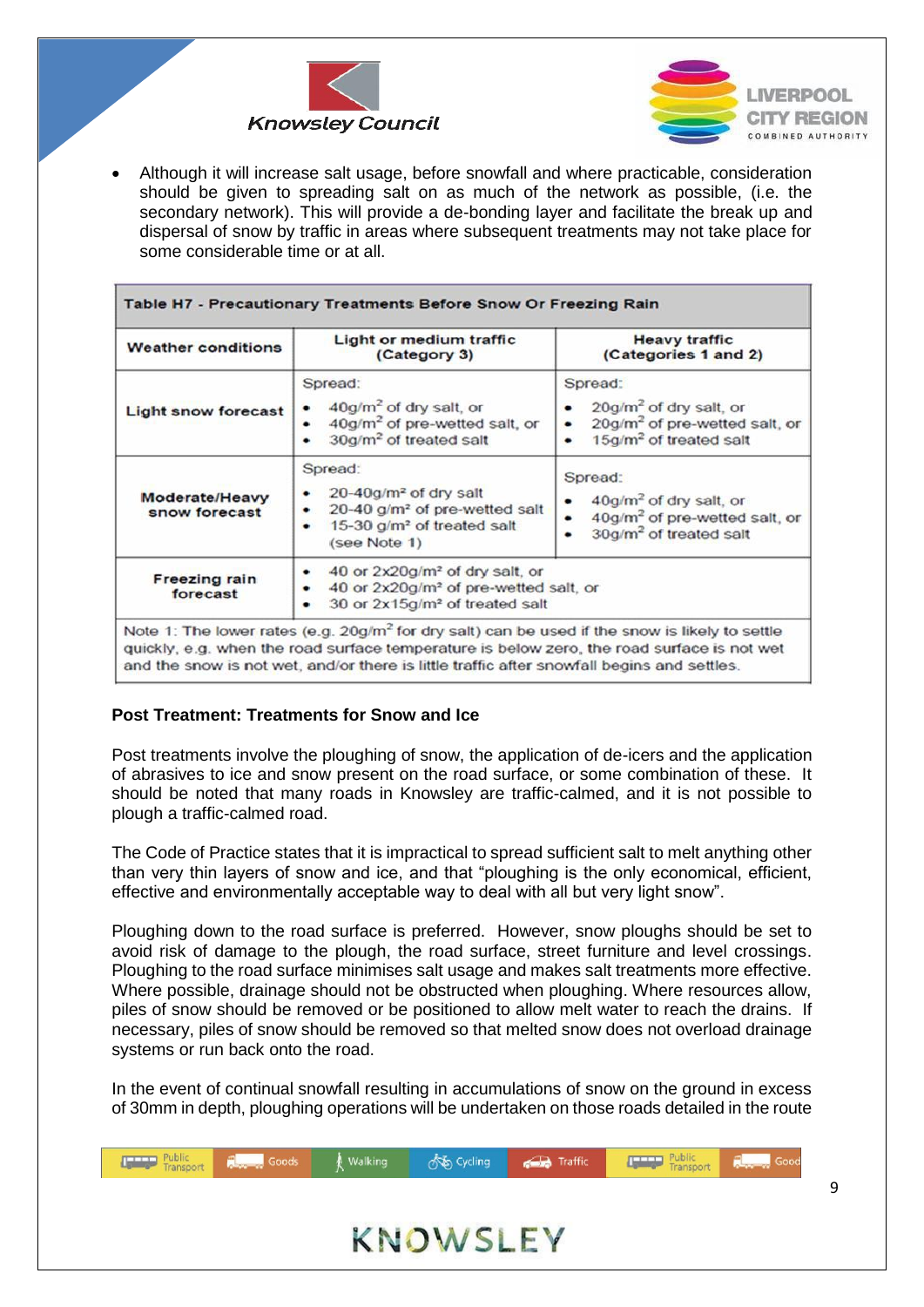



 Although it will increase salt usage, before snowfall and where practicable, consideration should be given to spreading salt on as much of the network as possible, (i.e. the secondary network). This will provide a de-bonding layer and facilitate the break up and dispersal of snow by traffic in areas where subsequent treatments may not take place for some considerable time or at all.

| <b>Weather conditions</b>        | Light or medium traffic<br>(Category 3)                                                                                                                       | <b>Heavy traffic</b><br>(Categories 1 and 2)                                                                                     |  |
|----------------------------------|---------------------------------------------------------------------------------------------------------------------------------------------------------------|----------------------------------------------------------------------------------------------------------------------------------|--|
| <b>Light snow forecast</b>       | Spread:<br>$40$ g/m <sup>2</sup> of dry salt, or<br>40g/m <sup>2</sup> of pre-wetted salt, or<br>30g/m <sup>2</sup> of treated salt<br>٠                      | Spread:<br>20g/m <sup>2</sup> of dry salt, or<br>20g/m <sup>2</sup> of pre-wetted salt, or<br>15g/m <sup>2</sup> of treated salt |  |
| Moderate/Heavy<br>snow forecast  | Spread:<br>20-40g/m <sup>2</sup> of dry salt<br>20-40 g/m <sup>2</sup> of pre-wetted salt<br>٠<br>15-30 g/m <sup>2</sup> of treated salt<br>٠<br>(see Note 1) | Spread:<br>$40g/m2$ of dry salt, or<br>40g/m <sup>2</sup> of pre-wetted salt, or<br>30g/m <sup>2</sup> of treated salt           |  |
| <b>Freezing rain</b><br>forecast | 40 or 2x20g/m <sup>2</sup> of dry salt, or<br>٠<br>40 or 2x20g/m <sup>2</sup> of pre-wetted salt, or<br>٠<br>30 or 2x15g/m <sup>2</sup> of treated salt<br>٠  |                                                                                                                                  |  |

#### **Post Treatment: Treatments for Snow and Ice**

Post treatments involve the ploughing of snow, the application of de-icers and the application of abrasives to ice and snow present on the road surface, or some combination of these. It should be noted that many roads in Knowsley are traffic-calmed, and it is not possible to plough a traffic-calmed road.

The Code of Practice states that it is impractical to spread sufficient salt to melt anything other than very thin layers of snow and ice, and that "ploughing is the only economical, efficient, effective and environmentally acceptable way to deal with all but very light snow".

Ploughing down to the road surface is preferred. However, snow ploughs should be set to avoid risk of damage to the plough, the road surface, street furniture and level crossings. Ploughing to the road surface minimises salt usage and makes salt treatments more effective. Where possible, drainage should not be obstructed when ploughing. Where resources allow, piles of snow should be removed or be positioned to allow melt water to reach the drains. If necessary, piles of snow should be removed so that melted snow does not overload drainage systems or run back onto the road.

In the event of continual snowfall resulting in accumulations of snow on the ground in excess of 30mm in depth, ploughing operations will be undertaken on those roads detailed in the route

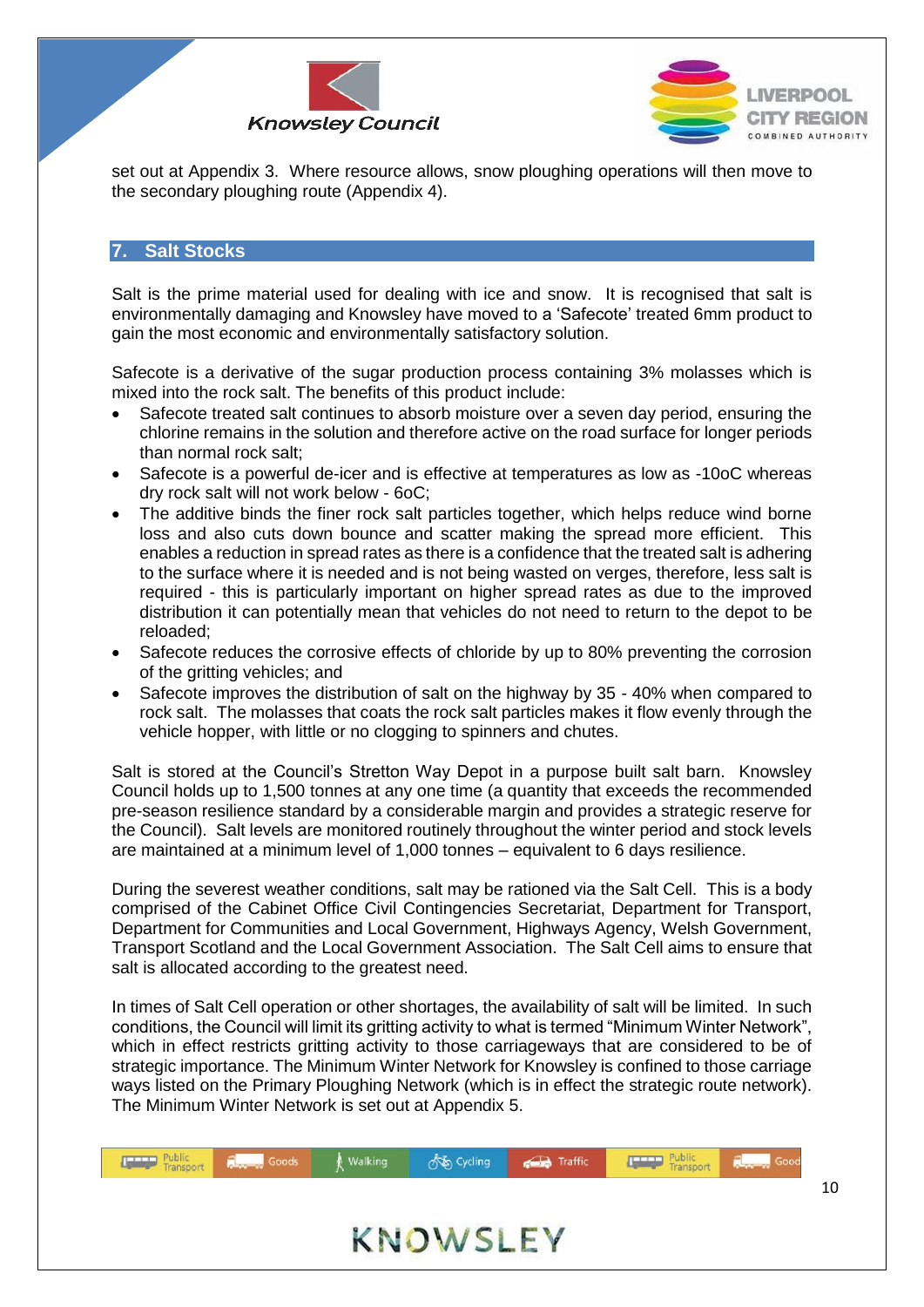



set out at Appendix 3. Where resource allows, snow ploughing operations will then move to the secondary ploughing route (Appendix 4).

#### <span id="page-10-0"></span>**7. Salt Stocks**

Salt is the prime material used for dealing with ice and snow. It is recognised that salt is environmentally damaging and Knowsley have moved to a 'Safecote' treated 6mm product to gain the most economic and environmentally satisfactory solution.

Safecote is a derivative of the sugar production process containing 3% molasses which is mixed into the rock salt. The benefits of this product include:

- Safecote treated salt continues to absorb moisture over a seven day period, ensuring the chlorine remains in the solution and therefore active on the road surface for longer periods than normal rock salt;
- Safecote is a powerful de-icer and is effective at temperatures as low as -10oC whereas dry rock salt will not work below - 6oC;
- The additive binds the finer rock salt particles together, which helps reduce wind borne loss and also cuts down bounce and scatter making the spread more efficient. This enables a reduction in spread rates as there is a confidence that the treated salt is adhering to the surface where it is needed and is not being wasted on verges, therefore, less salt is required - this is particularly important on higher spread rates as due to the improved distribution it can potentially mean that vehicles do not need to return to the depot to be reloaded;
- Safecote reduces the corrosive effects of chloride by up to 80% preventing the corrosion of the gritting vehicles; and
- Safecote improves the distribution of salt on the highway by 35 40% when compared to rock salt. The molasses that coats the rock salt particles makes it flow evenly through the vehicle hopper, with little or no clogging to spinners and chutes.

Salt is stored at the Council's Stretton Way Depot in a purpose built salt barn. Knowsley Council holds up to 1,500 tonnes at any one time (a quantity that exceeds the recommended pre-season resilience standard by a considerable margin and provides a strategic reserve for the Council). Salt levels are monitored routinely throughout the winter period and stock levels are maintained at a minimum level of 1,000 tonnes – equivalent to 6 days resilience.

During the severest weather conditions, salt may be rationed via the Salt Cell. This is a body comprised of the Cabinet Office Civil Contingencies Secretariat, Department for Transport, Department for Communities and Local Government, Highways Agency, Welsh Government, Transport Scotland and the Local Government Association. The Salt Cell aims to ensure that salt is allocated according to the greatest need.

In times of Salt Cell operation or other shortages, the availability of salt will be limited. In such conditions, the Council will limit its gritting activity to what is termed "Minimum Winter Network", which in effect restricts gritting activity to those carriageways that are considered to be of strategic importance. The Minimum Winter Network for Knowsley is confined to those carriage ways listed on the Primary Ploughing Network (which is in effect the strategic route network). The Minimum Winter Network is set out at Appendix 5.

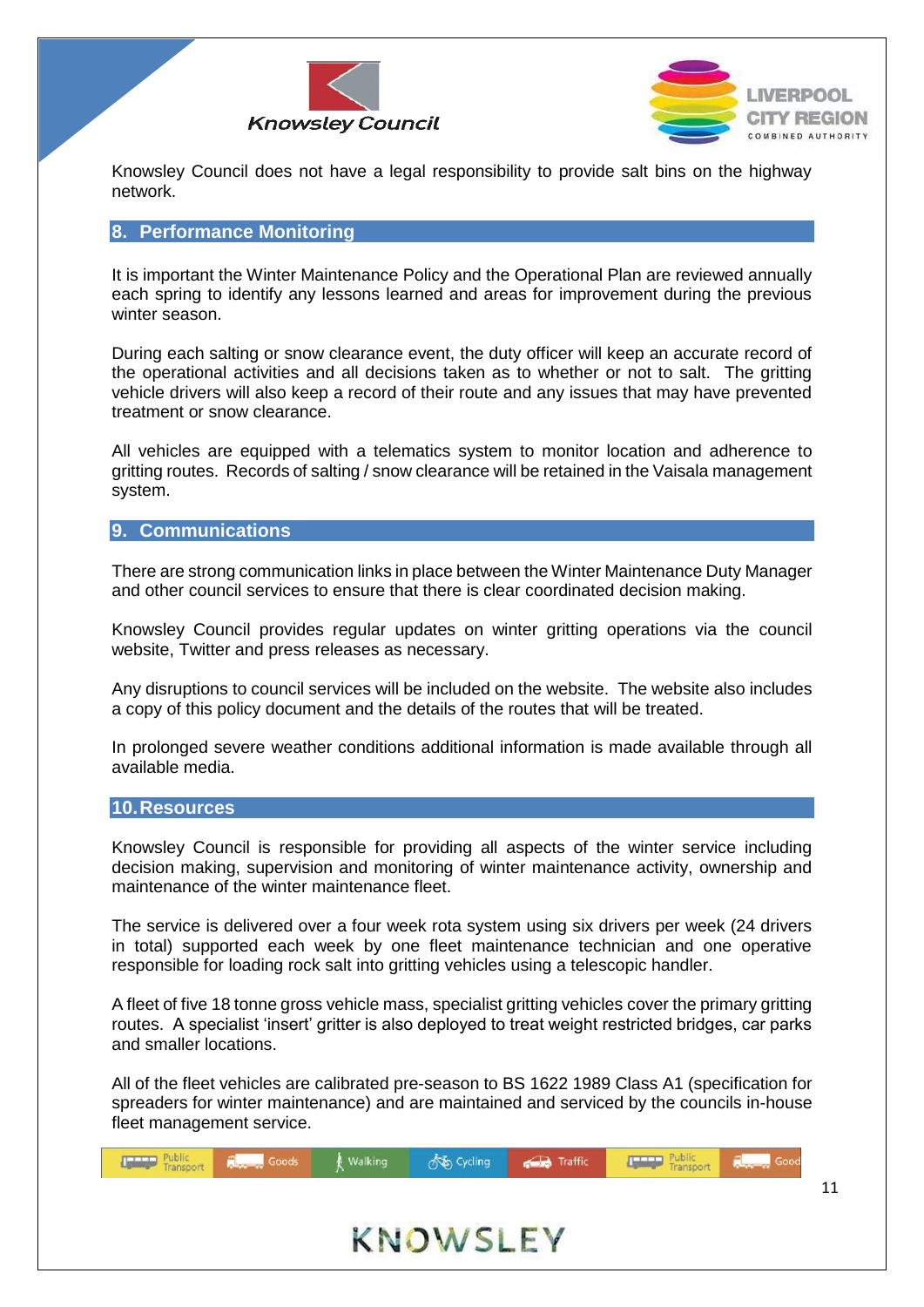



Knowsley Council does not have a legal responsibility to provide salt bins on the highway network.

#### <span id="page-11-0"></span>**8. Performance Monitoring**

It is important the Winter Maintenance Policy and the Operational Plan are reviewed annually each spring to identify any lessons learned and areas for improvement during the previous winter season.

During each salting or snow clearance event, the duty officer will keep an accurate record of the operational activities and all decisions taken as to whether or not to salt. The gritting vehicle drivers will also keep a record of their route and any issues that may have prevented treatment or snow clearance.

All vehicles are equipped with a telematics system to monitor location and adherence to gritting routes. Records of salting / snow clearance will be retained in the Vaisala management system.

#### <span id="page-11-1"></span>**9. Communications**

There are strong communication links in place between the Winter Maintenance Duty Manager and other council services to ensure that there is clear coordinated decision making.

Knowsley Council provides regular updates on winter gritting operations via the council website, Twitter and press releases as necessary.

Any disruptions to council services will be included on the website. The website also includes a copy of this policy document and the details of the routes that will be treated.

In prolonged severe weather conditions additional information is made available through all available media.

#### <span id="page-11-2"></span>**10.Resources**

Knowsley Council is responsible for providing all aspects of the winter service including decision making, supervision and monitoring of winter maintenance activity, ownership and maintenance of the winter maintenance fleet.

The service is delivered over a four week rota system using six drivers per week (24 drivers in total) supported each week by one fleet maintenance technician and one operative responsible for loading rock salt into gritting vehicles using a telescopic handler.

A fleet of five 18 tonne gross vehicle mass, specialist gritting vehicles cover the primary gritting routes. A specialist 'insert' gritter is also deployed to treat weight restricted bridges, car parks and smaller locations.

All of the fleet vehicles are calibrated pre-season to BS 1622 1989 Class A1 (specification for spreaders for winter maintenance) and are maintained and serviced by the councils in-house fleet management service.

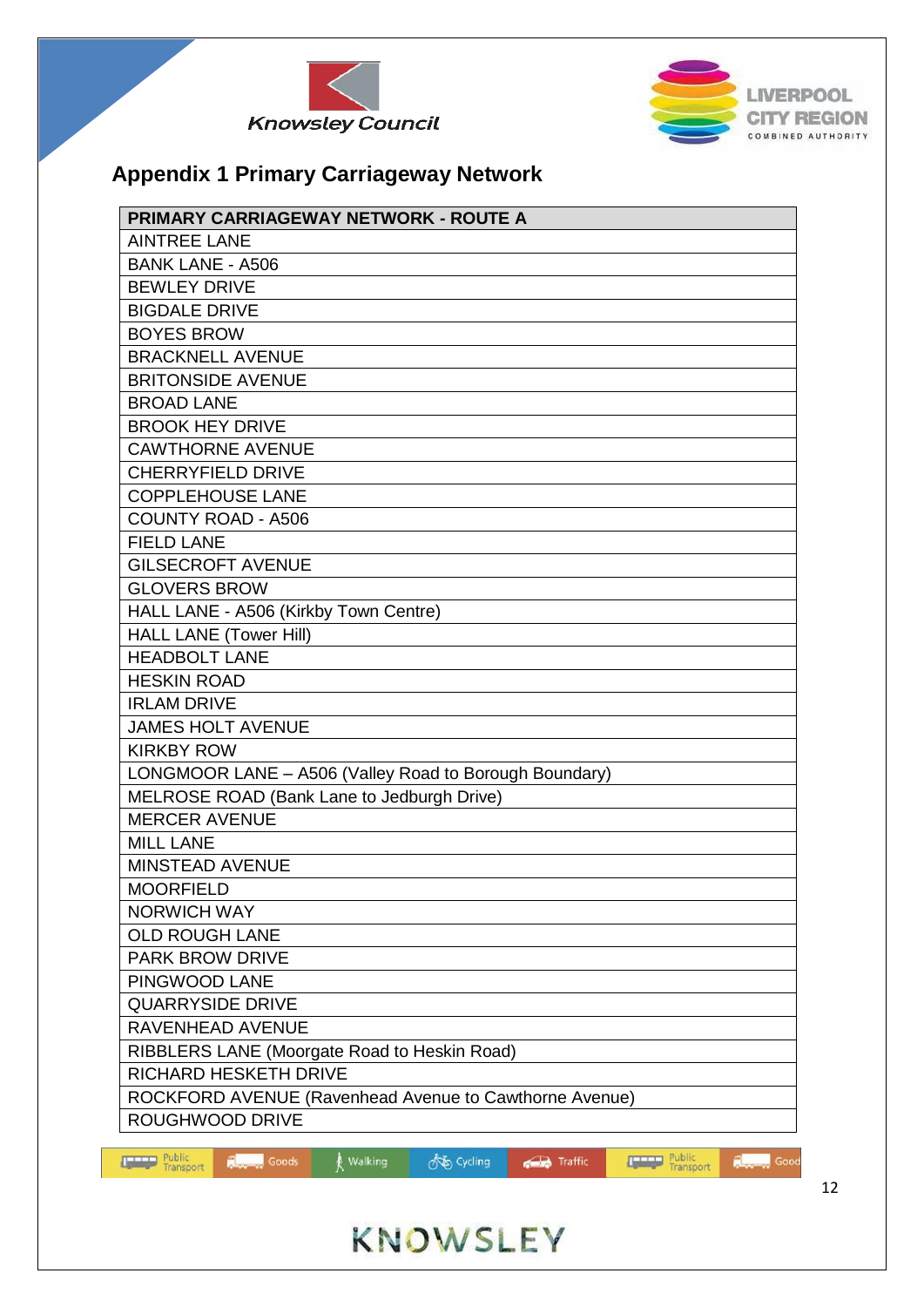



## **Appendix 1 Primary Carriageway Network**

| <b>AINTREE LANE</b><br><b>BANK LANE - A506</b><br><b>BEWLEY DRIVE</b><br><b>BIGDALE DRIVE</b><br><b>BOYES BROW</b><br><b>BRACKNELL AVENUE</b><br><b>BRITONSIDE AVENUE</b><br><b>BROAD LANE</b><br><b>BROOK HEY DRIVE</b><br><b>CAWTHORNE AVENUE</b><br><b>CHERRYFIELD DRIVE</b><br><b>COPPLEHOUSE LANE</b><br><b>COUNTY ROAD - A506</b><br><b>FIELD LANE</b><br><b>GILSECROFT AVENUE</b><br><b>GLOVERS BROW</b><br>HALL LANE - A506 (Kirkby Town Centre)<br><b>HALL LANE (Tower Hill)</b><br><b>HEADBOLT LANE</b><br><b>HESKIN ROAD</b><br><b>IRLAM DRIVE</b><br><b>JAMES HOLT AVENUE</b><br><b>KIRKBY ROW</b><br>LONGMOOR LANE - A506 (Valley Road to Borough Boundary)<br>MELROSE ROAD (Bank Lane to Jedburgh Drive)<br><b>MERCER AVENUE</b><br><b>MILL LANE</b><br>MINSTEAD AVENUE<br><b>MOORFIELD</b><br><b>NORWICH WAY</b><br><b>OLD ROUGH LANE</b> |
|----------------------------------------------------------------------------------------------------------------------------------------------------------------------------------------------------------------------------------------------------------------------------------------------------------------------------------------------------------------------------------------------------------------------------------------------------------------------------------------------------------------------------------------------------------------------------------------------------------------------------------------------------------------------------------------------------------------------------------------------------------------------------------------------------------------------------------------------------------|
|                                                                                                                                                                                                                                                                                                                                                                                                                                                                                                                                                                                                                                                                                                                                                                                                                                                          |
|                                                                                                                                                                                                                                                                                                                                                                                                                                                                                                                                                                                                                                                                                                                                                                                                                                                          |
|                                                                                                                                                                                                                                                                                                                                                                                                                                                                                                                                                                                                                                                                                                                                                                                                                                                          |
|                                                                                                                                                                                                                                                                                                                                                                                                                                                                                                                                                                                                                                                                                                                                                                                                                                                          |
|                                                                                                                                                                                                                                                                                                                                                                                                                                                                                                                                                                                                                                                                                                                                                                                                                                                          |
|                                                                                                                                                                                                                                                                                                                                                                                                                                                                                                                                                                                                                                                                                                                                                                                                                                                          |
|                                                                                                                                                                                                                                                                                                                                                                                                                                                                                                                                                                                                                                                                                                                                                                                                                                                          |
|                                                                                                                                                                                                                                                                                                                                                                                                                                                                                                                                                                                                                                                                                                                                                                                                                                                          |
|                                                                                                                                                                                                                                                                                                                                                                                                                                                                                                                                                                                                                                                                                                                                                                                                                                                          |
|                                                                                                                                                                                                                                                                                                                                                                                                                                                                                                                                                                                                                                                                                                                                                                                                                                                          |
|                                                                                                                                                                                                                                                                                                                                                                                                                                                                                                                                                                                                                                                                                                                                                                                                                                                          |
|                                                                                                                                                                                                                                                                                                                                                                                                                                                                                                                                                                                                                                                                                                                                                                                                                                                          |
|                                                                                                                                                                                                                                                                                                                                                                                                                                                                                                                                                                                                                                                                                                                                                                                                                                                          |
|                                                                                                                                                                                                                                                                                                                                                                                                                                                                                                                                                                                                                                                                                                                                                                                                                                                          |
|                                                                                                                                                                                                                                                                                                                                                                                                                                                                                                                                                                                                                                                                                                                                                                                                                                                          |
|                                                                                                                                                                                                                                                                                                                                                                                                                                                                                                                                                                                                                                                                                                                                                                                                                                                          |
|                                                                                                                                                                                                                                                                                                                                                                                                                                                                                                                                                                                                                                                                                                                                                                                                                                                          |
|                                                                                                                                                                                                                                                                                                                                                                                                                                                                                                                                                                                                                                                                                                                                                                                                                                                          |
|                                                                                                                                                                                                                                                                                                                                                                                                                                                                                                                                                                                                                                                                                                                                                                                                                                                          |
|                                                                                                                                                                                                                                                                                                                                                                                                                                                                                                                                                                                                                                                                                                                                                                                                                                                          |
|                                                                                                                                                                                                                                                                                                                                                                                                                                                                                                                                                                                                                                                                                                                                                                                                                                                          |
|                                                                                                                                                                                                                                                                                                                                                                                                                                                                                                                                                                                                                                                                                                                                                                                                                                                          |
|                                                                                                                                                                                                                                                                                                                                                                                                                                                                                                                                                                                                                                                                                                                                                                                                                                                          |
|                                                                                                                                                                                                                                                                                                                                                                                                                                                                                                                                                                                                                                                                                                                                                                                                                                                          |
|                                                                                                                                                                                                                                                                                                                                                                                                                                                                                                                                                                                                                                                                                                                                                                                                                                                          |
|                                                                                                                                                                                                                                                                                                                                                                                                                                                                                                                                                                                                                                                                                                                                                                                                                                                          |
|                                                                                                                                                                                                                                                                                                                                                                                                                                                                                                                                                                                                                                                                                                                                                                                                                                                          |
|                                                                                                                                                                                                                                                                                                                                                                                                                                                                                                                                                                                                                                                                                                                                                                                                                                                          |
|                                                                                                                                                                                                                                                                                                                                                                                                                                                                                                                                                                                                                                                                                                                                                                                                                                                          |
|                                                                                                                                                                                                                                                                                                                                                                                                                                                                                                                                                                                                                                                                                                                                                                                                                                                          |
|                                                                                                                                                                                                                                                                                                                                                                                                                                                                                                                                                                                                                                                                                                                                                                                                                                                          |
| <b>PARK BROW DRIVE</b>                                                                                                                                                                                                                                                                                                                                                                                                                                                                                                                                                                                                                                                                                                                                                                                                                                   |
| PINGWOOD LANE                                                                                                                                                                                                                                                                                                                                                                                                                                                                                                                                                                                                                                                                                                                                                                                                                                            |
| <b>QUARRYSIDE DRIVE</b>                                                                                                                                                                                                                                                                                                                                                                                                                                                                                                                                                                                                                                                                                                                                                                                                                                  |
| RAVENHEAD AVENUE                                                                                                                                                                                                                                                                                                                                                                                                                                                                                                                                                                                                                                                                                                                                                                                                                                         |
| RIBBLERS LANE (Moorgate Road to Heskin Road)                                                                                                                                                                                                                                                                                                                                                                                                                                                                                                                                                                                                                                                                                                                                                                                                             |
| <b>RICHARD HESKETH DRIVE</b>                                                                                                                                                                                                                                                                                                                                                                                                                                                                                                                                                                                                                                                                                                                                                                                                                             |
| ROCKFORD AVENUE (Ravenhead Avenue to Cawthorne Avenue)                                                                                                                                                                                                                                                                                                                                                                                                                                                                                                                                                                                                                                                                                                                                                                                                   |
| ROUGHWOOD DRIVE                                                                                                                                                                                                                                                                                                                                                                                                                                                                                                                                                                                                                                                                                                                                                                                                                                          |
| Public<br>Transport<br>Public<br>Transport<br>os Cycling<br><b>Report Society</b><br>Traffic<br>Good<br><b>Letters</b><br>Walking<br><b>Ugang</b><br>$\overline{A}$                                                                                                                                                                                                                                                                                                                                                                                                                                                                                                                                                                                                                                                                                      |

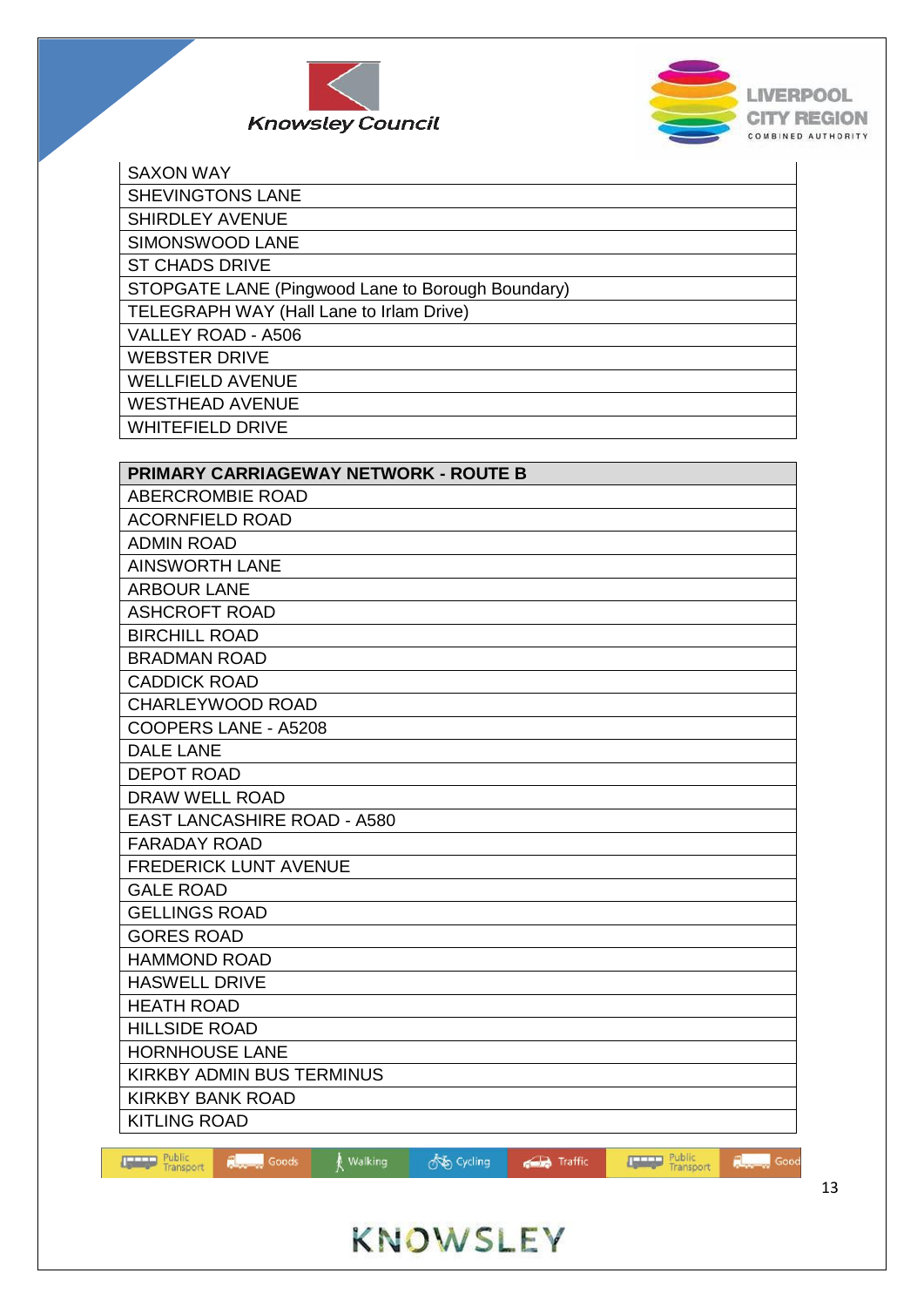



| <b>SAXON WAY</b>                                                                         |
|------------------------------------------------------------------------------------------|
| <b>SHEVINGTONS LANE</b>                                                                  |
| <b>SHIRDLEY AVENUE</b>                                                                   |
| SIMONSWOOD LANE                                                                          |
| <b>ST CHADS DRIVE</b>                                                                    |
| STOPGATE LANE (Pingwood Lane to Borough Boundary)                                        |
| TELEGRAPH WAY (Hall Lane to Irlam Drive)                                                 |
| VALLEY ROAD - A506                                                                       |
| <b>WEBSTER DRIVE</b>                                                                     |
| <b>WELLFIELD AVENUE</b>                                                                  |
| <b>WESTHEAD AVENUE</b>                                                                   |
| <b>WHITEFIELD DRIVE</b>                                                                  |
|                                                                                          |
| <b>PRIMARY CARRIAGEWAY NETWORK - ROUTE B</b>                                             |
| ABERCROMBIE ROAD                                                                         |
| <b>ACORNFIELD ROAD</b>                                                                   |
| <b>ADMIN ROAD</b>                                                                        |
| <b>AINSWORTH LANE</b>                                                                    |
| <b>ARBOUR LANE</b>                                                                       |
| <b>ASHCROFT ROAD</b>                                                                     |
| <b>BIRCHILL ROAD</b>                                                                     |
| <b>BRADMAN ROAD</b>                                                                      |
| <b>CADDICK ROAD</b>                                                                      |
| <b>CHARLEYWOOD ROAD</b>                                                                  |
| COOPERS LANE - A5208                                                                     |
| <b>DALE LANE</b>                                                                         |
| <b>DEPOT ROAD</b>                                                                        |
| DRAW WELL ROAD                                                                           |
| <b>EAST LANCASHIRE ROAD - A580</b>                                                       |
| <b>FARADAY ROAD</b>                                                                      |
| <b>FREDERICK LUNT AVENUE</b>                                                             |
| <b>GALE ROAD</b>                                                                         |
| <b>GELLINGS ROAD</b>                                                                     |
| <b>GORES ROAD</b>                                                                        |
| <b>HAMMOND ROAD</b>                                                                      |
| <b>HASWELL DRIVE</b>                                                                     |
| <b>HEATH ROAD</b>                                                                        |
| <b>HILLSIDE ROAD</b>                                                                     |
| <b>HORNHOUSE LANE</b>                                                                    |
| KIRKBY ADMIN BUS TERMINUS                                                                |
| <b>KIRKBY BANK ROAD</b>                                                                  |
| <b>KITLING ROAD</b>                                                                      |
| <b>Transport</b> Public<br><b>Fublic</b><br>Transport<br>FL.<br>Goods<br>Walking<br>Good |
| on Cycling<br>Traffic                                                                    |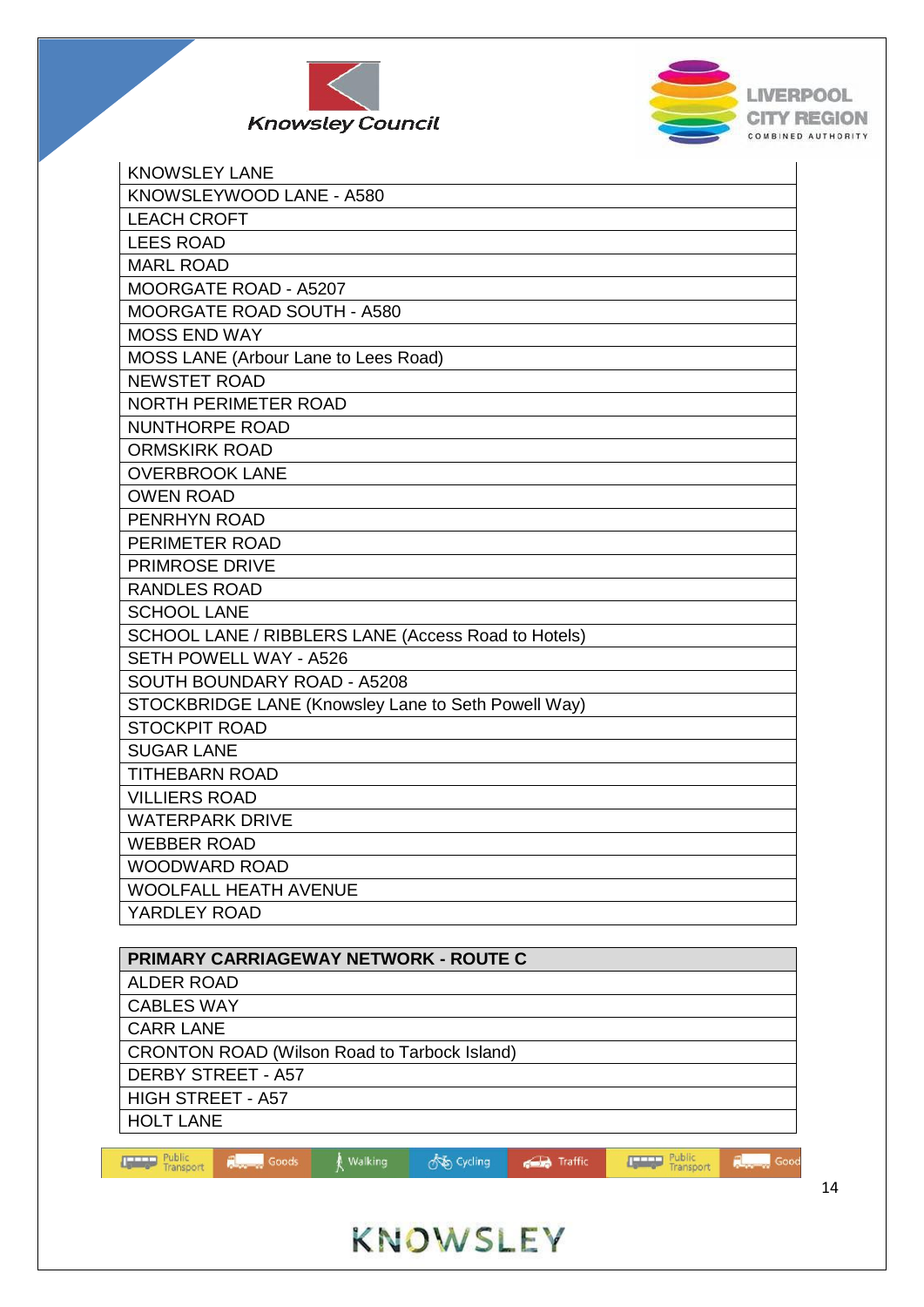



| <b>KNOWSLEY LANE</b>                                |
|-----------------------------------------------------|
| KNOWSLEYWOOD LANE - A580                            |
| <b>LEACH CROFT</b>                                  |
| <b>LEES ROAD</b>                                    |
| <b>MARL ROAD</b>                                    |
| MOORGATE ROAD - A5207                               |
| MOORGATE ROAD SOUTH - A580                          |
| <b>MOSS END WAY</b>                                 |
| MOSS LANE (Arbour Lane to Lees Road)                |
| <b>NEWSTET ROAD</b>                                 |
| NORTH PERIMETER ROAD                                |
| <b>NUNTHORPE ROAD</b>                               |
| <b>ORMSKIRK ROAD</b>                                |
| <b>OVERBROOK LANE</b>                               |
| <b>OWEN ROAD</b>                                    |
| PENRHYN ROAD                                        |
| PERIMETER ROAD                                      |
| <b>PRIMROSE DRIVE</b>                               |
| <b>RANDLES ROAD</b>                                 |
| <b>SCHOOL LANE</b>                                  |
| SCHOOL LANE / RIBBLERS LANE (Access Road to Hotels) |
| <b>SETH POWELL WAY - A526</b>                       |
| SOUTH BOUNDARY ROAD - A5208                         |
| STOCKBRIDGE LANE (Knowsley Lane to Seth Powell Way) |
| <b>STOCKPIT ROAD</b>                                |
| <b>SUGAR LANE</b>                                   |
| <b>TITHEBARN ROAD</b>                               |
| <b>VILLIERS ROAD</b>                                |
| <b>WATERPARK DRIVE</b>                              |
| <b>WEBBER ROAD</b>                                  |
| <b>WOODWARD ROAD</b>                                |
| <b>WOOLFALL HEATH AVENUE</b>                        |
| YARDLEY ROAD                                        |
|                                                     |

| <b>PRIMARY CARRIAGEWAY NETWORK - ROUTE C</b>                              |
|---------------------------------------------------------------------------|
| <b>ALDER ROAD</b>                                                         |
| <b>CABLES WAY</b>                                                         |
| <b>CARR LANE</b>                                                          |
| <b>CRONTON ROAD (Wilson Road to Tarbock Island)</b>                       |
| <b>DERBY STREET - A57</b>                                                 |
| <b>HIGH STREET - A57</b>                                                  |
| <b>HOLT LANE</b>                                                          |
|                                                                           |
| Public<br>∱উচ Cycling<br>Walking<br>Goods<br>Traffic<br>Good<br>Transport |

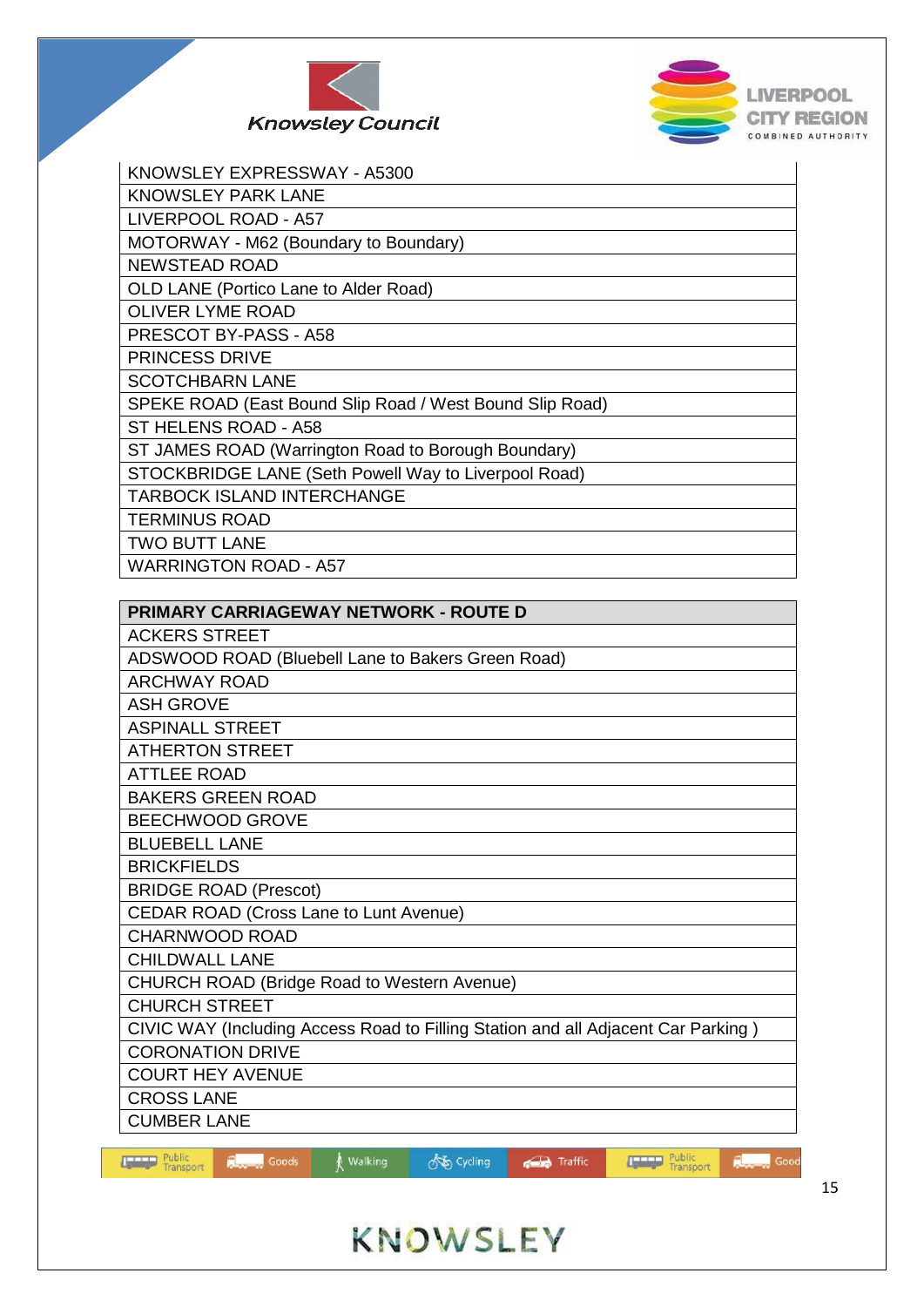



| KNOWSLEY EXPRESSWAY - A5300                              |
|----------------------------------------------------------|
| <b>KNOWSLEY PARK LANE</b>                                |
| LIVERPOOL ROAD - A57                                     |
| MOTORWAY - M62 (Boundary to Boundary)                    |
| <b>NEWSTEAD ROAD</b>                                     |
| <b>OLD LANE (Portico Lane to Alder Road)</b>             |
| <b>OLIVER LYME ROAD</b>                                  |
| PRESCOT BY-PASS - A58                                    |
| <b>PRINCESS DRIVE</b>                                    |
| <b>SCOTCHBARN LANE</b>                                   |
| SPEKE ROAD (East Bound Slip Road / West Bound Slip Road) |
| ST HELENS ROAD - A58                                     |
| ST JAMES ROAD (Warrington Road to Borough Boundary)      |
| STOCKBRIDGE LANE (Seth Powell Way to Liverpool Road)     |
| <b>TARBOCK ISLAND INTERCHANGE</b>                        |
| <b>TERMINUS ROAD</b>                                     |
| <b>TWO BUTT LANE</b>                                     |
| <b>WARRINGTON ROAD - A57</b>                             |

| PRIMARY CARRIAGEWAY NETWORK - ROUTE D                                                                                              |
|------------------------------------------------------------------------------------------------------------------------------------|
| <b>ACKERS STREET</b>                                                                                                               |
| ADSWOOD ROAD (Bluebell Lane to Bakers Green Road)                                                                                  |
| <b>ARCHWAY ROAD</b>                                                                                                                |
| <b>ASH GROVE</b>                                                                                                                   |
| <b>ASPINALL STREET</b>                                                                                                             |
| <b>ATHERTON STREET</b>                                                                                                             |
| <b>ATTLEE ROAD</b>                                                                                                                 |
| <b>BAKERS GREEN ROAD</b>                                                                                                           |
| <b>BEECHWOOD GROVE</b>                                                                                                             |
| <b>BLUEBELL LANE</b>                                                                                                               |
| <b>BRICKFIELDS</b>                                                                                                                 |
| <b>BRIDGE ROAD (Prescot)</b>                                                                                                       |
| <b>CEDAR ROAD (Cross Lane to Lunt Avenue)</b>                                                                                      |
| <b>CHARNWOOD ROAD</b>                                                                                                              |
| <b>CHILDWALL LANE</b>                                                                                                              |
| <b>CHURCH ROAD (Bridge Road to Western Avenue)</b>                                                                                 |
| <b>CHURCH STREET</b>                                                                                                               |
| CIVIC WAY (Including Access Road to Filling Station and all Adjacent Car Parking)                                                  |
| <b>CORONATION DRIVE</b>                                                                                                            |
| <b>COURT HEY AVENUE</b>                                                                                                            |
| <b>CROSS LANE</b>                                                                                                                  |
| <b>CUMBER LANE</b>                                                                                                                 |
| <b>TELLET Public</b><br><b>THEFT Public</b><br>$\hbar$ Walking<br>$\Box$ Goods<br>Anto Curling<br>Good<br>$\sqrt{a}$ Traffic<br>m. |

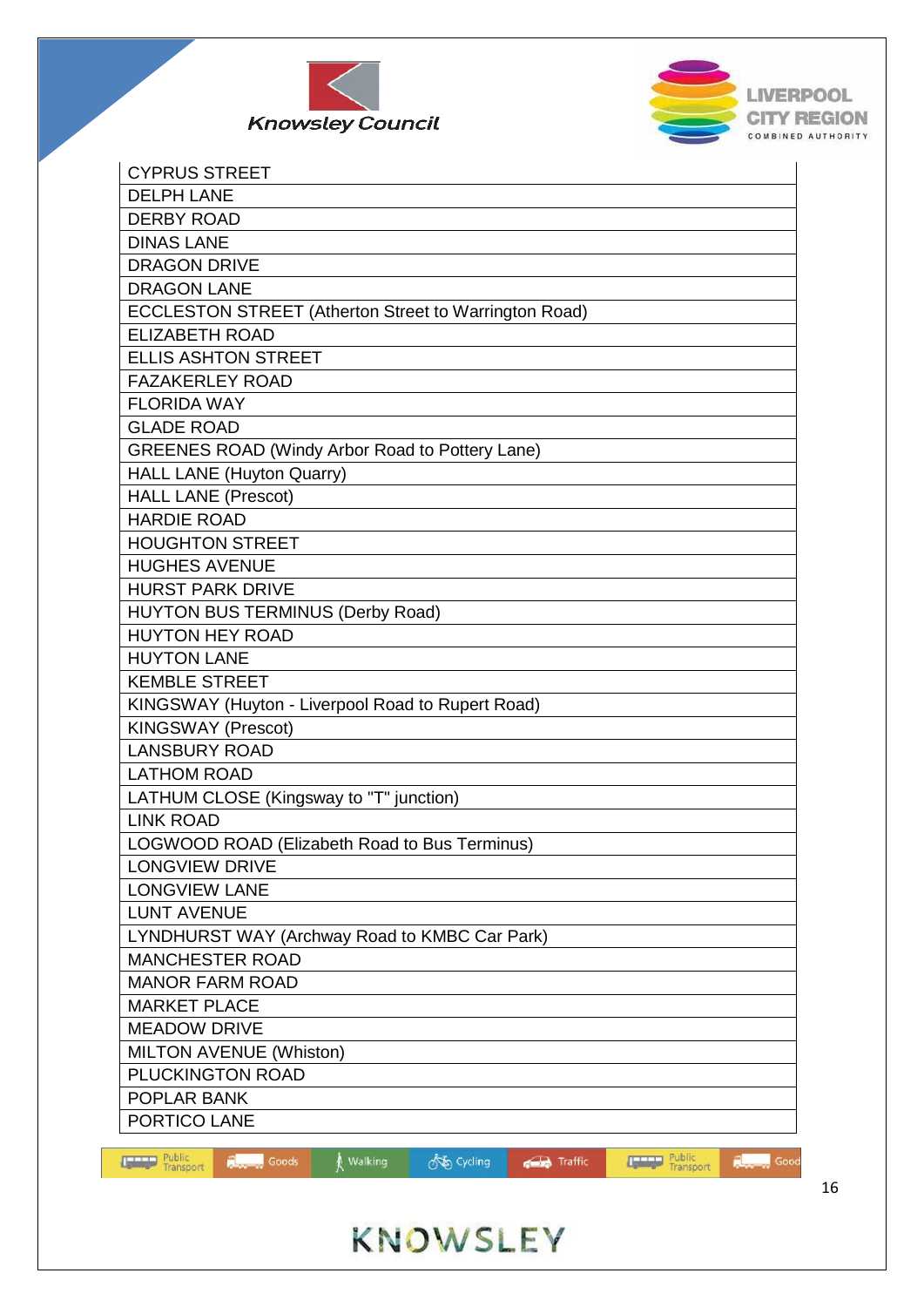



| <b>CYPRUS STREET</b>                                                                                                                         |
|----------------------------------------------------------------------------------------------------------------------------------------------|
| <b>DELPH LANE</b>                                                                                                                            |
| <b>DERBY ROAD</b>                                                                                                                            |
| <b>DINAS LANE</b>                                                                                                                            |
| <b>DRAGON DRIVE</b>                                                                                                                          |
| <b>DRAGON LANE</b>                                                                                                                           |
| ECCLESTON STREET (Atherton Street to Warrington Road)                                                                                        |
| <b>ELIZABETH ROAD</b>                                                                                                                        |
| <b>ELLIS ASHTON STREET</b>                                                                                                                   |
| <b>FAZAKERLEY ROAD</b>                                                                                                                       |
| <b>FLORIDA WAY</b>                                                                                                                           |
| <b>GLADE ROAD</b>                                                                                                                            |
| <b>GREENES ROAD (Windy Arbor Road to Pottery Lane)</b>                                                                                       |
| HALL LANE (Huyton Quarry)                                                                                                                    |
| <b>HALL LANE (Prescot)</b>                                                                                                                   |
| <b>HARDIE ROAD</b>                                                                                                                           |
| <b>HOUGHTON STREET</b>                                                                                                                       |
| <b>HUGHES AVENUE</b>                                                                                                                         |
| <b>HURST PARK DRIVE</b>                                                                                                                      |
| <b>HUYTON BUS TERMINUS (Derby Road)</b>                                                                                                      |
| <b>HUYTON HEY ROAD</b>                                                                                                                       |
| <b>HUYTON LANE</b>                                                                                                                           |
| <b>KEMBLE STREET</b>                                                                                                                         |
| KINGSWAY (Huyton - Liverpool Road to Rupert Road)                                                                                            |
| <b>KINGSWAY (Prescot)</b>                                                                                                                    |
| <b>LANSBURY ROAD</b>                                                                                                                         |
| <b>LATHOM ROAD</b>                                                                                                                           |
| LATHUM CLOSE (Kingsway to "T" junction)                                                                                                      |
| <b>LINK ROAD</b>                                                                                                                             |
| LOGWOOD ROAD (Elizabeth Road to Bus Terminus)                                                                                                |
| <b>LONGVIEW DRIVE</b>                                                                                                                        |
| <b>LONGVIEW LANE</b>                                                                                                                         |
| <b>LUNT AVENUE</b>                                                                                                                           |
| LYNDHURST WAY (Archway Road to KMBC Car Park)                                                                                                |
| <b>MANCHESTER ROAD</b>                                                                                                                       |
| <b>MANOR FARM ROAD</b>                                                                                                                       |
| <b>MARKET PLACE</b>                                                                                                                          |
| <b>MEADOW DRIVE</b>                                                                                                                          |
| <b>MILTON AVENUE (Whiston)</b>                                                                                                               |
| PLUCKINGTON ROAD                                                                                                                             |
| POPLAR BANK                                                                                                                                  |
| PORTICO LANE                                                                                                                                 |
|                                                                                                                                              |
| Public<br>Transport<br>Public<br>Transport<br>on Cycling<br>Goods<br>Traffic<br><b>IF THE</b><br>륁<br>Walking<br>린<br><b>Limited</b><br>Good |

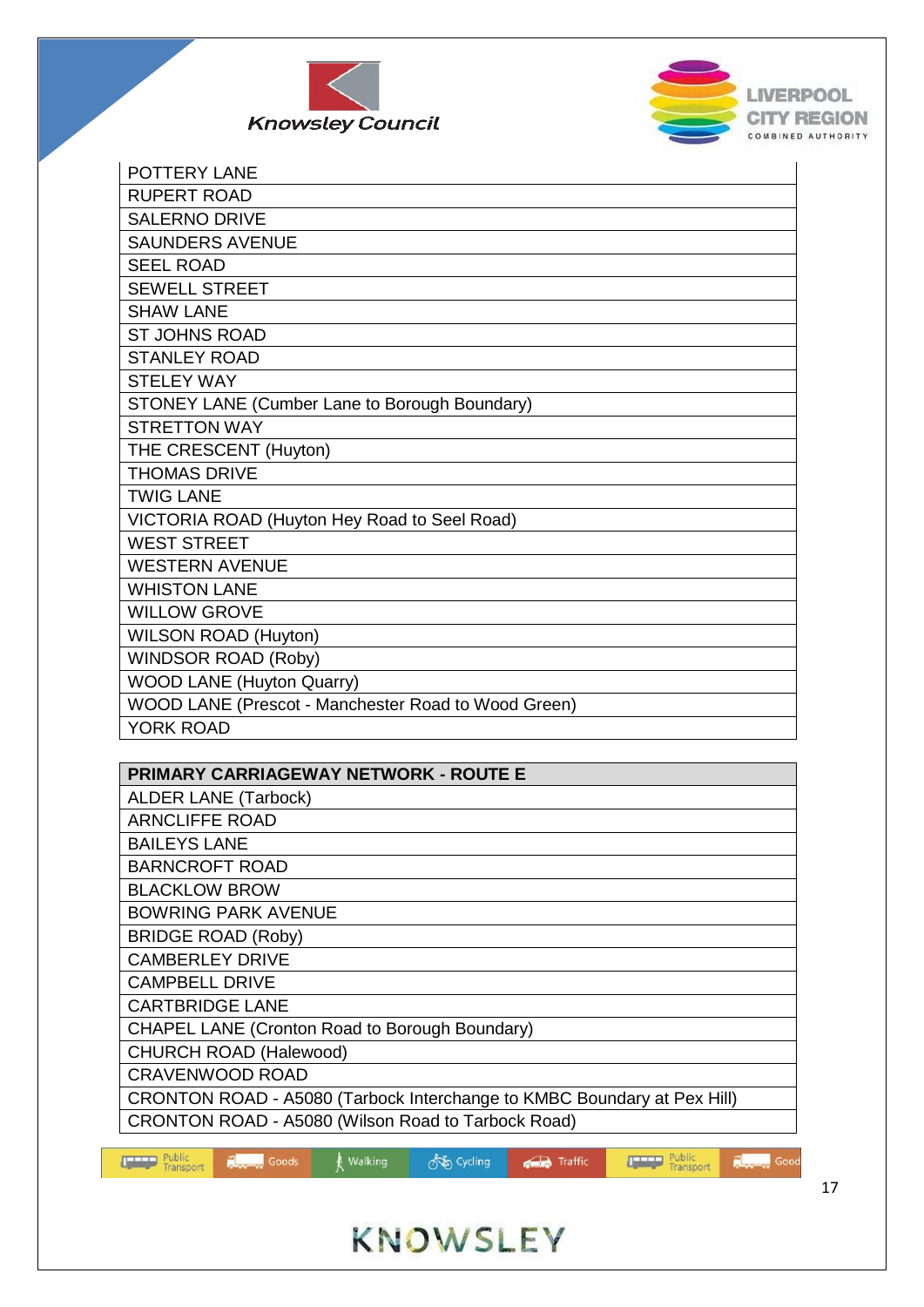



| <b>POTTERY LANE</b>                                 |
|-----------------------------------------------------|
| <b>RUPERT ROAD</b>                                  |
| <b>SALERNO DRIVE</b>                                |
| <b>SAUNDERS AVENUE</b>                              |
| <b>SEEL ROAD</b>                                    |
| <b>SEWELL STREET</b>                                |
| <b>SHAW LANE</b>                                    |
| <b>ST JOHNS ROAD</b>                                |
| <b>STANLEY ROAD</b>                                 |
| <b>STELEY WAY</b>                                   |
| STONEY LANE (Cumber Lane to Borough Boundary)       |
| <b>STRETTON WAY</b>                                 |
| THE CRESCENT (Huyton)                               |
| <b>THOMAS DRIVE</b>                                 |
| <b>TWIG LANE</b>                                    |
| VICTORIA ROAD (Huyton Hey Road to Seel Road)        |
| <b>WEST STREET</b>                                  |
| <b>WESTERN AVENUE</b>                               |
| <b>WHISTON LANE</b>                                 |
| <b>WILLOW GROVE</b>                                 |
| <b>WILSON ROAD (Huyton)</b>                         |
| <b>WINDSOR ROAD (Roby)</b>                          |
| <b>WOOD LANE (Huyton Quarry)</b>                    |
| WOOD LANE (Prescot - Manchester Road to Wood Green) |
| <b>YORK ROAD</b>                                    |



**So Cycling** 

**Traffic** 

walking

**Public**<br>Transport

**Repair** Goods

**Repair** Good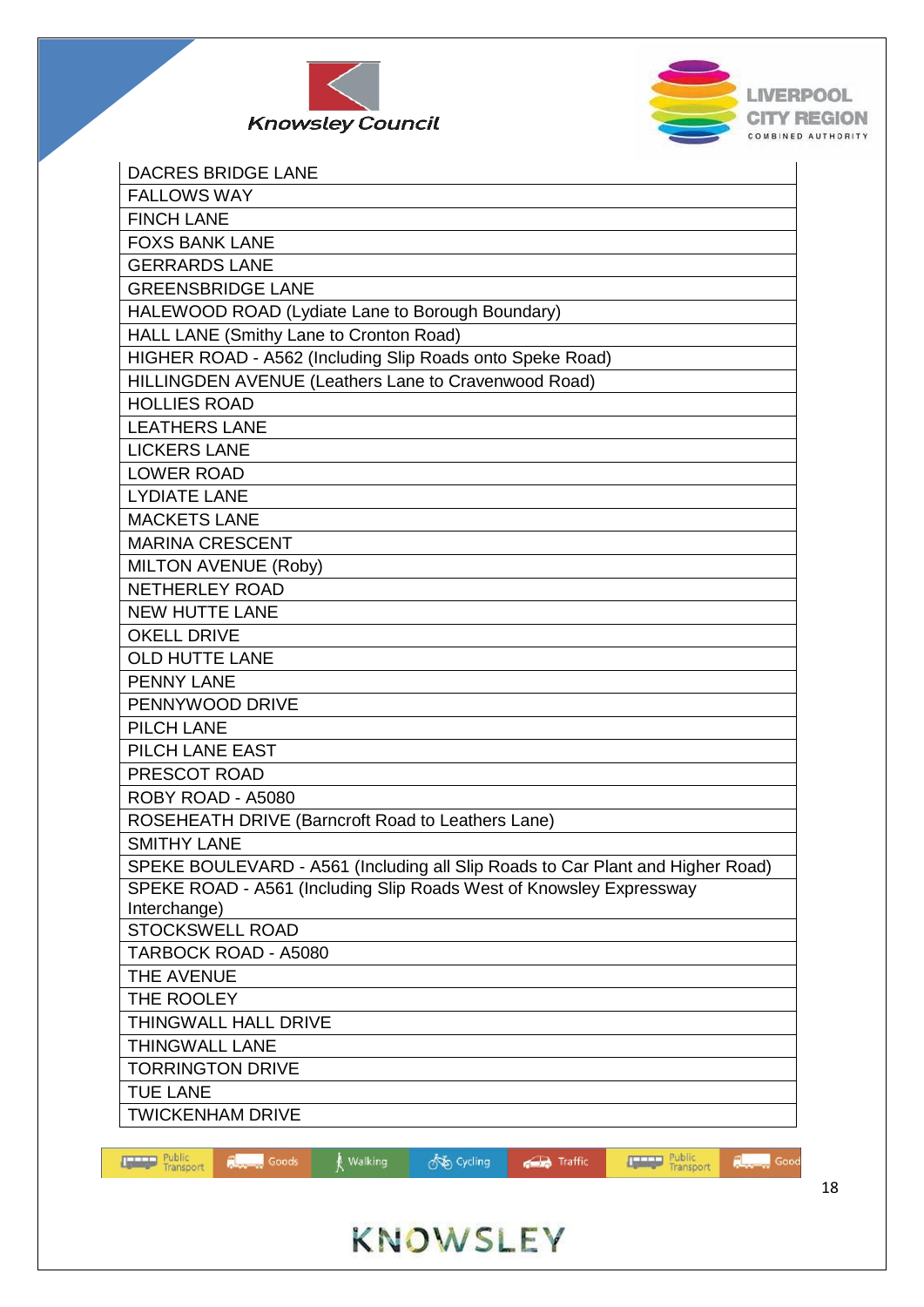



| <b>DACRES BRIDGE LANE</b>                                                      |
|--------------------------------------------------------------------------------|
| <b>FALLOWS WAY</b>                                                             |
| <b>FINCH LANE</b>                                                              |
| <b>FOXS BANK LANE</b>                                                          |
| <b>GERRARDS LANE</b>                                                           |
| <b>GREENSBRIDGE LANE</b>                                                       |
| HALEWOOD ROAD (Lydiate Lane to Borough Boundary)                               |
| HALL LANE (Smithy Lane to Cronton Road)                                        |
| HIGHER ROAD - A562 (Including Slip Roads onto Speke Road)                      |
| HILLINGDEN AVENUE (Leathers Lane to Cravenwood Road)                           |
| <b>HOLLIES ROAD</b>                                                            |
| <b>LEATHERS LANE</b>                                                           |
| <b>LICKERS LANE</b>                                                            |
| <b>LOWER ROAD</b>                                                              |
| <b>LYDIATE LANE</b>                                                            |
| <b>MACKETS LANE</b>                                                            |
| <b>MARINA CRESCENT</b>                                                         |
| MILTON AVENUE (Roby)                                                           |
| <b>NETHERLEY ROAD</b>                                                          |
| <b>NEW HUTTE LANE</b>                                                          |
| <b>OKELL DRIVE</b>                                                             |
| <b>OLD HUTTE LANE</b>                                                          |
| <b>PENNY LANE</b>                                                              |
| PENNYWOOD DRIVE                                                                |
| PILCH LANE                                                                     |
| PILCH LANE EAST                                                                |
| PRESCOT ROAD                                                                   |
| ROBY ROAD - A5080                                                              |
| ROSEHEATH DRIVE (Barncroft Road to Leathers Lane)                              |
| <b>SMITHY LANE</b>                                                             |
| SPEKE BOULEVARD - A561 (Including all Slip Roads to Car Plant and Higher Road) |
| SPEKE ROAD - A561 (Including Slip Roads West of Knowsley Expressway            |
| Interchange)                                                                   |
| <b>STOCKSWELL ROAD</b>                                                         |
| TARBOCK ROAD - A5080                                                           |
| THE AVENUE                                                                     |
| THE ROOLEY                                                                     |
| THINGWALL HALL DRIVE                                                           |
| <b>THINGWALL LANE</b>                                                          |
| <b>TORRINGTON DRIVE</b>                                                        |
| <b>TUE LANE</b>                                                                |
| <b>TWICKENHAM DRIVE</b>                                                        |

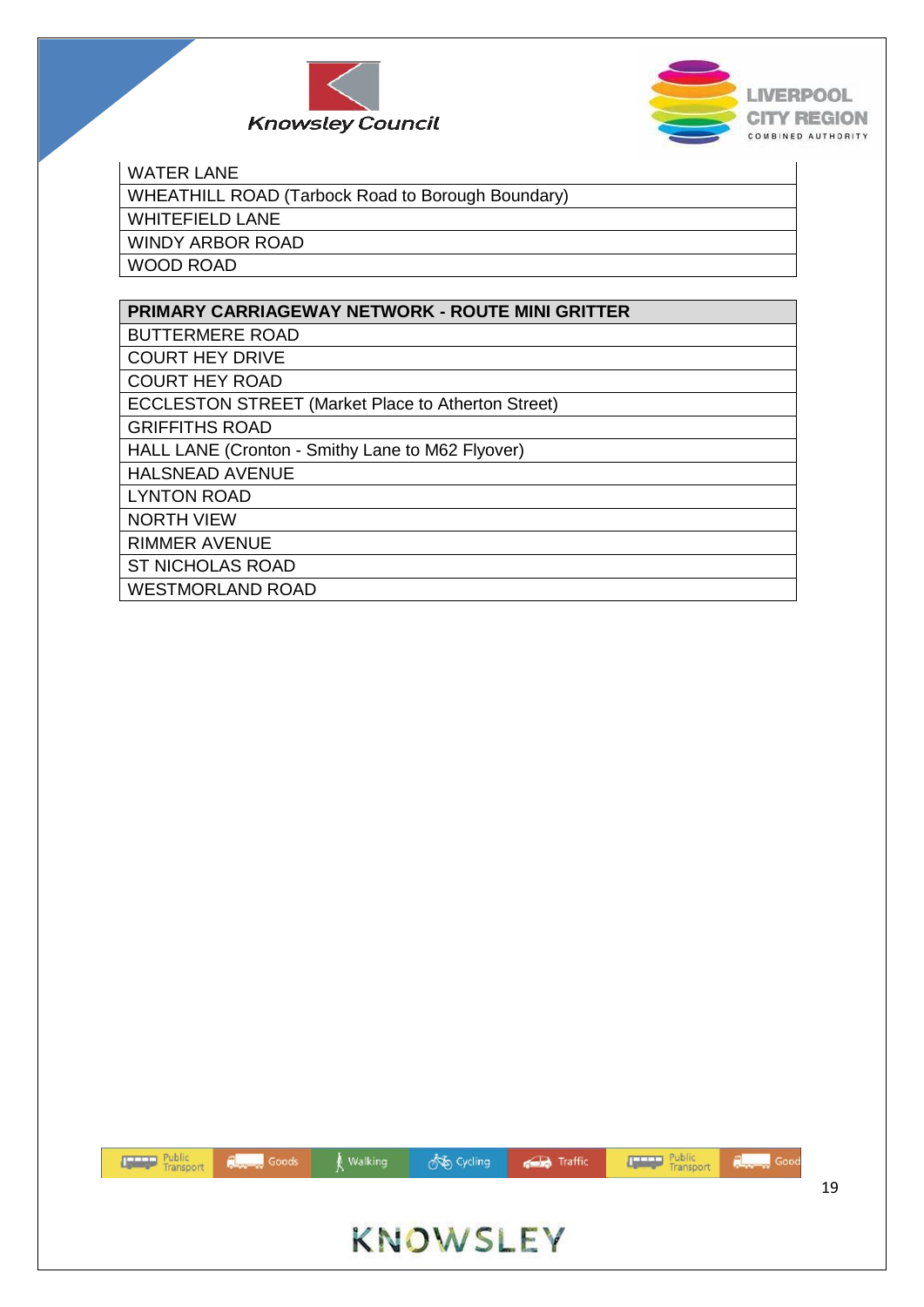



#### WATER LANE

| WHEATHILL ROAD (Tarbock Road to Borough Boundary) |
|---------------------------------------------------|
| WHITEFIELD LANE                                   |
| WINDY ARBOR ROAD                                  |
| <b>WOOD ROAD</b>                                  |

| <b>PRIMARY CARRIAGEWAY NETWORK - ROUTE MINI GRITTER</b>   |
|-----------------------------------------------------------|
| <b>BUTTERMERE ROAD</b>                                    |
| <b>COURT HEY DRIVE</b>                                    |
| <b>COURT HEY ROAD</b>                                     |
| <b>ECCLESTON STREET (Market Place to Atherton Street)</b> |
| <b>GRIFFITHS ROAD</b>                                     |
| HALL LANE (Cronton - Smithy Lane to M62 Flyover)          |
| <b>HALSNEAD AVENUE</b>                                    |
| <b>LYNTON ROAD</b>                                        |
| <b>NORTH VIEW</b>                                         |
| <b>RIMMER AVENUE</b>                                      |
| <b>ST NICHOLAS ROAD</b>                                   |
| <b>WESTMORLAND ROAD</b>                                   |

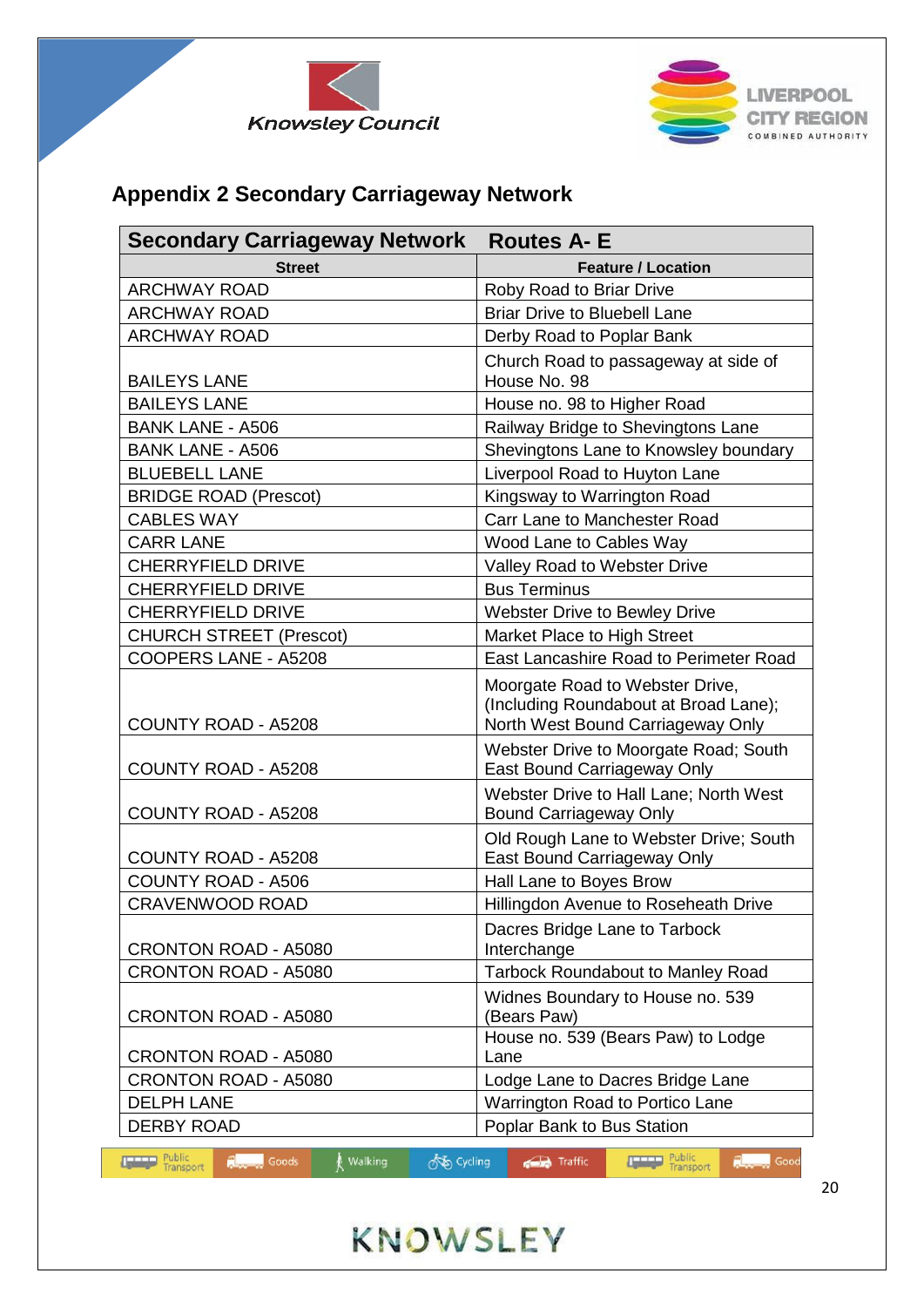



### **Appendix 2 Secondary Carriageway Network**

| <b>Secondary Carriageway Network</b><br><b>Routes A- E</b> |                                                                                                               |  |  |
|------------------------------------------------------------|---------------------------------------------------------------------------------------------------------------|--|--|
| <b>Street</b>                                              | <b>Feature / Location</b>                                                                                     |  |  |
| <b>ARCHWAY ROAD</b>                                        | Roby Road to Briar Drive                                                                                      |  |  |
| <b>ARCHWAY ROAD</b>                                        | <b>Briar Drive to Bluebell Lane</b>                                                                           |  |  |
| <b>ARCHWAY ROAD</b>                                        | Derby Road to Poplar Bank                                                                                     |  |  |
| <b>BAILEYS LANE</b>                                        | Church Road to passageway at side of<br>House No. 98                                                          |  |  |
| <b>BAILEYS LANE</b>                                        | House no. 98 to Higher Road                                                                                   |  |  |
| <b>BANK LANE - A506</b>                                    | Railway Bridge to Shevingtons Lane                                                                            |  |  |
| <b>BANK LANE - A506</b>                                    | Shevingtons Lane to Knowsley boundary                                                                         |  |  |
| <b>BLUEBELL LANE</b>                                       | Liverpool Road to Huyton Lane                                                                                 |  |  |
| <b>BRIDGE ROAD (Prescot)</b>                               | Kingsway to Warrington Road                                                                                   |  |  |
| <b>CABLES WAY</b>                                          | Carr Lane to Manchester Road                                                                                  |  |  |
| <b>CARR LANE</b>                                           | Wood Lane to Cables Way                                                                                       |  |  |
| <b>CHERRYFIELD DRIVE</b>                                   | Valley Road to Webster Drive                                                                                  |  |  |
| <b>CHERRYFIELD DRIVE</b>                                   | <b>Bus Terminus</b>                                                                                           |  |  |
| <b>CHERRYFIELD DRIVE</b>                                   | Webster Drive to Bewley Drive                                                                                 |  |  |
| <b>CHURCH STREET (Prescot)</b>                             | Market Place to High Street                                                                                   |  |  |
| COOPERS LANE - A5208                                       | East Lancashire Road to Perimeter Road                                                                        |  |  |
| <b>COUNTY ROAD - A5208</b>                                 | Moorgate Road to Webster Drive,<br>(Including Roundabout at Broad Lane);<br>North West Bound Carriageway Only |  |  |
| <b>COUNTY ROAD - A5208</b>                                 | Webster Drive to Moorgate Road; South<br>East Bound Carriageway Only                                          |  |  |
| <b>COUNTY ROAD - A5208</b>                                 | Webster Drive to Hall Lane; North West<br><b>Bound Carriageway Only</b>                                       |  |  |
| <b>COUNTY ROAD - A5208</b>                                 | Old Rough Lane to Webster Drive; South<br>East Bound Carriageway Only                                         |  |  |
| <b>COUNTY ROAD - A506</b>                                  | Hall Lane to Boyes Brow                                                                                       |  |  |
| <b>CRAVENWOOD ROAD</b>                                     | Hillingdon Avenue to Roseheath Drive                                                                          |  |  |
| <b>CRONTON ROAD - A5080</b>                                | Dacres Bridge Lane to Tarbock<br>Interchange                                                                  |  |  |
| CRONTON ROAD - A5080                                       | <b>Tarbock Roundabout to Manley Road</b>                                                                      |  |  |
| <b>CRONTON ROAD - A5080</b>                                | Widnes Boundary to House no. 539<br>(Bears Paw)                                                               |  |  |
| <b>CRONTON ROAD - A5080</b>                                | House no. 539 (Bears Paw) to Lodge<br>Lane                                                                    |  |  |
| CRONTON ROAD - A5080                                       | Lodge Lane to Dacres Bridge Lane                                                                              |  |  |
| <b>DELPH LANE</b>                                          | Warrington Road to Portico Lane                                                                               |  |  |
| <b>DERBY ROAD</b>                                          | Poplar Bank to Bus Station                                                                                    |  |  |



one Cycling

**Com** Traffic

walking

Goods

 $\mathbf{r}$ 

**Transport** 

Report Good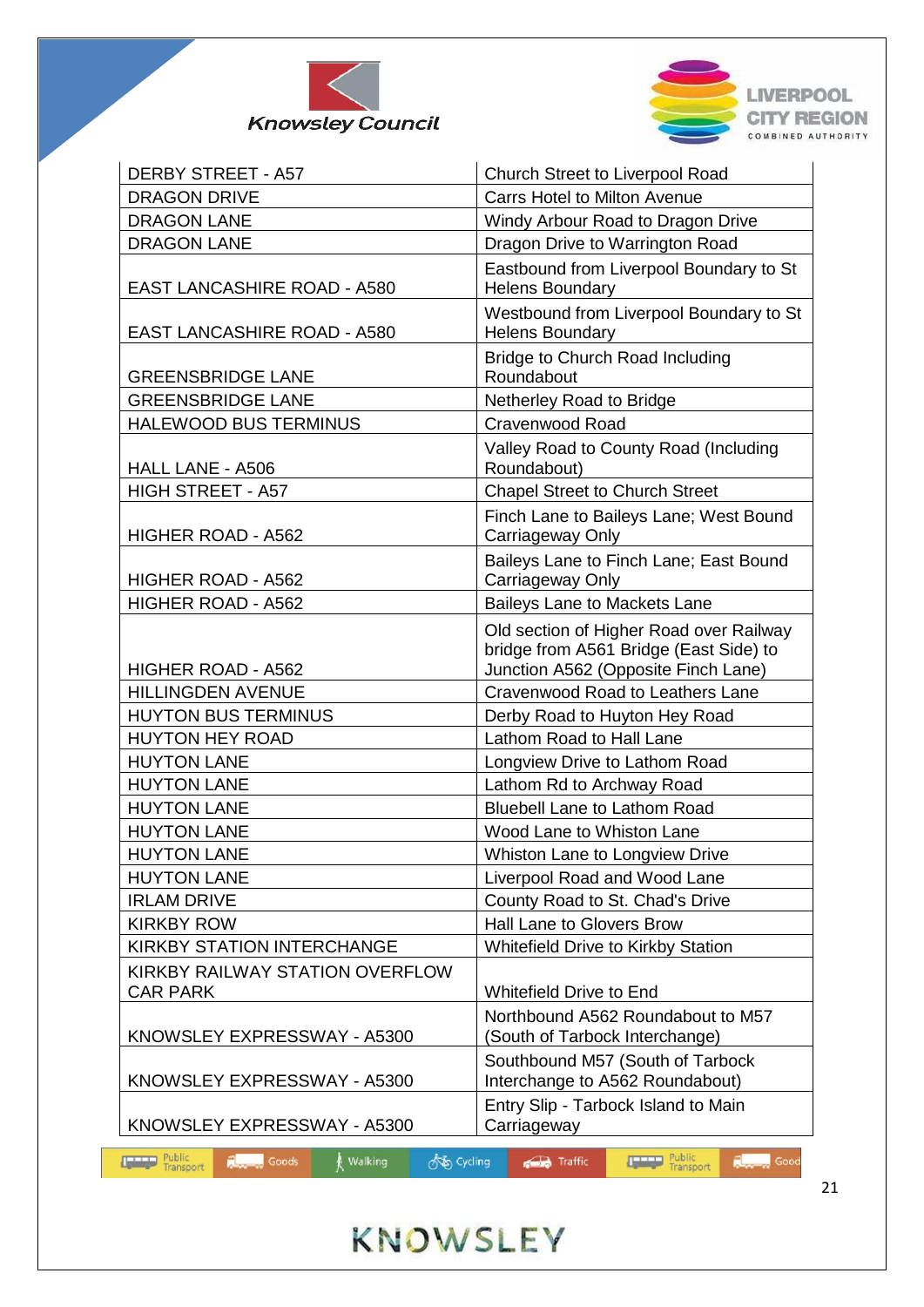



| <b>DERBY STREET - A57</b>                          | Church Street to Liverpool Road                                                                                          |  |  |  |
|----------------------------------------------------|--------------------------------------------------------------------------------------------------------------------------|--|--|--|
| <b>DRAGON DRIVE</b>                                | <b>Carrs Hotel to Milton Avenue</b>                                                                                      |  |  |  |
| <b>DRAGON LANE</b>                                 | Windy Arbour Road to Dragon Drive                                                                                        |  |  |  |
| <b>DRAGON LANE</b>                                 | Dragon Drive to Warrington Road                                                                                          |  |  |  |
| <b>EAST LANCASHIRE ROAD - A580</b>                 | Eastbound from Liverpool Boundary to St<br><b>Helens Boundary</b>                                                        |  |  |  |
| <b>EAST LANCASHIRE ROAD - A580</b>                 | Westbound from Liverpool Boundary to St<br><b>Helens Boundary</b>                                                        |  |  |  |
| <b>GREENSBRIDGE LANE</b>                           | Bridge to Church Road Including<br>Roundabout                                                                            |  |  |  |
| <b>GREENSBRIDGE LANE</b>                           | Netherley Road to Bridge                                                                                                 |  |  |  |
| <b>HALEWOOD BUS TERMINUS</b>                       | Cravenwood Road                                                                                                          |  |  |  |
| HALL LANE - A506                                   | Valley Road to County Road (Including<br>Roundabout)                                                                     |  |  |  |
| <b>HIGH STREET - A57</b>                           | <b>Chapel Street to Church Street</b>                                                                                    |  |  |  |
| HIGHER ROAD - A562                                 | Finch Lane to Baileys Lane; West Bound<br>Carriageway Only                                                               |  |  |  |
| HIGHER ROAD - A562                                 | Baileys Lane to Finch Lane; East Bound<br>Carriageway Only                                                               |  |  |  |
| HIGHER ROAD - A562                                 | Baileys Lane to Mackets Lane                                                                                             |  |  |  |
| HIGHER ROAD - A562                                 | Old section of Higher Road over Railway<br>bridge from A561 Bridge (East Side) to<br>Junction A562 (Opposite Finch Lane) |  |  |  |
| <b>HILLINGDEN AVENUE</b>                           | Cravenwood Road to Leathers Lane                                                                                         |  |  |  |
| <b>HUYTON BUS TERMINUS</b>                         | Derby Road to Huyton Hey Road                                                                                            |  |  |  |
| <b>HUYTON HEY ROAD</b>                             | Lathom Road to Hall Lane                                                                                                 |  |  |  |
| <b>HUYTON LANE</b>                                 | Longview Drive to Lathom Road                                                                                            |  |  |  |
| <b>HUYTON LANE</b>                                 | Lathom Rd to Archway Road                                                                                                |  |  |  |
| <b>HUYTON LANE</b>                                 | <b>Bluebell Lane to Lathom Road</b>                                                                                      |  |  |  |
| <b>HUYTON LANE</b>                                 | Wood Lane to Whiston Lane                                                                                                |  |  |  |
| <b>HUYTON LANE</b>                                 | <b>Whiston Lane to Longview Drive</b>                                                                                    |  |  |  |
| <b>HUYTON LANE</b>                                 | Liverpool Road and Wood Lane                                                                                             |  |  |  |
| <b>IRLAM DRIVE</b>                                 | County Road to St. Chad's Drive                                                                                          |  |  |  |
| <b>KIRKBY ROW</b>                                  | Hall Lane to Glovers Brow                                                                                                |  |  |  |
| <b>KIRKBY STATION INTERCHANGE</b>                  | <b>Whitefield Drive to Kirkby Station</b>                                                                                |  |  |  |
| KIRKBY RAILWAY STATION OVERFLOW<br><b>CAR PARK</b> | <b>Whitefield Drive to End</b>                                                                                           |  |  |  |
| KNOWSLEY EXPRESSWAY - A5300                        | Northbound A562 Roundabout to M57<br>(South of Tarbock Interchange)                                                      |  |  |  |
| KNOWSLEY EXPRESSWAY - A5300                        | Southbound M57 (South of Tarbock<br>Interchange to A562 Roundabout)                                                      |  |  |  |
| KNOWSLEY EXPRESSWAY - A5300                        | Entry Slip - Tarbock Island to Main<br>Carriageway                                                                       |  |  |  |

## KNOWSLEY

**No** Cycling

**Traffic** 

walking

**Public**<br>Transport

**Repair** Goods

**Repair** Good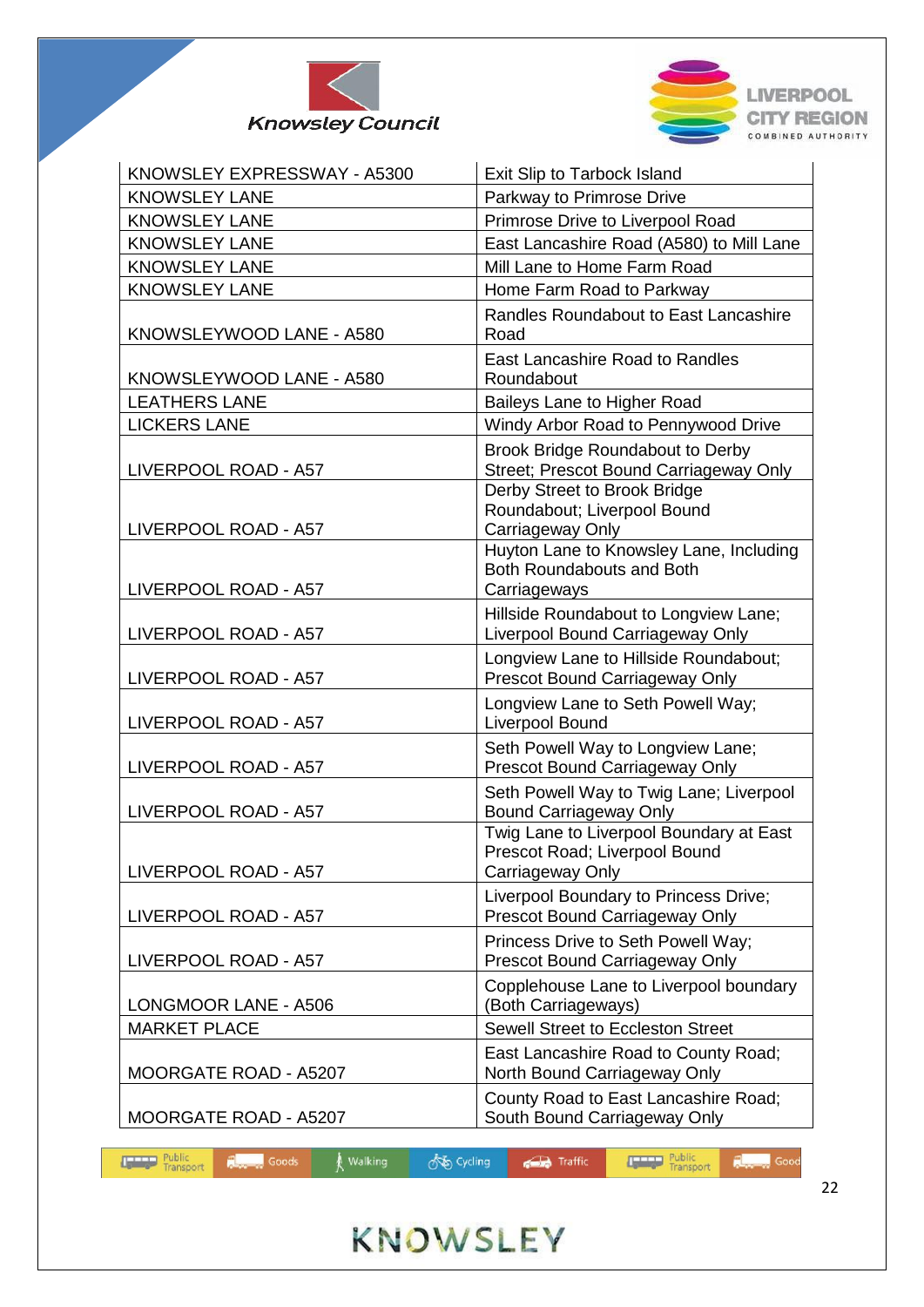



| KNOWSLEY EXPRESSWAY - A5300 | Exit Slip to Tarbock Island                                                                                                |  |  |
|-----------------------------|----------------------------------------------------------------------------------------------------------------------------|--|--|
| <b>KNOWSLEY LANE</b>        | Parkway to Primrose Drive                                                                                                  |  |  |
| <b>KNOWSLEY LANE</b>        | Primrose Drive to Liverpool Road                                                                                           |  |  |
| <b>KNOWSLEY LANE</b>        | East Lancashire Road (A580) to Mill Lane                                                                                   |  |  |
| <b>KNOWSLEY LANE</b>        | Mill Lane to Home Farm Road                                                                                                |  |  |
| <b>KNOWSLEY LANE</b>        | Home Farm Road to Parkway                                                                                                  |  |  |
| KNOWSLEYWOOD LANE - A580    | Randles Roundabout to East Lancashire<br>Road                                                                              |  |  |
| KNOWSLEYWOOD LANE - A580    | East Lancashire Road to Randles<br>Roundabout                                                                              |  |  |
| <b>LEATHERS LANE</b>        | Baileys Lane to Higher Road                                                                                                |  |  |
| <b>LICKERS LANE</b>         | Windy Arbor Road to Pennywood Drive                                                                                        |  |  |
| LIVERPOOL ROAD - A57        | Brook Bridge Roundabout to Derby<br>Street; Prescot Bound Carriageway Only                                                 |  |  |
| LIVERPOOL ROAD - A57        | Derby Street to Brook Bridge<br>Roundabout; Liverpool Bound<br>Carriageway Only<br>Huyton Lane to Knowsley Lane, Including |  |  |
| LIVERPOOL ROAD - A57        | Both Roundabouts and Both<br>Carriageways                                                                                  |  |  |
| LIVERPOOL ROAD - A57        | Hillside Roundabout to Longview Lane;<br>Liverpool Bound Carriageway Only                                                  |  |  |
| LIVERPOOL ROAD - A57        | Longview Lane to Hillside Roundabout;<br>Prescot Bound Carriageway Only                                                    |  |  |
| LIVERPOOL ROAD - A57        | Longview Lane to Seth Powell Way;<br>Liverpool Bound                                                                       |  |  |
| LIVERPOOL ROAD - A57        | Seth Powell Way to Longview Lane;<br>Prescot Bound Carriageway Only                                                        |  |  |
| LIVERPOOL ROAD - A57        | Seth Powell Way to Twig Lane; Liverpool<br><b>Bound Carriageway Only</b>                                                   |  |  |
| LIVERPOOL ROAD - A57        | Twig Lane to Liverpool Boundary at East<br>Prescot Road; Liverpool Bound<br>Carriageway Only                               |  |  |
| LIVERPOOL ROAD - A57        | Liverpool Boundary to Princess Drive;<br>Prescot Bound Carriageway Only                                                    |  |  |
| LIVERPOOL ROAD - A57        | Princess Drive to Seth Powell Way;<br>Prescot Bound Carriageway Only                                                       |  |  |
| LONGMOOR LANE - A506        | Copplehouse Lane to Liverpool boundary<br>(Both Carriageways)                                                              |  |  |
| <b>MARKET PLACE</b>         | Sewell Street to Eccleston Street                                                                                          |  |  |
| MOORGATE ROAD - A5207       | East Lancashire Road to County Road;<br>North Bound Carriageway Only                                                       |  |  |
| MOORGATE ROAD - A5207       | County Road to East Lancashire Road;<br>South Bound Carriageway Only                                                       |  |  |

**So Cycling** 

**Traffic** 

walking

Public<br>Transport

**Repair** Goods

**Repair** Good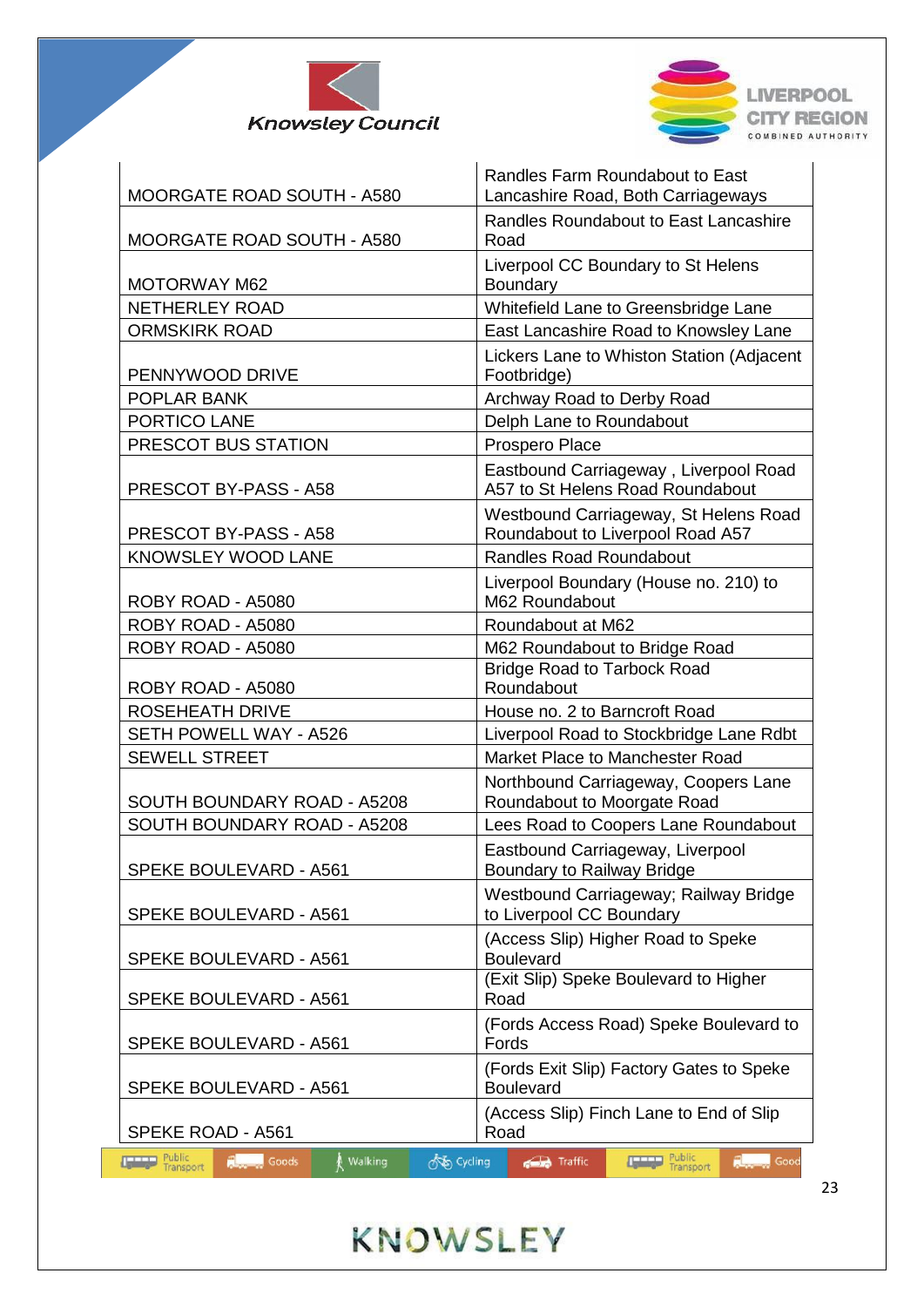



 $\mathbf{I}$ 

| MOORGATE ROAD SOUTH - A580                                                    | Randles Farm Roundabout to East<br>Lancashire Road, Both Carriageways     |  |  |  |
|-------------------------------------------------------------------------------|---------------------------------------------------------------------------|--|--|--|
| MOORGATE ROAD SOUTH - A580                                                    | Randles Roundabout to East Lancashire<br>Road                             |  |  |  |
| <b>MOTORWAY M62</b>                                                           | Liverpool CC Boundary to St Helens<br>Boundary                            |  |  |  |
| <b>NETHERLEY ROAD</b>                                                         | Whitefield Lane to Greensbridge Lane                                      |  |  |  |
| <b>ORMSKIRK ROAD</b>                                                          | East Lancashire Road to Knowsley Lane                                     |  |  |  |
| PENNYWOOD DRIVE                                                               | Lickers Lane to Whiston Station (Adjacent<br>Footbridge)                  |  |  |  |
| POPLAR BANK                                                                   | Archway Road to Derby Road                                                |  |  |  |
| PORTICO LANE                                                                  | Delph Lane to Roundabout                                                  |  |  |  |
| PRESCOT BUS STATION                                                           | Prospero Place                                                            |  |  |  |
| PRESCOT BY-PASS - A58                                                         | Eastbound Carriageway, Liverpool Road<br>A57 to St Helens Road Roundabout |  |  |  |
| PRESCOT BY-PASS - A58                                                         | Westbound Carriageway, St Helens Road<br>Roundabout to Liverpool Road A57 |  |  |  |
| <b>KNOWSLEY WOOD LANE</b>                                                     | <b>Randles Road Roundabout</b>                                            |  |  |  |
| ROBY ROAD - A5080                                                             | Liverpool Boundary (House no. 210) to<br>M62 Roundabout                   |  |  |  |
| ROBY ROAD - A5080                                                             | Roundabout at M62                                                         |  |  |  |
| ROBY ROAD - A5080                                                             | M62 Roundabout to Bridge Road                                             |  |  |  |
| ROBY ROAD - A5080                                                             | <b>Bridge Road to Tarbock Road</b><br>Roundabout                          |  |  |  |
| <b>ROSEHEATH DRIVE</b>                                                        | House no. 2 to Barncroft Road                                             |  |  |  |
| SETH POWELL WAY - A526                                                        | Liverpool Road to Stockbridge Lane Rdbt                                   |  |  |  |
| <b>SEWELL STREET</b>                                                          | Market Place to Manchester Road                                           |  |  |  |
| SOUTH BOUNDARY ROAD - A5208                                                   | Northbound Carriageway, Coopers Lane<br>Roundabout to Moorgate Road       |  |  |  |
| SOUTH BOUNDARY ROAD - A5208                                                   | Lees Road to Coopers Lane Roundabout                                      |  |  |  |
| SPEKE BOULEVARD - A561                                                        | Eastbound Carriageway, Liverpool<br>Boundary to Railway Bridge            |  |  |  |
| SPEKE BOULEVARD - A561                                                        | Westbound Carriageway; Railway Bridge<br>to Liverpool CC Boundary         |  |  |  |
| SPEKE BOULEVARD - A561                                                        | (Access Slip) Higher Road to Speke<br>Boulevard                           |  |  |  |
| <b>SPEKE BOULEVARD - A561</b>                                                 | (Exit Slip) Speke Boulevard to Higher<br>Road                             |  |  |  |
| SPEKE BOULEVARD - A561                                                        | (Fords Access Road) Speke Boulevard to<br>Fords                           |  |  |  |
| <b>SPEKE BOULEVARD - A561</b>                                                 | (Fords Exit Slip) Factory Gates to Speke<br><b>Boulevard</b>              |  |  |  |
| SPEKE ROAD - A561                                                             | (Access Slip) Finch Lane to End of Slip<br>Road                           |  |  |  |
| <b>Malking</b><br><b>THEFT Public</b><br>ැකි Cycling<br><b>Reserved</b> Goods | <b>Public</b><br>Traffic<br>Good                                          |  |  |  |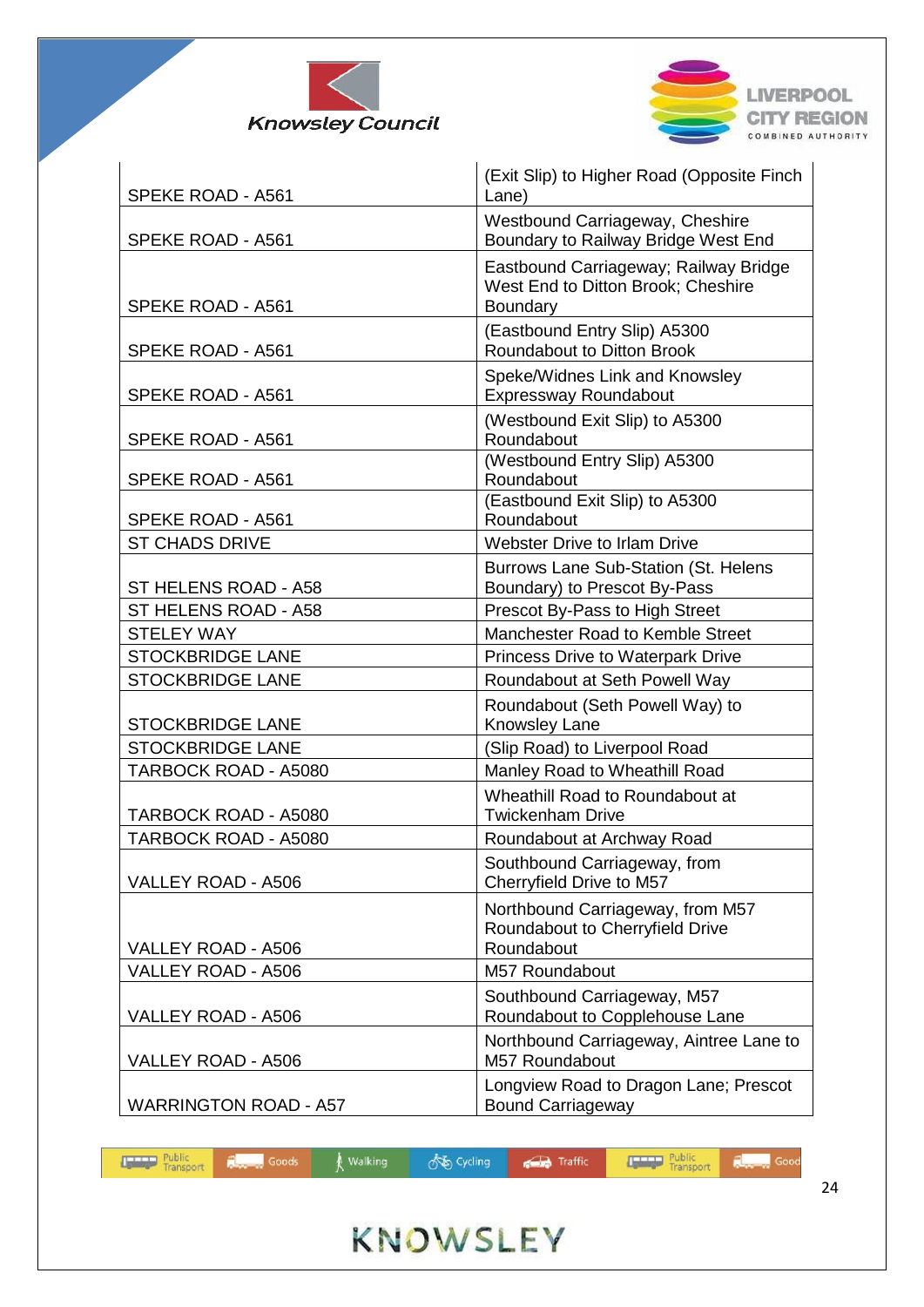



| SPEKE ROAD - A561            | (Exit Slip) to Higher Road (Opposite Finch<br>Lane)                                     |
|------------------------------|-----------------------------------------------------------------------------------------|
| SPEKE ROAD - A561            | Westbound Carriageway, Cheshire<br>Boundary to Railway Bridge West End                  |
| SPEKE ROAD - A561            | Eastbound Carriageway; Railway Bridge<br>West End to Ditton Brook; Cheshire<br>Boundary |
| SPEKE ROAD - A561            | (Eastbound Entry Slip) A5300<br>Roundabout to Ditton Brook                              |
| SPEKE ROAD - A561            | Speke/Widnes Link and Knowsley<br><b>Expressway Roundabout</b>                          |
| SPEKE ROAD - A561            | (Westbound Exit Slip) to A5300<br>Roundabout                                            |
| SPEKE ROAD - A561            | (Westbound Entry Slip) A5300<br>Roundabout                                              |
| SPEKE ROAD - A561            | (Eastbound Exit Slip) to A5300<br>Roundabout                                            |
| <b>ST CHADS DRIVE</b>        | <b>Webster Drive to Irlam Drive</b>                                                     |
| ST HELENS ROAD - A58         | Burrows Lane Sub-Station (St. Helens<br>Boundary) to Prescot By-Pass                    |
| ST HELENS ROAD - A58         | Prescot By-Pass to High Street                                                          |
| <b>STELEY WAY</b>            | Manchester Road to Kemble Street                                                        |
| <b>STOCKBRIDGE LANE</b>      | <b>Princess Drive to Waterpark Drive</b>                                                |
| <b>STOCKBRIDGE LANE</b>      | Roundabout at Seth Powell Way                                                           |
|                              | Roundabout (Seth Powell Way) to                                                         |
| <b>STOCKBRIDGE LANE</b>      | Knowsley Lane                                                                           |
| <b>STOCKBRIDGE LANE</b>      | (Slip Road) to Liverpool Road                                                           |
| TARBOCK ROAD - A5080         | Manley Road to Wheathill Road                                                           |
| TARBOCK ROAD - A5080         | Wheathill Road to Roundabout at<br><b>Twickenham Drive</b>                              |
| TARBOCK ROAD - A5080         | Roundabout at Archway Road                                                              |
| VALLEY ROAD - A506           | Southbound Carriageway, from<br>Cherryfield Drive to M57                                |
| VALLEY ROAD - A506           | Northbound Carriageway, from M57<br>Roundabout to Cherryfield Drive<br>Roundabout       |
| VALLEY ROAD - A506           |                                                                                         |
|                              | M57 Roundabout                                                                          |
| VALLEY ROAD - A506           | Southbound Carriageway, M57<br>Roundabout to Copplehouse Lane                           |
| VALLEY ROAD - A506           | Northbound Carriageway, Aintree Lane to<br>M57 Roundabout                               |
| <b>WARRINGTON ROAD - A57</b> | Longview Road to Dragon Lane; Prescot<br><b>Bound Carriageway</b>                       |

| <b>The Transport Public Coods</b> A Walking |  | √ Cycling → G Traffic |  |
|---------------------------------------------|--|-----------------------|--|
|                                             |  |                       |  |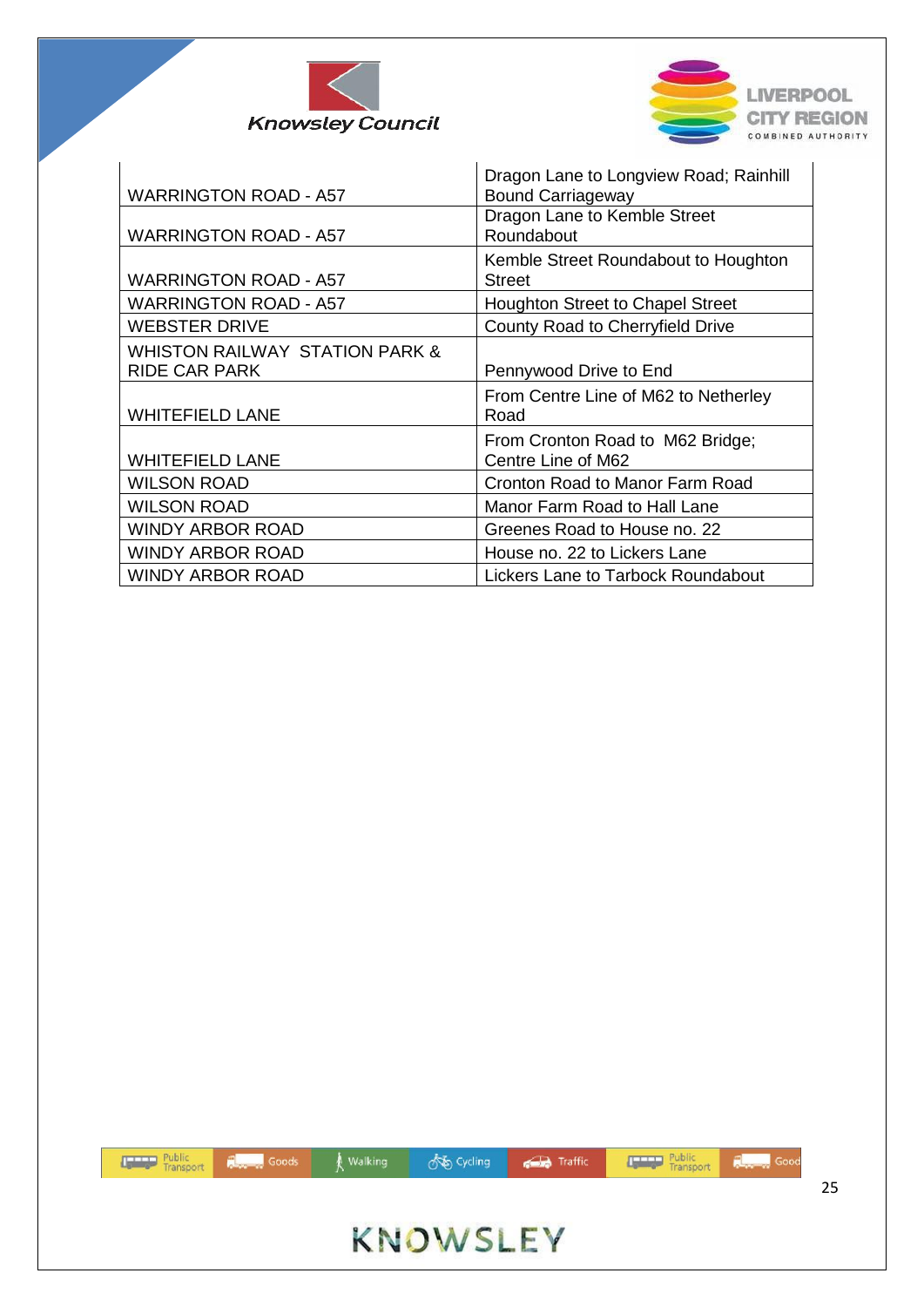



| <b>WARRINGTON ROAD - A57</b>                                      | Dragon Lane to Longview Road; Rainhill<br><b>Bound Carriageway</b> |
|-------------------------------------------------------------------|--------------------------------------------------------------------|
| <b>WARRINGTON ROAD - A57</b>                                      | Dragon Lane to Kemble Street<br>Roundabout                         |
| <b>WARRINGTON ROAD - A57</b>                                      | Kemble Street Roundabout to Houghton<br><b>Street</b>              |
| <b>WARRINGTON ROAD - A57</b>                                      | <b>Houghton Street to Chapel Street</b>                            |
| <b>WEBSTER DRIVE</b>                                              | County Road to Cherryfield Drive                                   |
| <b>WHISTON RAILWAY STATION PARK &amp;</b><br><b>RIDE CAR PARK</b> | Pennywood Drive to End                                             |
| <b>WHITEFIELD LANE</b>                                            | From Centre Line of M62 to Netherley<br>Road                       |
| <b>WHITEFIELD LANE</b>                                            | From Cronton Road to M62 Bridge;<br>Centre Line of M62             |
| <b>WILSON ROAD</b>                                                | Cronton Road to Manor Farm Road                                    |
| <b>WILSON ROAD</b>                                                | Manor Farm Road to Hall Lane                                       |
| <b>WINDY ARBOR ROAD</b>                                           | Greenes Road to House no. 22                                       |
| <b>WINDY ARBOR ROAD</b>                                           | House no. 22 to Lickers Lane                                       |
| <b>WINDY ARBOR ROAD</b>                                           | Lickers Lane to Tarbock Roundabout                                 |

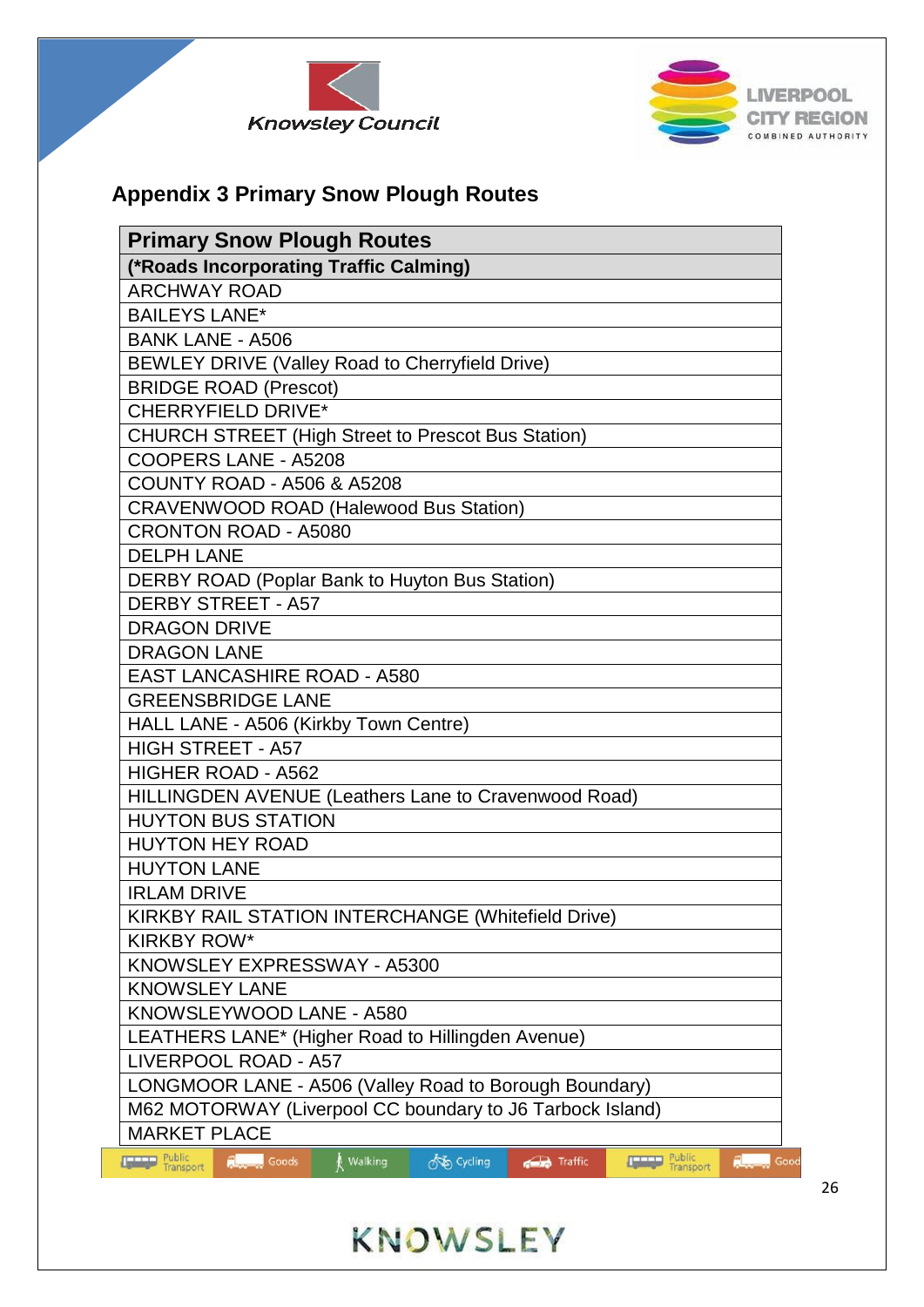



## **Appendix 3 Primary Snow Plough Routes**

| <b>Primary Snow Plough Routes</b>                                                                                     |
|-----------------------------------------------------------------------------------------------------------------------|
| (*Roads Incorporating Traffic Calming)                                                                                |
| <b>ARCHWAY ROAD</b>                                                                                                   |
| <b>BAILEYS LANE*</b>                                                                                                  |
| <b>BANK LANE - A506</b>                                                                                               |
| BEWLEY DRIVE (Valley Road to Cherryfield Drive)                                                                       |
| <b>BRIDGE ROAD (Prescot)</b>                                                                                          |
| <b>CHERRYFIELD DRIVE*</b>                                                                                             |
| <b>CHURCH STREET (High Street to Prescot Bus Station)</b>                                                             |
| COOPERS LANE - A5208                                                                                                  |
| <b>COUNTY ROAD - A506 &amp; A5208</b>                                                                                 |
| <b>CRAVENWOOD ROAD (Halewood Bus Station)</b>                                                                         |
| <b>CRONTON ROAD - A5080</b>                                                                                           |
| <b>DELPH LANE</b>                                                                                                     |
| DERBY ROAD (Poplar Bank to Huyton Bus Station)                                                                        |
| <b>DERBY STREET - A57</b>                                                                                             |
| <b>DRAGON DRIVE</b>                                                                                                   |
| <b>DRAGON LANE</b>                                                                                                    |
| <b>EAST LANCASHIRE ROAD - A580</b>                                                                                    |
| <b>GREENSBRIDGE LANE</b>                                                                                              |
| HALL LANE - A506 (Kirkby Town Centre)                                                                                 |
| <b>HIGH STREET - A57</b>                                                                                              |
| <b>HIGHER ROAD - A562</b>                                                                                             |
| HILLINGDEN AVENUE (Leathers Lane to Cravenwood Road)                                                                  |
| <b>HUYTON BUS STATION</b>                                                                                             |
| <b>HUYTON HEY ROAD</b>                                                                                                |
| <b>HUYTON LANE</b>                                                                                                    |
| <b>IRLAM DRIVE</b>                                                                                                    |
| <b>KIRKBY RAIL STATION INTERCHANGE (Whitefield Drive)</b>                                                             |
| <b>KIRKBY ROW*</b>                                                                                                    |
| KNOWSLEY EXPRESSWAY - A5300                                                                                           |
| <b>KNOWSLEY LANE</b>                                                                                                  |
| KNOWSLEYWOOD LANE - A580                                                                                              |
| LEATHERS LANE* (Higher Road to Hillingden Avenue)                                                                     |
| LIVERPOOL ROAD - A57                                                                                                  |
| LONGMOOR LANE - A506 (Valley Road to Borough Boundary)                                                                |
| M62 MOTORWAY (Liverpool CC boundary to J6 Tarbock Island)                                                             |
| <b>MARKET PLACE</b>                                                                                                   |
| Public<br>Transport<br>Public<br>Transport<br>o Cycling<br><b>Research Goods</b><br>Walking<br>Traffic<br>Good<br>سكت |

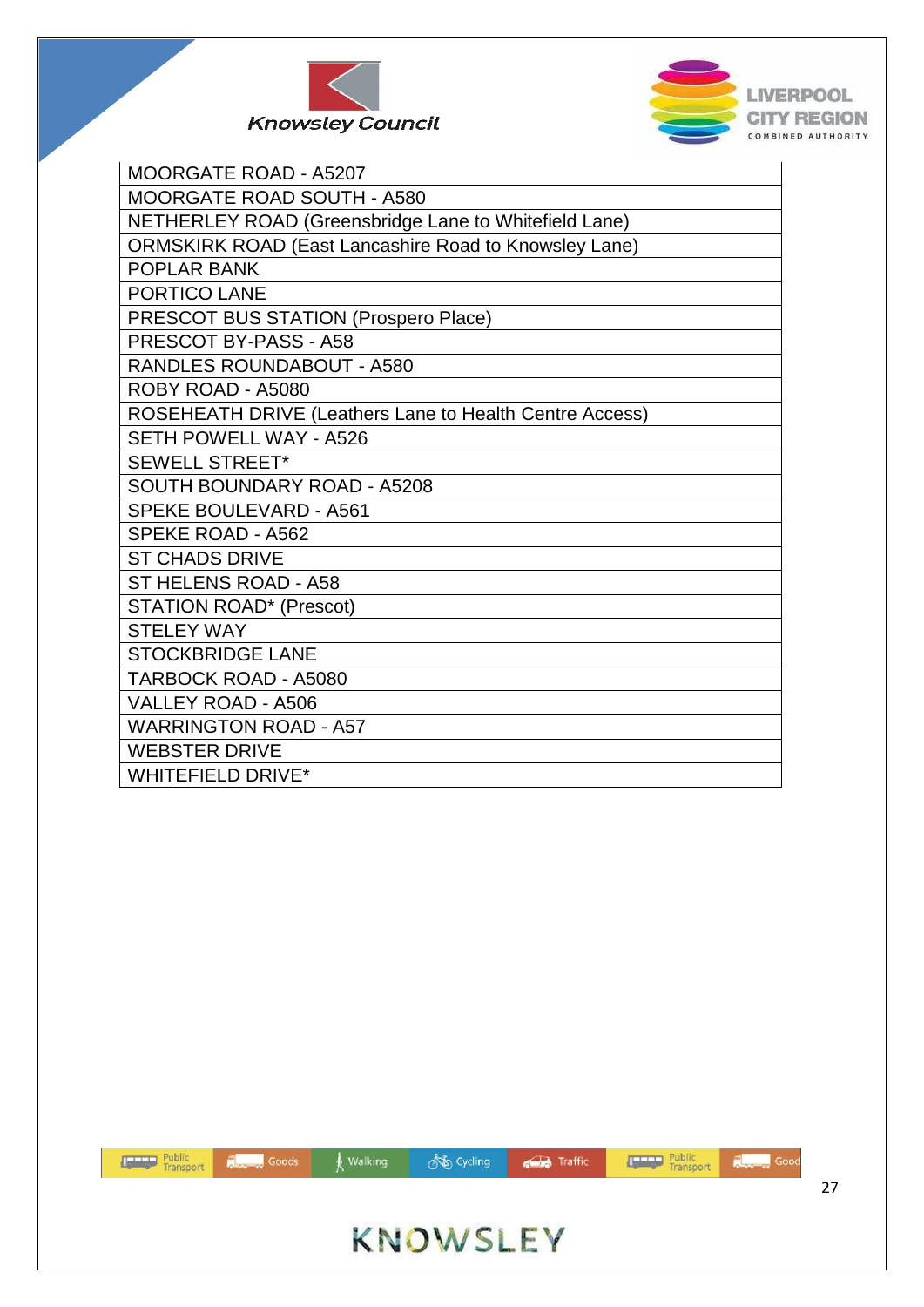



| <b>MOORGATE ROAD - A5207</b>                                 |
|--------------------------------------------------------------|
| <b>MOORGATE ROAD SOUTH - A580</b>                            |
| NETHERLEY ROAD (Greensbridge Lane to Whitefield Lane)        |
| <b>ORMSKIRK ROAD (East Lancashire Road to Knowsley Lane)</b> |
| <b>POPLAR BANK</b>                                           |
| <b>PORTICO LANE</b>                                          |
| PRESCOT BUS STATION (Prospero Place)                         |
| PRESCOT BY-PASS - A58                                        |
| <b>RANDLES ROUNDABOUT - A580</b>                             |
| ROBY ROAD - A5080                                            |
| ROSEHEATH DRIVE (Leathers Lane to Health Centre Access)      |
| <b>SETH POWELL WAY - A526</b>                                |
| <b>SEWELL STREET*</b>                                        |
| <b>SOUTH BOUNDARY ROAD - A5208</b>                           |
| <b>SPEKE BOULEVARD - A561</b>                                |
| <b>SPEKE ROAD - A562</b>                                     |
| <b>ST CHADS DRIVE</b>                                        |
| ST HELENS ROAD - A58                                         |
| <b>STATION ROAD* (Prescot)</b>                               |
| <b>STELEY WAY</b>                                            |
| <b>STOCKBRIDGE LANE</b>                                      |
| <b>TARBOCK ROAD - A5080</b>                                  |
| VALLEY ROAD - A506                                           |
| <b>WARRINGTON ROAD - A57</b>                                 |
| <b>WEBSTER DRIVE</b>                                         |
| <b>WHITEFIELD DRIVE*</b>                                     |



**So Cycling** 

**Traffic** 

walking

Public<br>Transport

**Regional** Goods

**Report** Good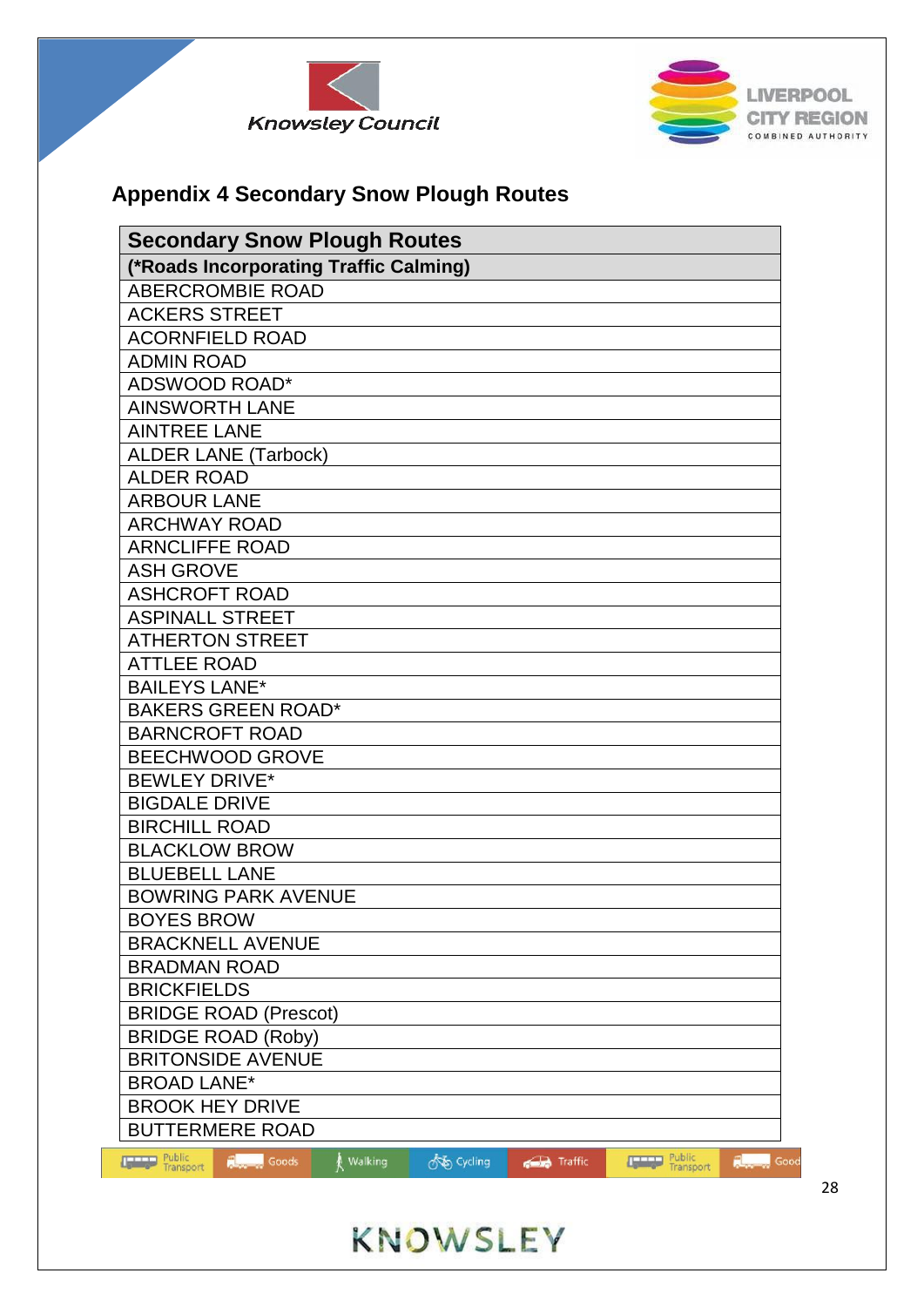



## **Appendix 4 Secondary Snow Plough Routes**

| <b>Secondary Snow Plough Routes</b>                                |            |                |                     |                      |
|--------------------------------------------------------------------|------------|----------------|---------------------|----------------------|
| (*Roads Incorporating Traffic Calming)                             |            |                |                     |                      |
| <b>ABERCROMBIE ROAD</b>                                            |            |                |                     |                      |
| <b>ACKERS STREET</b>                                               |            |                |                     |                      |
| <b>ACORNFIELD ROAD</b>                                             |            |                |                     |                      |
| <b>ADMIN ROAD</b>                                                  |            |                |                     |                      |
| ADSWOOD ROAD*                                                      |            |                |                     |                      |
| <b>AINSWORTH LANE</b>                                              |            |                |                     |                      |
| <b>AINTREE LANE</b>                                                |            |                |                     |                      |
| <b>ALDER LANE (Tarbock)</b>                                        |            |                |                     |                      |
| <b>ALDER ROAD</b>                                                  |            |                |                     |                      |
| <b>ARBOUR LANE</b>                                                 |            |                |                     |                      |
| <b>ARCHWAY ROAD</b>                                                |            |                |                     |                      |
| <b>ARNCLIFFE ROAD</b>                                              |            |                |                     |                      |
| <b>ASH GROVE</b>                                                   |            |                |                     |                      |
| <b>ASHCROFT ROAD</b>                                               |            |                |                     |                      |
| <b>ASPINALL STREET</b>                                             |            |                |                     |                      |
| <b>ATHERTON STREET</b>                                             |            |                |                     |                      |
| <b>ATTLEE ROAD</b>                                                 |            |                |                     |                      |
| <b>BAILEYS LANE*</b>                                               |            |                |                     |                      |
| <b>BAKERS GREEN ROAD*</b>                                          |            |                |                     |                      |
| <b>BARNCROFT ROAD</b>                                              |            |                |                     |                      |
| <b>BEECHWOOD GROVE</b>                                             |            |                |                     |                      |
| <b>BEWLEY DRIVE*</b>                                               |            |                |                     |                      |
| <b>BIGDALE DRIVE</b>                                               |            |                |                     |                      |
| <b>BIRCHILL ROAD</b>                                               |            |                |                     |                      |
| <b>BLACKLOW BROW</b>                                               |            |                |                     |                      |
| <b>BLUEBELL LANE</b>                                               |            |                |                     |                      |
| <b>BOWRING PARK AVENUE</b>                                         |            |                |                     |                      |
| <b>BOYES BROW</b>                                                  |            |                |                     |                      |
| <b>BRACKNELL AVENUE</b>                                            |            |                |                     |                      |
| <b>BRADMAN ROAD</b>                                                |            |                |                     |                      |
| <b>BRICKFIELDS</b>                                                 |            |                |                     |                      |
| <b>BRIDGE ROAD (Prescot)</b>                                       |            |                |                     |                      |
| <b>BRIDGE ROAD (Roby)</b>                                          |            |                |                     |                      |
| <b>BRITONSIDE AVENUE</b>                                           |            |                |                     |                      |
| <b>BROAD LANE*</b>                                                 |            |                |                     |                      |
| <b>BROOK HEY DRIVE</b>                                             |            |                |                     |                      |
| <b>BUTTERMERE ROAD</b>                                             |            |                |                     |                      |
| <b>The Public</b><br>Transport<br><b>Research Goods</b><br>Walking | os Cycling | <b>Traffic</b> | Public<br>Transport | <b>Report Follow</b> |

od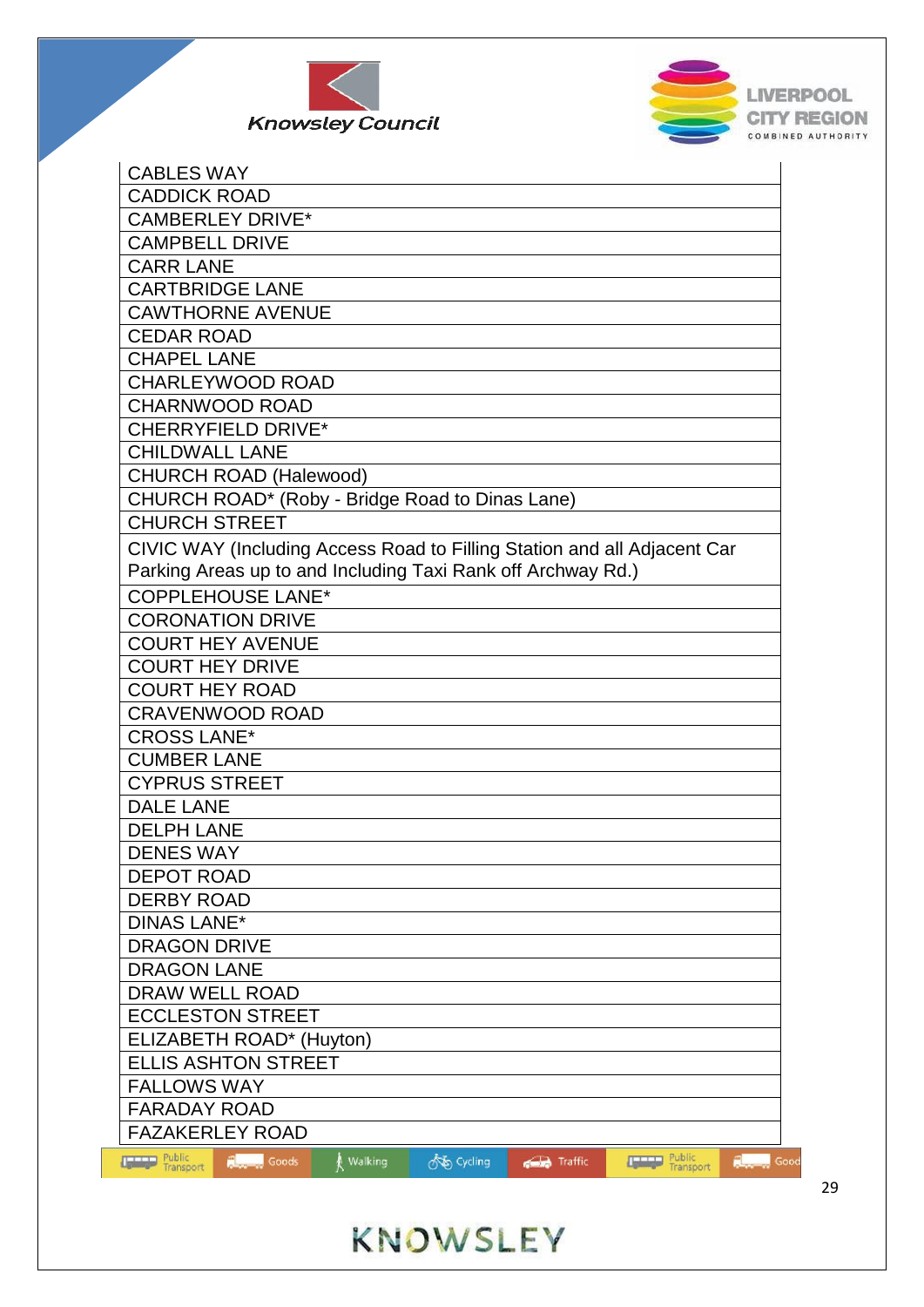



| <b>CABLES WAY</b>              |                                                 |           |            |                                                              |                                                                                                                                                                                                                                                             |                    |
|--------------------------------|-------------------------------------------------|-----------|------------|--------------------------------------------------------------|-------------------------------------------------------------------------------------------------------------------------------------------------------------------------------------------------------------------------------------------------------------|--------------------|
| <b>CADDICK ROAD</b>            |                                                 |           |            |                                                              |                                                                                                                                                                                                                                                             |                    |
| <b>CAMBERLEY DRIVE*</b>        |                                                 |           |            |                                                              |                                                                                                                                                                                                                                                             |                    |
| <b>CAMPBELL DRIVE</b>          |                                                 |           |            |                                                              |                                                                                                                                                                                                                                                             |                    |
| <b>CARR LANE</b>               |                                                 |           |            |                                                              |                                                                                                                                                                                                                                                             |                    |
| <b>CARTBRIDGE LANE</b>         |                                                 |           |            |                                                              |                                                                                                                                                                                                                                                             |                    |
|                                | <b>CAWTHORNE AVENUE</b>                         |           |            |                                                              |                                                                                                                                                                                                                                                             |                    |
| <b>CEDAR ROAD</b>              |                                                 |           |            |                                                              |                                                                                                                                                                                                                                                             |                    |
| <b>CHAPEL LANE</b>             |                                                 |           |            |                                                              |                                                                                                                                                                                                                                                             |                    |
|                                | <b>CHARLEYWOOD ROAD</b>                         |           |            |                                                              |                                                                                                                                                                                                                                                             |                    |
| <b>CHARNWOOD ROAD</b>          |                                                 |           |            |                                                              |                                                                                                                                                                                                                                                             |                    |
|                                | <b>CHERRYFIELD DRIVE*</b>                       |           |            |                                                              |                                                                                                                                                                                                                                                             |                    |
| <b>CHILDWALL LANE</b>          |                                                 |           |            |                                                              |                                                                                                                                                                                                                                                             |                    |
|                                | <b>CHURCH ROAD (Halewood)</b>                   |           |            |                                                              |                                                                                                                                                                                                                                                             |                    |
|                                | CHURCH ROAD* (Roby - Bridge Road to Dinas Lane) |           |            |                                                              |                                                                                                                                                                                                                                                             |                    |
| <b>CHURCH STREET</b>           |                                                 |           |            |                                                              |                                                                                                                                                                                                                                                             |                    |
|                                |                                                 |           |            |                                                              | CIVIC WAY (Including Access Road to Filling Station and all Adjacent Car                                                                                                                                                                                    |                    |
|                                |                                                 |           |            | Parking Areas up to and Including Taxi Rank off Archway Rd.) |                                                                                                                                                                                                                                                             |                    |
|                                | <b>COPPLEHOUSE LANE*</b>                        |           |            |                                                              |                                                                                                                                                                                                                                                             |                    |
| <b>CORONATION DRIVE</b>        |                                                 |           |            |                                                              |                                                                                                                                                                                                                                                             |                    |
| <b>COURT HEY AVENUE</b>        |                                                 |           |            |                                                              |                                                                                                                                                                                                                                                             |                    |
| <b>COURT HEY DRIVE</b>         |                                                 |           |            |                                                              |                                                                                                                                                                                                                                                             |                    |
| <b>COURT HEY ROAD</b>          |                                                 |           |            |                                                              |                                                                                                                                                                                                                                                             |                    |
|                                | <b>CRAVENWOOD ROAD</b>                          |           |            |                                                              |                                                                                                                                                                                                                                                             |                    |
| <b>CROSS LANE*</b>             |                                                 |           |            |                                                              |                                                                                                                                                                                                                                                             |                    |
| <b>CUMBER LANE</b>             |                                                 |           |            |                                                              |                                                                                                                                                                                                                                                             |                    |
| <b>CYPRUS STREET</b>           |                                                 |           |            |                                                              |                                                                                                                                                                                                                                                             |                    |
| <b>DALE LANE</b>               |                                                 |           |            |                                                              |                                                                                                                                                                                                                                                             |                    |
| <b>DELPH LANE</b>              |                                                 |           |            |                                                              |                                                                                                                                                                                                                                                             |                    |
| <b>DENES WAY</b>               |                                                 |           |            |                                                              |                                                                                                                                                                                                                                                             |                    |
| <b>DEPOT ROAD</b>              |                                                 |           |            |                                                              |                                                                                                                                                                                                                                                             |                    |
| <b>DERBY ROAD</b>              |                                                 |           |            |                                                              |                                                                                                                                                                                                                                                             |                    |
| <b>DINAS LANE*</b>             |                                                 |           |            |                                                              |                                                                                                                                                                                                                                                             |                    |
| <b>DRAGON DRIVE</b>            |                                                 |           |            |                                                              |                                                                                                                                                                                                                                                             |                    |
| <b>DRAGON LANE</b>             |                                                 |           |            |                                                              |                                                                                                                                                                                                                                                             |                    |
| DRAW WELL ROAD                 |                                                 |           |            |                                                              |                                                                                                                                                                                                                                                             |                    |
|                                | <b>ECCLESTON STREET</b>                         |           |            |                                                              |                                                                                                                                                                                                                                                             |                    |
|                                | ELIZABETH ROAD* (Huyton)                        |           |            |                                                              |                                                                                                                                                                                                                                                             |                    |
|                                | <b>ELLIS ASHTON STREET</b>                      |           |            |                                                              |                                                                                                                                                                                                                                                             |                    |
| <b>FALLOWS WAY</b>             |                                                 |           |            |                                                              |                                                                                                                                                                                                                                                             |                    |
| <b>FARADAY ROAD</b>            |                                                 |           |            |                                                              |                                                                                                                                                                                                                                                             |                    |
| <b>FAZAKERLEY ROAD</b>         |                                                 |           |            |                                                              |                                                                                                                                                                                                                                                             |                    |
| <b>The Public</b><br>Transport | Reserved Goods                                  | ∦ Walking | os Cycling | Traffic                                                      | Public<br>Transport<br><b>The Contract of the Contract of the Contract of the Contract of the Contract of the Contract of the Contract of the Contract of the Contract of the Contract of the Contract of the Contract of the Contract of the Contract </b> | <b>Report</b> Good |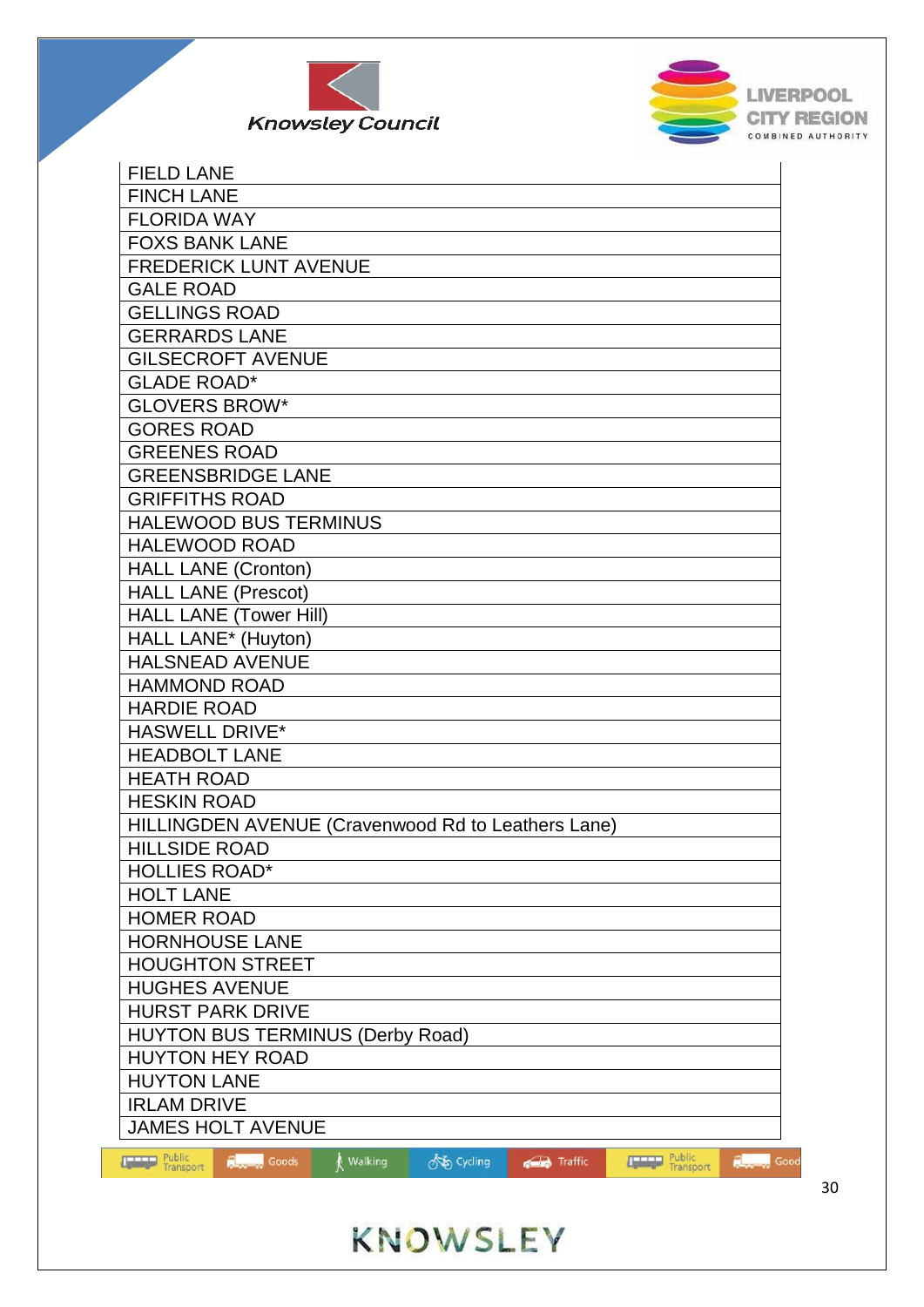



| <b>FIELD LANE</b>                                                                                                  |
|--------------------------------------------------------------------------------------------------------------------|
| <b>FINCH LANE</b>                                                                                                  |
| <b>FLORIDA WAY</b>                                                                                                 |
| <b>FOXS BANK LANE</b>                                                                                              |
| <b>FREDERICK LUNT AVENUE</b>                                                                                       |
| <b>GALE ROAD</b>                                                                                                   |
| <b>GELLINGS ROAD</b>                                                                                               |
| <b>GERRARDS LANE</b>                                                                                               |
| <b>GILSECROFT AVENUE</b>                                                                                           |
| <b>GLADE ROAD*</b>                                                                                                 |
| <b>GLOVERS BROW*</b>                                                                                               |
| <b>GORES ROAD</b>                                                                                                  |
| <b>GREENES ROAD</b>                                                                                                |
| <b>GREENSBRIDGE LANE</b>                                                                                           |
| <b>GRIFFITHS ROAD</b>                                                                                              |
| <b>HALEWOOD BUS TERMINUS</b>                                                                                       |
| <b>HALEWOOD ROAD</b>                                                                                               |
| <b>HALL LANE (Cronton)</b>                                                                                         |
| <b>HALL LANE (Prescot)</b>                                                                                         |
| <b>HALL LANE (Tower Hill)</b>                                                                                      |
| HALL LANE* (Huyton)                                                                                                |
| <b>HALSNEAD AVENUE</b>                                                                                             |
| <b>HAMMOND ROAD</b>                                                                                                |
| <b>HARDIE ROAD</b>                                                                                                 |
| <b>HASWELL DRIVE*</b>                                                                                              |
| <b>HEADBOLT LANE</b>                                                                                               |
| <b>HEATH ROAD</b>                                                                                                  |
| <b>HESKIN ROAD</b>                                                                                                 |
| HILLINGDEN AVENUE (Cravenwood Rd to Leathers Lane)                                                                 |
| <b>HILLSIDE ROAD</b>                                                                                               |
| <b>HOLLIES ROAD*</b>                                                                                               |
| <b>HOLT LANE</b>                                                                                                   |
| <b>HOMER ROAD</b>                                                                                                  |
| <b>HORNHOUSE LANE</b>                                                                                              |
| <b>HOUGHTON STREET</b>                                                                                             |
| <b>HUGHES AVENUE</b>                                                                                               |
| <b>HURST PARK DRIVE</b>                                                                                            |
| <b>HUYTON BUS TERMINUS (Derby Road)</b>                                                                            |
| <b>HUYTON HEY ROAD</b>                                                                                             |
| <b>HUYTON LANE</b>                                                                                                 |
| <b>IRLAM DRIVE</b>                                                                                                 |
| <b>JAMES HOLT AVENUE</b>                                                                                           |
| Public<br>Transport<br>Public<br><b>Research Goods</b><br>∦ Walking<br>on Cycling<br>Traffic<br><b>Report</b> Good |
| Transport                                                                                                          |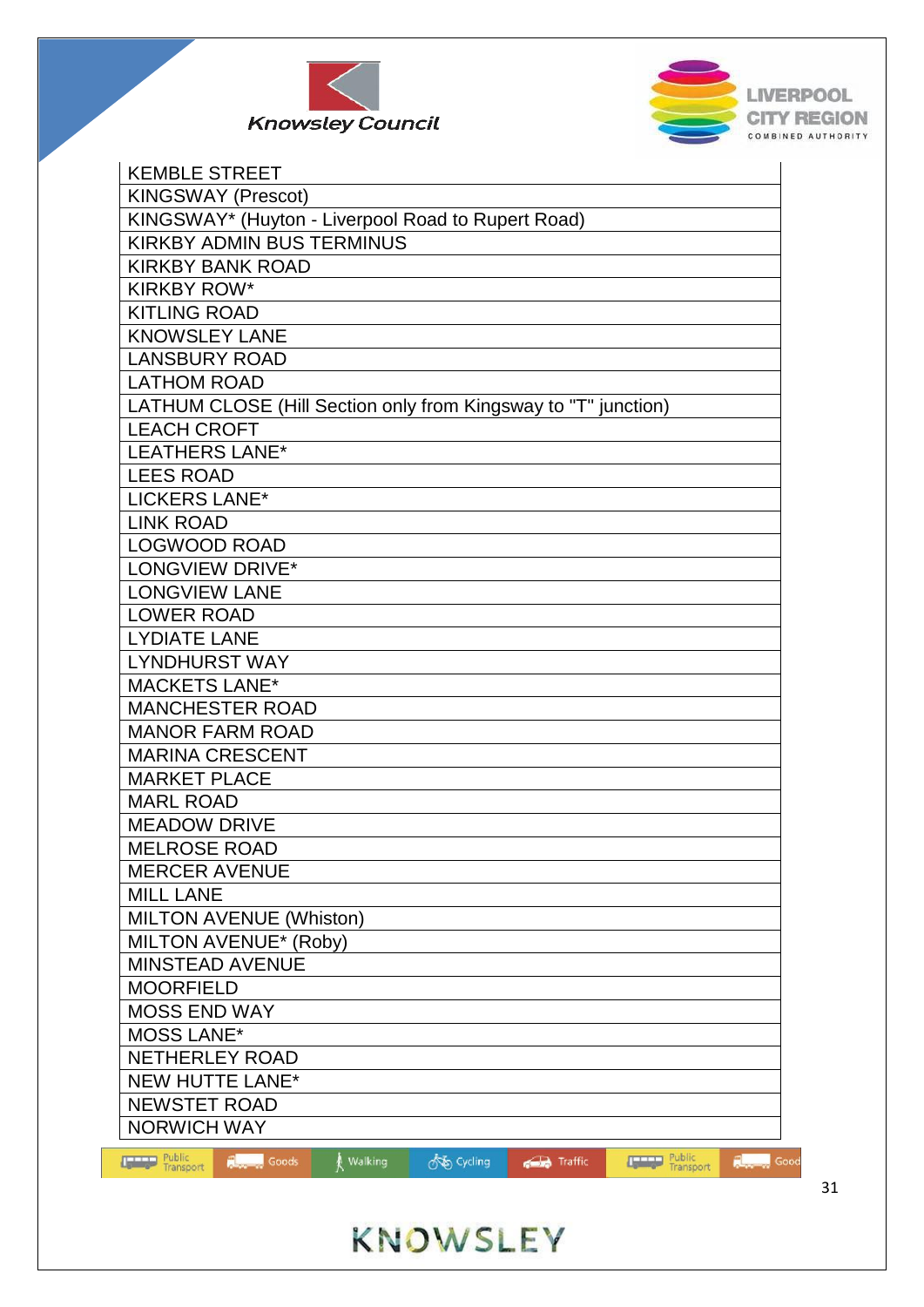



| <b>KEMBLE STREET</b>                                                                                                       |
|----------------------------------------------------------------------------------------------------------------------------|
| <b>KINGSWAY (Prescot)</b>                                                                                                  |
| KINGSWAY* (Huyton - Liverpool Road to Rupert Road)                                                                         |
| <b>KIRKBY ADMIN BUS TERMINUS</b>                                                                                           |
| <b>KIRKBY BANK ROAD</b>                                                                                                    |
| <b>KIRKBY ROW*</b>                                                                                                         |
| <b>KITLING ROAD</b>                                                                                                        |
| <b>KNOWSLEY LANE</b>                                                                                                       |
| <b>LANSBURY ROAD</b>                                                                                                       |
| <b>LATHOM ROAD</b>                                                                                                         |
| LATHUM CLOSE (Hill Section only from Kingsway to "T" junction)                                                             |
| <b>LEACH CROFT</b>                                                                                                         |
| <b>LEATHERS LANE*</b>                                                                                                      |
| <b>LEES ROAD</b>                                                                                                           |
| LICKERS LANE*                                                                                                              |
| <b>LINK ROAD</b>                                                                                                           |
| <b>LOGWOOD ROAD</b>                                                                                                        |
| LONGVIEW DRIVE*                                                                                                            |
| <b>LONGVIEW LANE</b>                                                                                                       |
| <b>LOWER ROAD</b>                                                                                                          |
| <b>LYDIATE LANE</b>                                                                                                        |
| <b>LYNDHURST WAY</b>                                                                                                       |
| <b>MACKETS LANE*</b>                                                                                                       |
| <b>MANCHESTER ROAD</b>                                                                                                     |
| <b>MANOR FARM ROAD</b>                                                                                                     |
| <b>MARINA CRESCENT</b>                                                                                                     |
| <b>MARKET PLACE</b>                                                                                                        |
| <b>MARL ROAD</b>                                                                                                           |
| <b>MEADOW DRIVE</b>                                                                                                        |
| <b>MELROSE ROAD</b>                                                                                                        |
| <b>MERCER AVENUE</b>                                                                                                       |
| <b>MILL LANE</b>                                                                                                           |
| <b>MILTON AVENUE (Whiston)</b>                                                                                             |
| <b>MILTON AVENUE* (Roby)</b>                                                                                               |
| <b>MINSTEAD AVENUE</b>                                                                                                     |
| <b>MOORFIELD</b>                                                                                                           |
| <b>MOSS END WAY</b>                                                                                                        |
| <b>MOSS LANE*</b>                                                                                                          |
| NETHERLEY ROAD                                                                                                             |
| <b>NEW HUTTE LANE*</b>                                                                                                     |
| <b>NEWSTET ROAD</b>                                                                                                        |
| <b>NORWICH WAY</b>                                                                                                         |
| <b>The Public</b><br>Transport<br>Public<br>Transport<br><b>Research Goods</b><br>os Cycling<br>Walking<br>Traffic<br>Good |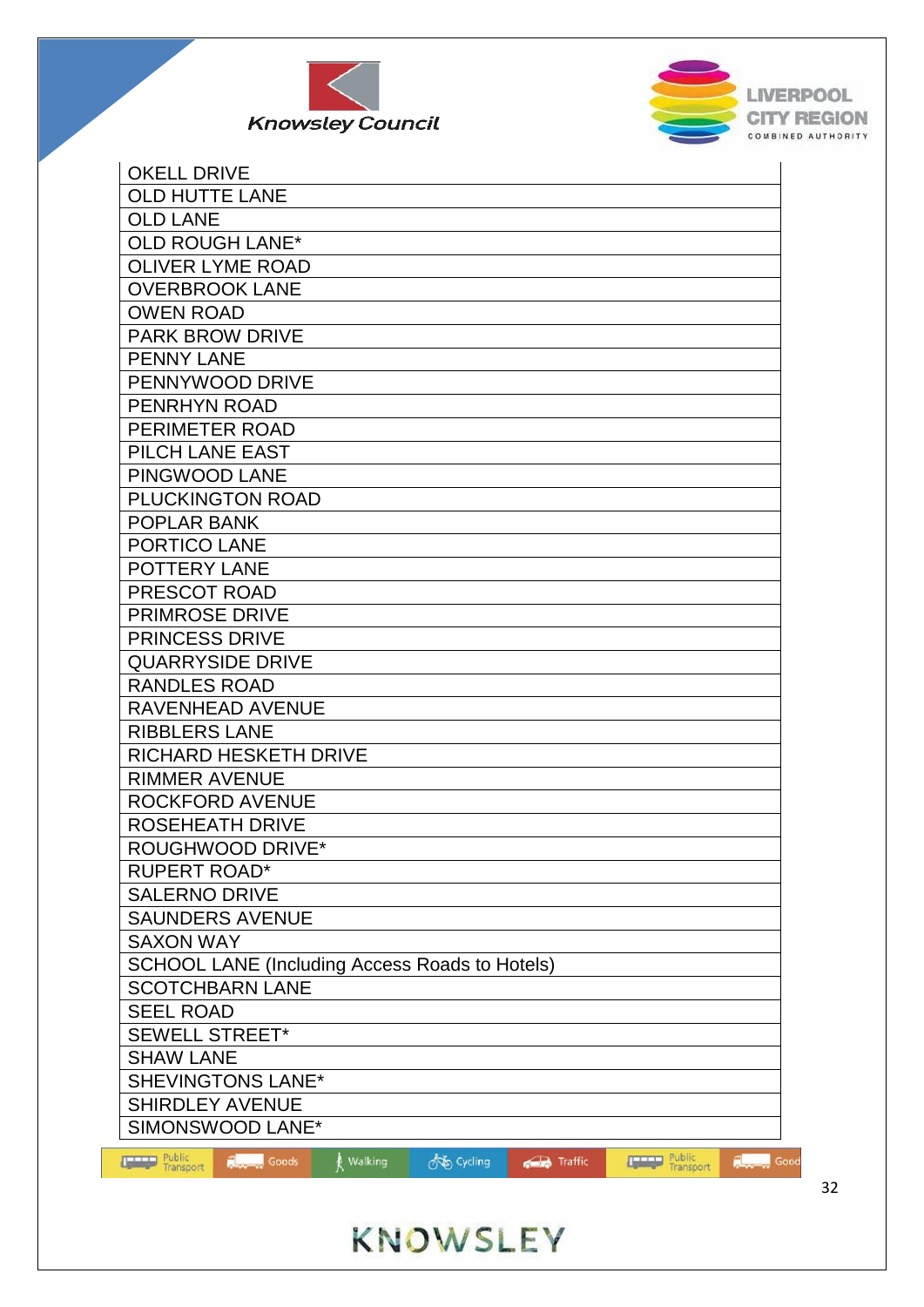



| <b>OKELL DRIVE</b>                                    |         |            |         |                     |               |
|-------------------------------------------------------|---------|------------|---------|---------------------|---------------|
| <b>OLD HUTTE LANE</b>                                 |         |            |         |                     |               |
| <b>OLD LANE</b>                                       |         |            |         |                     |               |
| <b>OLD ROUGH LANE*</b>                                |         |            |         |                     |               |
| <b>OLIVER LYME ROAD</b>                               |         |            |         |                     |               |
| <b>OVERBROOK LANE</b>                                 |         |            |         |                     |               |
| <b>OWEN ROAD</b>                                      |         |            |         |                     |               |
| <b>PARK BROW DRIVE</b>                                |         |            |         |                     |               |
| <b>PENNY LANE</b>                                     |         |            |         |                     |               |
| PENNYWOOD DRIVE                                       |         |            |         |                     |               |
| PENRHYN ROAD                                          |         |            |         |                     |               |
| PERIMETER ROAD                                        |         |            |         |                     |               |
| PILCH LANE EAST                                       |         |            |         |                     |               |
| PINGWOOD LANE                                         |         |            |         |                     |               |
| PLUCKINGTON ROAD                                      |         |            |         |                     |               |
| <b>POPLAR BANK</b>                                    |         |            |         |                     |               |
| PORTICO LANE                                          |         |            |         |                     |               |
| POTTERY LANE                                          |         |            |         |                     |               |
| PRESCOT ROAD                                          |         |            |         |                     |               |
| <b>PRIMROSE DRIVE</b>                                 |         |            |         |                     |               |
| <b>PRINCESS DRIVE</b>                                 |         |            |         |                     |               |
| <b>QUARRYSIDE DRIVE</b>                               |         |            |         |                     |               |
| <b>RANDLES ROAD</b>                                   |         |            |         |                     |               |
| <b>RAVENHEAD AVENUE</b>                               |         |            |         |                     |               |
| <b>RIBBLERS LANE</b>                                  |         |            |         |                     |               |
| <b>RICHARD HESKETH DRIVE</b>                          |         |            |         |                     |               |
| <b>RIMMER AVENUE</b>                                  |         |            |         |                     |               |
| <b>ROCKFORD AVENUE</b>                                |         |            |         |                     |               |
| <b>ROSEHEATH DRIVE</b>                                |         |            |         |                     |               |
| <b>ROUGHWOOD DRIVE*</b>                               |         |            |         |                     |               |
| <b>RUPERT ROAD*</b>                                   |         |            |         |                     |               |
| <b>SALERNO DRIVE</b>                                  |         |            |         |                     |               |
| <b>SAUNDERS AVENUE</b>                                |         |            |         |                     |               |
| <b>SAXON WAY</b>                                      |         |            |         |                     |               |
| <b>SCHOOL LANE (Including Access Roads to Hotels)</b> |         |            |         |                     |               |
| <b>SCOTCHBARN LANE</b>                                |         |            |         |                     |               |
| <b>SEEL ROAD</b>                                      |         |            |         |                     |               |
| <b>SEWELL STREET*</b>                                 |         |            |         |                     |               |
| <b>SHAW LANE</b>                                      |         |            |         |                     |               |
| <b>SHEVINGTONS LANE*</b>                              |         |            |         |                     |               |
| <b>SHIRDLEY AVENUE</b>                                |         |            |         |                     |               |
| SIMONSWOOD LANE*                                      |         |            |         |                     |               |
| <b>Report</b> Goods                                   | Walking | os Cycling |         |                     | Good          |
| <b>Type Public</b><br>Transport                       |         |            | Traffic | Public<br>Transport | <b>Report</b> |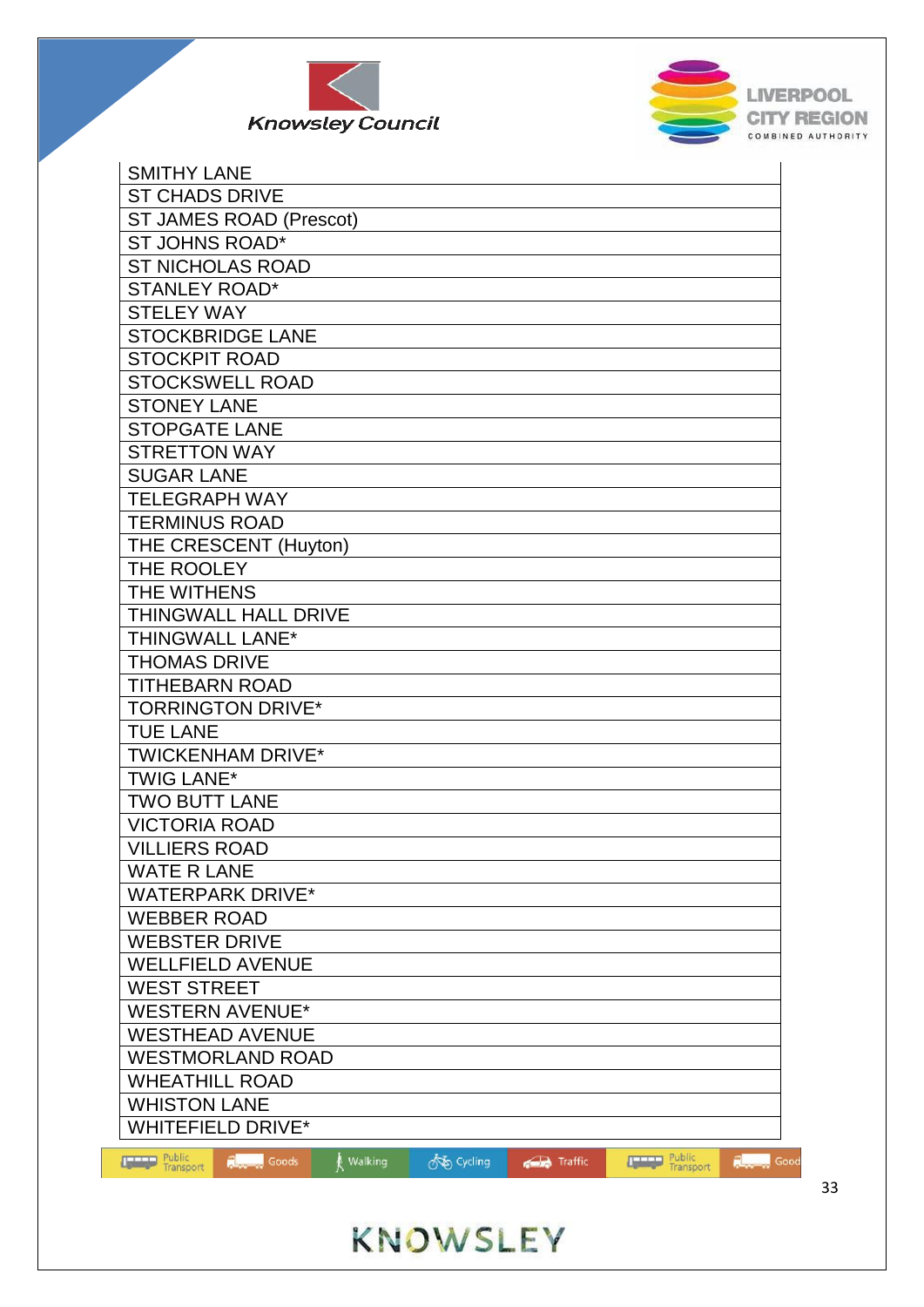



| <b>SMITHY LANE</b>              |                     |           |            |         |                     |                       |
|---------------------------------|---------------------|-----------|------------|---------|---------------------|-----------------------|
| <b>ST CHADS DRIVE</b>           |                     |           |            |         |                     |                       |
| <b>ST JAMES ROAD (Prescot)</b>  |                     |           |            |         |                     |                       |
| <b>ST JOHNS ROAD*</b>           |                     |           |            |         |                     |                       |
| <b>ST NICHOLAS ROAD</b>         |                     |           |            |         |                     |                       |
| <b>STANLEY ROAD*</b>            |                     |           |            |         |                     |                       |
| <b>STELEY WAY</b>               |                     |           |            |         |                     |                       |
| <b>STOCKBRIDGE LANE</b>         |                     |           |            |         |                     |                       |
| <b>STOCKPIT ROAD</b>            |                     |           |            |         |                     |                       |
| <b>STOCKSWELL ROAD</b>          |                     |           |            |         |                     |                       |
| <b>STONEY LANE</b>              |                     |           |            |         |                     |                       |
| <b>STOPGATE LANE</b>            |                     |           |            |         |                     |                       |
| <b>STRETTON WAY</b>             |                     |           |            |         |                     |                       |
| <b>SUGAR LANE</b>               |                     |           |            |         |                     |                       |
| <b>TELEGRAPH WAY</b>            |                     |           |            |         |                     |                       |
| <b>TERMINUS ROAD</b>            |                     |           |            |         |                     |                       |
| THE CRESCENT (Huyton)           |                     |           |            |         |                     |                       |
| THE ROOLEY                      |                     |           |            |         |                     |                       |
| THE WITHENS                     |                     |           |            |         |                     |                       |
| THINGWALL HALL DRIVE            |                     |           |            |         |                     |                       |
| THINGWALL LANE*                 |                     |           |            |         |                     |                       |
| <b>THOMAS DRIVE</b>             |                     |           |            |         |                     |                       |
| <b>TITHEBARN ROAD</b>           |                     |           |            |         |                     |                       |
| <b>TORRINGTON DRIVE*</b>        |                     |           |            |         |                     |                       |
| <b>TUE LANE</b>                 |                     |           |            |         |                     |                       |
| <b>TWICKENHAM DRIVE*</b>        |                     |           |            |         |                     |                       |
| <b>TWIG LANE*</b>               |                     |           |            |         |                     |                       |
| <b>TWO BUTT LANE</b>            |                     |           |            |         |                     |                       |
| <b>VICTORIA ROAD</b>            |                     |           |            |         |                     |                       |
| <b>VILLIERS ROAD</b>            |                     |           |            |         |                     |                       |
| <b>WATE R LANE</b>              |                     |           |            |         |                     |                       |
| <b>WATERPARK DRIVE*</b>         |                     |           |            |         |                     |                       |
| <b>WEBBER ROAD</b>              |                     |           |            |         |                     |                       |
| <b>WEBSTER DRIVE</b>            |                     |           |            |         |                     |                       |
| <b>WELLFIELD AVENUE</b>         |                     |           |            |         |                     |                       |
| <b>WEST STREET</b>              |                     |           |            |         |                     |                       |
| <b>WESTERN AVENUE*</b>          |                     |           |            |         |                     |                       |
| <b>WESTHEAD AVENUE</b>          |                     |           |            |         |                     |                       |
| <b>WESTMORLAND ROAD</b>         |                     |           |            |         |                     |                       |
| <b>WHEATHILL ROAD</b>           |                     |           |            |         |                     |                       |
| <b>WHISTON LANE</b>             |                     |           |            |         |                     |                       |
| <b>WHITEFIELD DRIVE*</b>        |                     |           |            |         |                     |                       |
| <b>Type Public</b><br>Transport | <b>Report</b> Goods | ∦ Walking | on Cycling | Traffic | Public<br>Transport | Good<br><b>Report</b> |
|                                 |                     |           |            |         |                     |                       |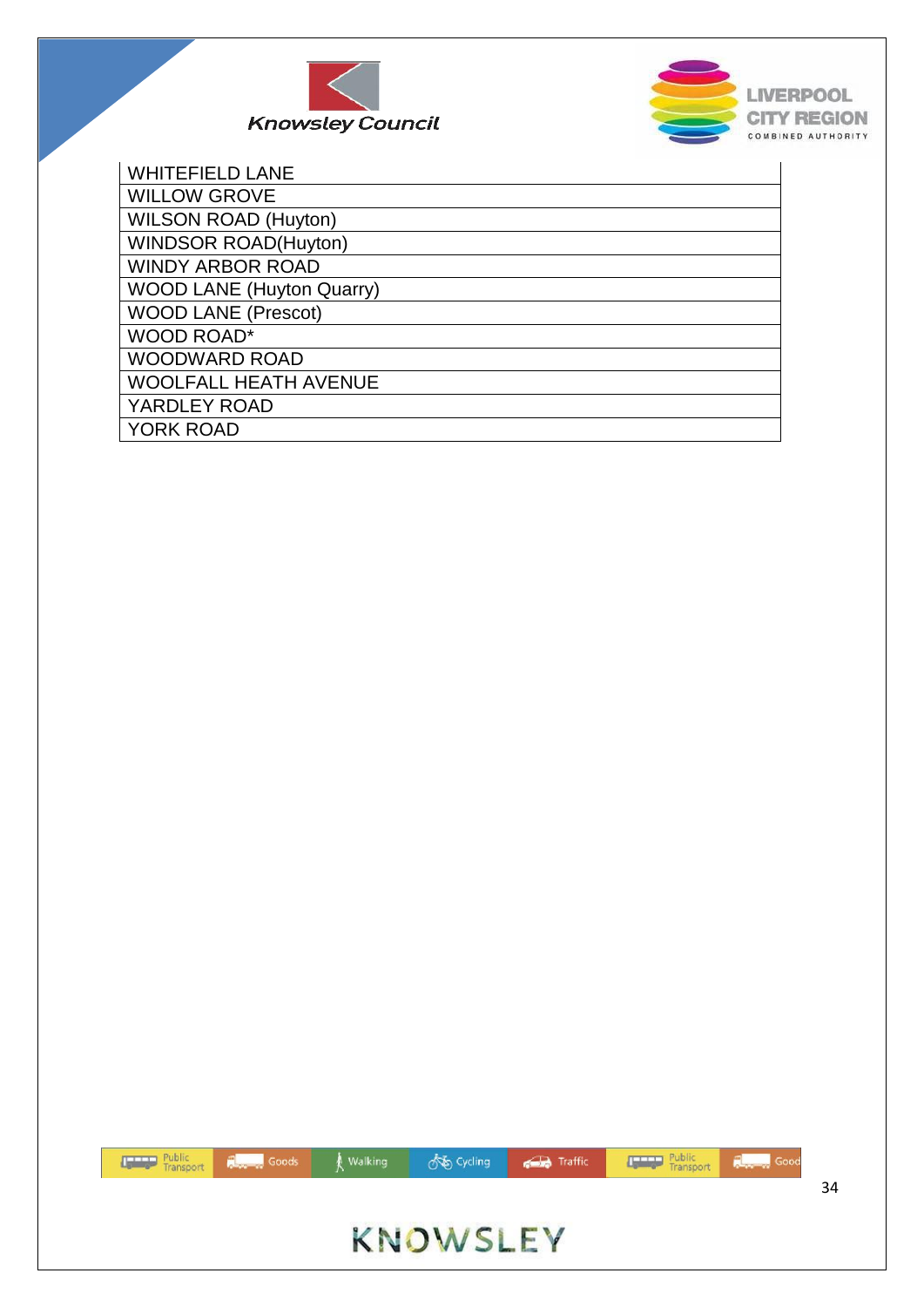



| <b>WHITEFIELD LANE</b>           |
|----------------------------------|
| <b>WILLOW GROVE</b>              |
| <b>WILSON ROAD (Huyton)</b>      |
| <b>WINDSOR ROAD(Huyton)</b>      |
| <b>WINDY ARBOR ROAD</b>          |
| <b>WOOD LANE (Huyton Quarry)</b> |
| <b>WOOD LANE (Prescot)</b>       |
| <b>WOOD ROAD*</b>                |
| <b>WOODWARD ROAD</b>             |
| <b>WOOLFALL HEATH AVENUE</b>     |
| YARDLEY ROAD                     |
| <b>YORK ROAD</b>                 |

| Transport <b>Repair</b> Goods <b>A</b> Walking |                 | <b>ONE Cycling CD</b> Traffic <b>Community</b> Public <b>Record</b> Good |    |
|------------------------------------------------|-----------------|--------------------------------------------------------------------------|----|
|                                                |                 |                                                                          | 34 |
|                                                | <b>KNOWSLEY</b> |                                                                          |    |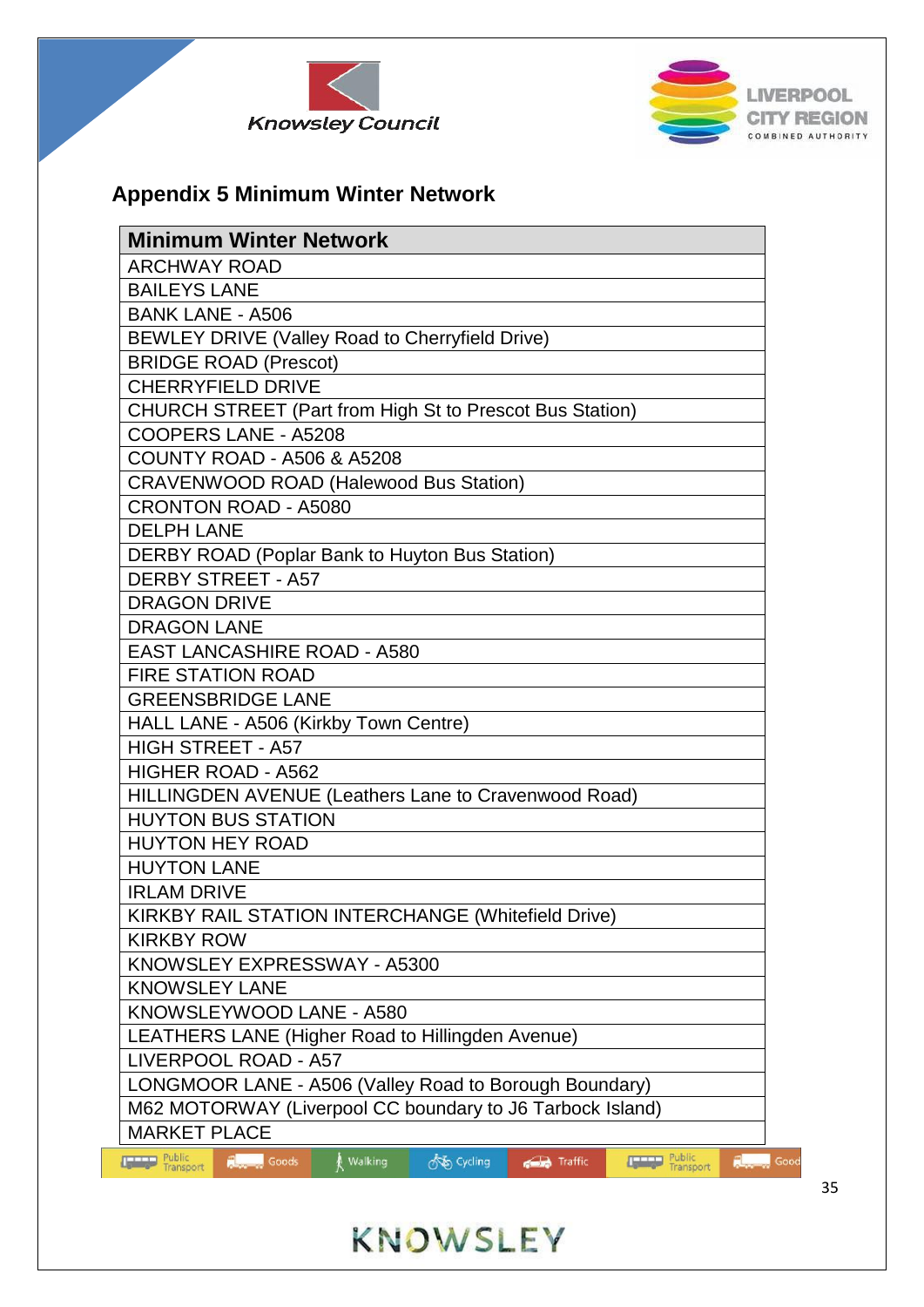



## **Appendix 5 Minimum Winter Network**

| <b>Minimum Winter Network</b>                                                            |
|------------------------------------------------------------------------------------------|
| <b>ARCHWAY ROAD</b>                                                                      |
| <b>BAILEYS LANE</b>                                                                      |
| <b>BANK LANE - A506</b>                                                                  |
| BEWLEY DRIVE (Valley Road to Cherryfield Drive)                                          |
| <b>BRIDGE ROAD (Prescot)</b>                                                             |
| <b>CHERRYFIELD DRIVE</b>                                                                 |
| CHURCH STREET (Part from High St to Prescot Bus Station)                                 |
| COOPERS LANE - A5208                                                                     |
| <b>COUNTY ROAD - A506 &amp; A5208</b>                                                    |
| <b>CRAVENWOOD ROAD (Halewood Bus Station)</b>                                            |
| <b>CRONTON ROAD - A5080</b>                                                              |
| <b>DELPH LANE</b>                                                                        |
| DERBY ROAD (Poplar Bank to Huyton Bus Station)                                           |
| <b>DERBY STREET - A57</b>                                                                |
| <b>DRAGON DRIVE</b>                                                                      |
| <b>DRAGON LANE</b>                                                                       |
| <b>EAST LANCASHIRE ROAD - A580</b>                                                       |
| <b>FIRE STATION ROAD</b>                                                                 |
| <b>GREENSBRIDGE LANE</b>                                                                 |
| HALL LANE - A506 (Kirkby Town Centre)                                                    |
| <b>HIGH STREET - A57</b>                                                                 |
| <b>HIGHER ROAD - A562</b>                                                                |
| HILLINGDEN AVENUE (Leathers Lane to Cravenwood Road)                                     |
| <b>HUYTON BUS STATION</b>                                                                |
| <b>HUYTON HEY ROAD</b>                                                                   |
| <b>HUYTON LANE</b>                                                                       |
| <b>IRLAM DRIVE</b>                                                                       |
| <b>KIRKBY RAIL STATION INTERCHANGE (Whitefield Drive)</b>                                |
| <b>KIRKBY ROW</b>                                                                        |
| KNOWSLEY EXPRESSWAY - A5300                                                              |
| <b>KNOWSLEY LANE</b>                                                                     |
| KNOWSLEYWOOD LANE - A580                                                                 |
| LEATHERS LANE (Higher Road to Hillingden Avenue)                                         |
| LIVERPOOL ROAD - A57                                                                     |
| LONGMOOR LANE - A506 (Valley Road to Borough Boundary)                                   |
| M62 MOTORWAY (Liverpool CC boundary to J6 Tarbock Island)                                |
| <b>MARKET PLACE</b>                                                                      |
| <b>THE Public</b><br><b>Eublic</b> Public<br>Å Walking<br>os Cycling<br>Traffic<br>Goods |

KNOWSLEY

Good